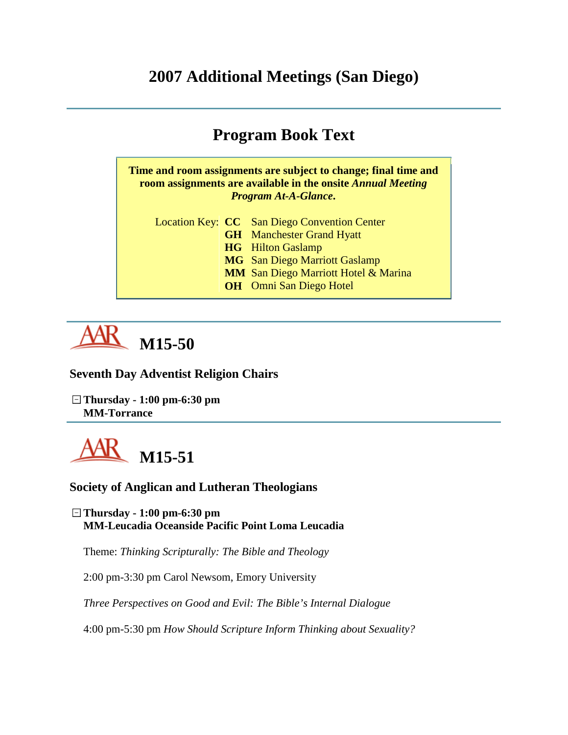# **2007 Additional Meetings (San Diego)**

# **Program Book Text**

**Time and room assignments are subject to change; final time and room assignments are available in the onsite** *Annual Meeting Program At-A-Glance***.**

Location Key: **CC** San Diego Convention Center **GH** Manchester Grand Hyatt **HG** Hilton Gaslamp **MG** San Diego Marriott Gaslamp **MM** San Diego Marriott Hotel & Marina **OH** Omni San Diego Hotel



**Seventh Day Adventist Religion Chairs**

**Thursday - 1:00 pm-6:30 pm MM-Torrance**



#### **Society of Anglican and Lutheran Theologians**

**Thursday - 1:00 pm-6:30 pm MM-Leucadia Oceanside Pacific Point Loma Leucadia**

Theme: *Thinking Scripturally: The Bible and Theology*

2:00 pm-3:30 pm Carol Newsom, Emory University

*Three Perspectives on Good and Evil: The Bible's Internal Dialogue*

4:00 pm-5:30 pm *How Should Scripture Inform Thinking about Sexuality?*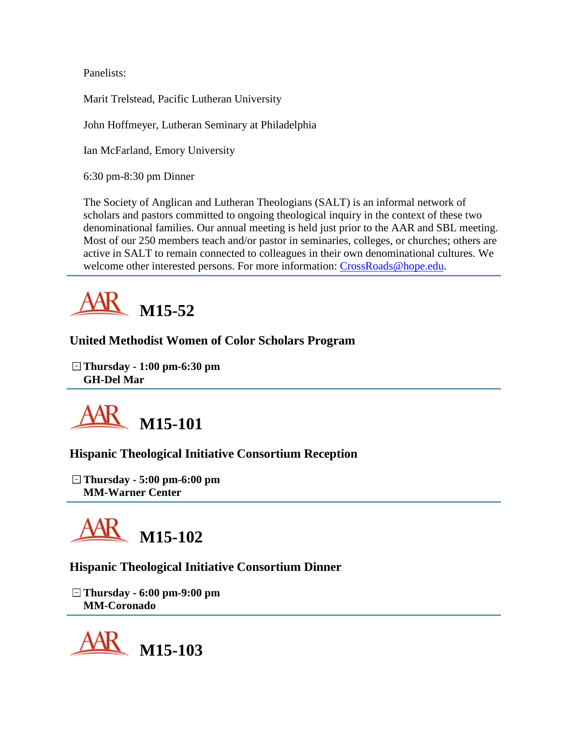Panelists:

Marit Trelstead, Pacific Lutheran University

John Hoffmeyer, Lutheran Seminary at Philadelphia

Ian McFarland, Emory University

6:30 pm-8:30 pm Dinner

The Society of Anglican and Lutheran Theologians (SALT) is an informal network of scholars and pastors committed to ongoing theological inquiry in the context of these two denominational families. Our annual meeting is held just prior to the AAR and SBL meeting. Most of our 250 members teach and/or pastor in seminaries, colleges, or churches; others are active in SALT to remain connected to colleagues in their own denominational cultures. We welcome other interested persons. For more information: [CrossRoads@hope.edu.](mailto:CrossRoads@hope.edu)



# **United Methodist Women of Color Scholars Program**

**Thursday - 1:00 pm-6:30 pm GH-Del Mar**



# **Hispanic Theological Initiative Consortium Reception**

**Thursday - 5:00 pm-6:00 pm MM-Warner Center**



# **Hispanic Theological Initiative Consortium Dinner**

**Thursday - 6:00 pm-9:00 pm MM-Coronado**

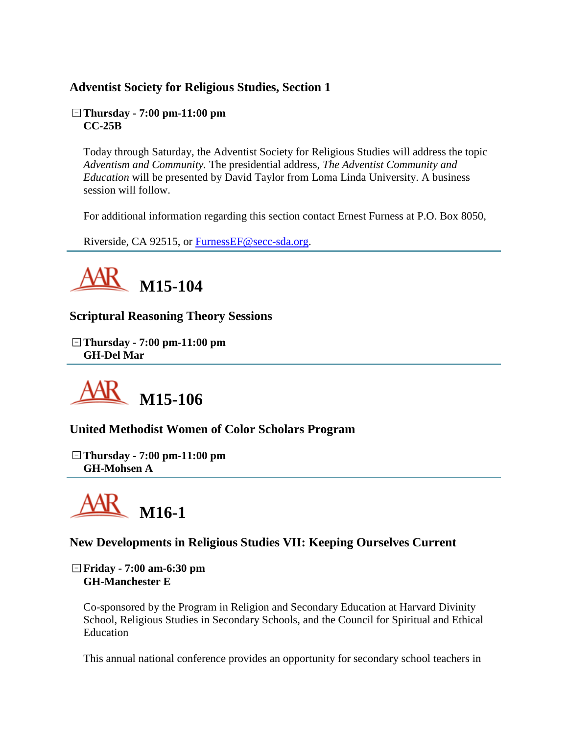# **Adventist Society for Religious Studies, Section 1**

#### **Thursday - 7:00 pm-11:00 pm CC-25B**

Today through Saturday, the Adventist Society for Religious Studies will address the topic *Adventism and Community.* The presidential address, *The Adventist Community and Education* will be presented by David Taylor from Loma Linda University. A business session will follow.

For additional information regarding this section contact Ernest Furness at P.O. Box 8050,

Riverside, CA 92515, or [FurnessEF@secc-sda.org.](mailto:FurnessEF@secc-sda.org)



**Scriptural Reasoning Theory Sessions**

**Thursday - 7:00 pm-11:00 pm GH-Del Mar**



**United Methodist Women of Color Scholars Program**

**Thursday - 7:00 pm-11:00 pm GH-Mohsen A**



# **New Developments in Religious Studies VII: Keeping Ourselves Current**

**Friday - 7:00 am-6:30 pm GH-Manchester E**

Co-sponsored by the Program in Religion and Secondary Education at Harvard Divinity School, Religious Studies in Secondary Schools, and the Council for Spiritual and Ethical Education

This annual national conference provides an opportunity for secondary school teachers in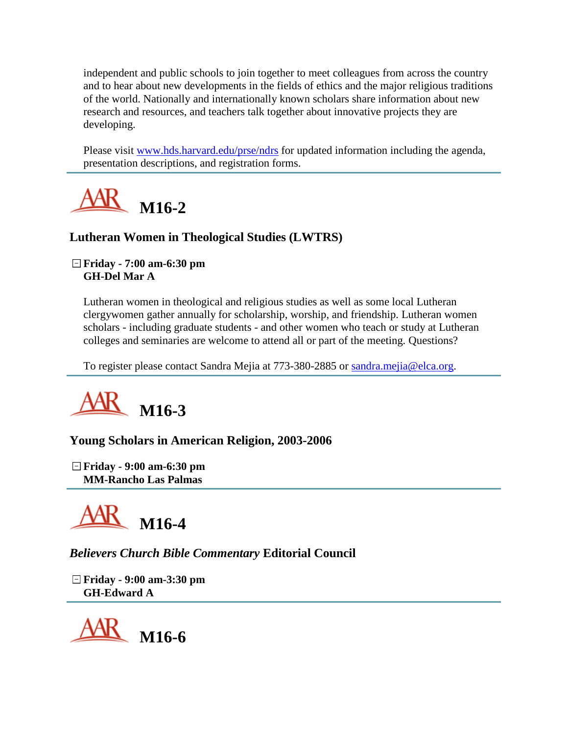independent and public schools to join together to meet colleagues from across the country and to hear about new developments in the fields of ethics and the major religious traditions of the world. Nationally and internationally known scholars share information about new research and resources, and teachers talk together about innovative projects they are developing.

Please visit [www.hds.harvard.edu/prse/ndrs](http://www.hds.harvard.edu/prse/ndrs) for updated information including the agenda, presentation descriptions, and registration forms.



# **Lutheran Women in Theological Studies (LWTRS)**

#### **Friday - 7:00 am-6:30 pm GH-Del Mar A**

Lutheran women in theological and religious studies as well as some local Lutheran clergywomen gather annually for scholarship, worship, and friendship. Lutheran women scholars - including graduate students - and other women who teach or study at Lutheran colleges and seminaries are welcome to attend all or part of the meeting. Questions?

To register please contact Sandra Mejia at 773-380-2885 or [sandra.mejia@elca.org.](mailto:sandra.mejia@elca.org)



# **Young Scholars in American Religion, 2003-2006**

**Friday - 9:00 am-6:30 pm MM-Rancho Las Palmas**



*Believers Church Bible Commentary* **Editorial Council**

**Friday - 9:00 am-3:30 pm GH-Edward A**

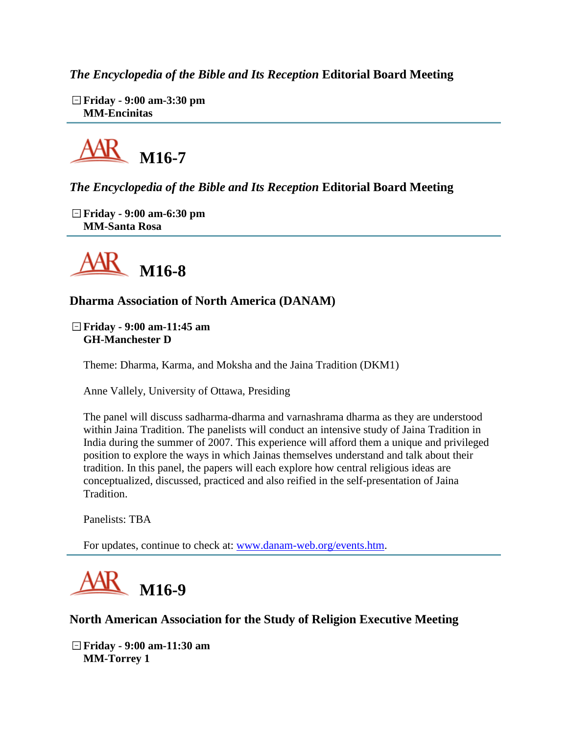*The Encyclopedia of the Bible and Its Reception* **Editorial Board Meeting**

**Friday - 9:00 am-3:30 pm MM-Encinitas**



# *The Encyclopedia of the Bible and Its Reception* **Editorial Board Meeting**

**Friday - 9:00 am-6:30 pm MM-Santa Rosa**



#### **Dharma Association of North America (DANAM)**

**Friday - 9:00 am-11:45 am GH-Manchester D**

Theme: Dharma, Karma, and Moksha and the Jaina Tradition (DKM1)

Anne Vallely, University of Ottawa, Presiding

The panel will discuss sadharma-dharma and varnashrama dharma as they are understood within Jaina Tradition. The panelists will conduct an intensive study of Jaina Tradition in India during the summer of 2007. This experience will afford them a unique and privileged position to explore the ways in which Jainas themselves understand and talk about their tradition. In this panel, the papers will each explore how central religious ideas are conceptualized, discussed, practiced and also reified in the self-presentation of Jaina Tradition.

Panelists: TBA

For updates, continue to check at: [www.danam-web.org/events.htm.](http://www.danam-web.org/events.htm)



#### **North American Association for the Study of Religion Executive Meeting**

**Friday - 9:00 am-11:30 am MM-Torrey 1**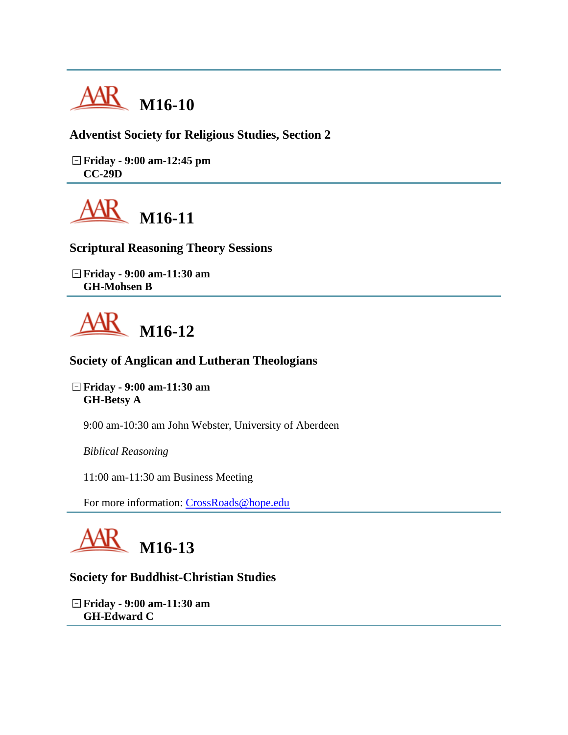

**Adventist Society for Religious Studies, Section 2**

**Friday - 9:00 am-12:45 pm CC-29D**



**Scriptural Reasoning Theory Sessions**

**Friday - 9:00 am-11:30 am GH-Mohsen B**



#### **Society of Anglican and Lutheran Theologians**

**Friday - 9:00 am-11:30 am GH-Betsy A**

9:00 am-10:30 am John Webster, University of Aberdeen

*Biblical Reasoning*

11:00 am-11:30 am Business Meeting

For more information: [CrossRoads@hope.edu](mailto:CrossRoads@hope.edu)



#### **Society for Buddhist-Christian Studies**

**Friday - 9:00 am-11:30 am GH-Edward C**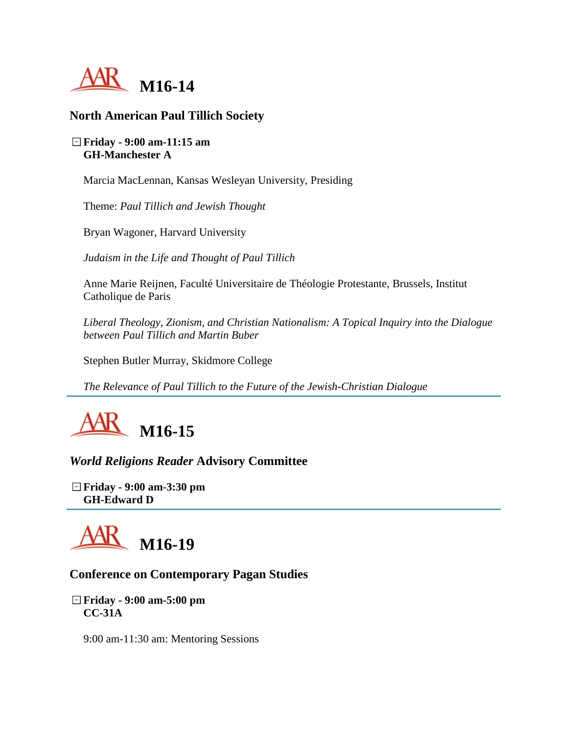

# **North American Paul Tillich Society**

#### **Friday - 9:00 am-11:15 am GH-Manchester A**

Marcia MacLennan, Kansas Wesleyan University, Presiding

Theme: *Paul Tillich and Jewish Thought*

Bryan Wagoner, Harvard University

*Judaism in the Life and Thought of Paul Tillich*

Anne Marie Reijnen, Faculté Universitaire de Théologie Protestante, Brussels, Institut Catholique de Paris

*Liberal Theology, Zionism, and Christian Nationalism: A Topical Inquiry into the Dialogue between Paul Tillich and Martin Buber*

Stephen Butler Murray, Skidmore College

*The Relevance of Paul Tillich to the Future of the Jewish-Christian Dialogue*



*World Religions Reader* **Advisory Committee**

**Friday - 9:00 am-3:30 pm GH-Edward D**



#### **Conference on Contemporary Pagan Studies**

**Friday - 9:00 am-5:00 pm CC-31A**

9:00 am-11:30 am: Mentoring Sessions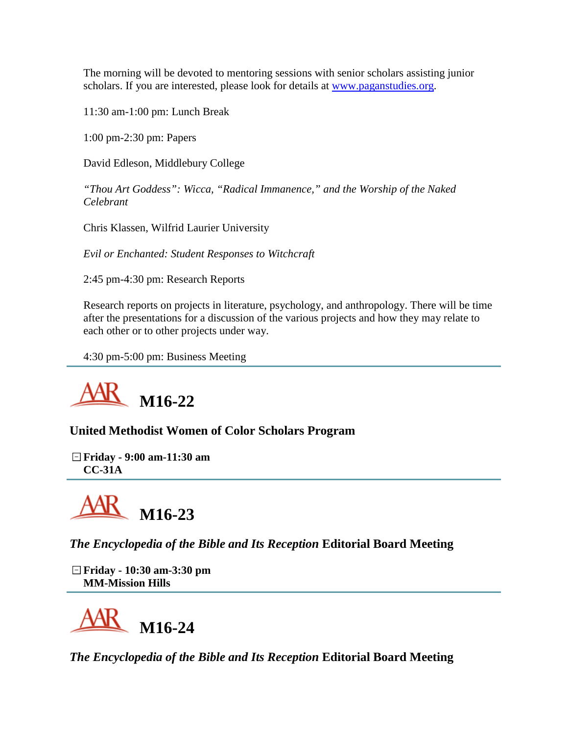The morning will be devoted to mentoring sessions with senior scholars assisting junior scholars. If you are interested, please look for details at [www.paganstudies.org.](http://www.paganstudies.org/)

11:30 am-1:00 pm: Lunch Break

1:00 pm-2:30 pm: Papers

David Edleson, Middlebury College

*"Thou Art Goddess": Wicca, "Radical Immanence," and the Worship of the Naked Celebrant*

Chris Klassen, Wilfrid Laurier University

*Evil or Enchanted: Student Responses to Witchcraft*

2:45 pm-4:30 pm: Research Reports

Research reports on projects in literature, psychology, and anthropology. There will be time after the presentations for a discussion of the various projects and how they may relate to each other or to other projects under way.

4:30 pm-5:00 pm: Business Meeting



# **United Methodist Women of Color Scholars Program**

**Friday - 9:00 am-11:30 am CC-31A**



*The Encyclopedia of the Bible and Its Reception* **Editorial Board Meeting**

**Friday - 10:30 am-3:30 pm MM-Mission Hills**



*The Encyclopedia of the Bible and Its Reception* **Editorial Board Meeting**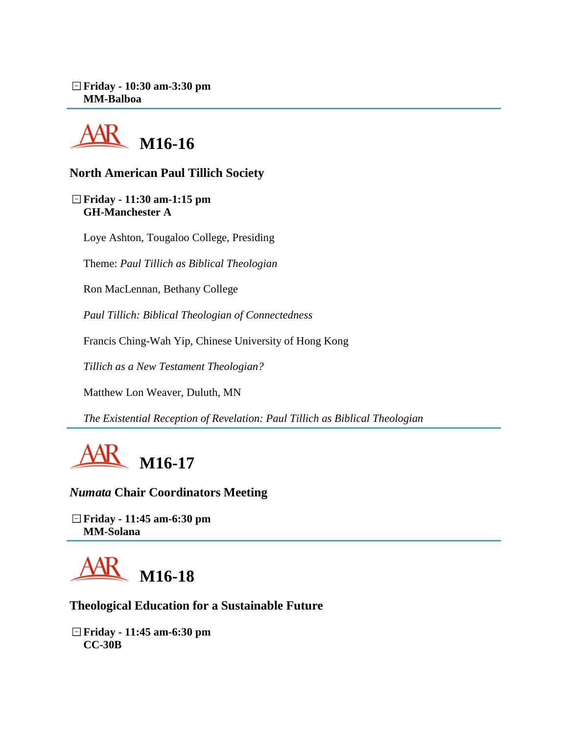**Friday - 10:30 am-3:30 pm MM-Balboa**



# **North American Paul Tillich Society**

**Friday - 11:30 am-1:15 pm GH-Manchester A**

Loye Ashton, Tougaloo College, Presiding

Theme: *Paul Tillich as Biblical Theologian*

Ron MacLennan, Bethany College

*Paul Tillich: Biblical Theologian of Connectedness*

Francis Ching-Wah Yip, Chinese University of Hong Kong

*Tillich as a New Testament Theologian?*

Matthew Lon Weaver, Duluth, MN

*The Existential Reception of Revelation: Paul Tillich as Biblical Theologian*



*Numata* **Chair Coordinators Meeting**

**Friday - 11:45 am-6:30 pm MM-Solana**



#### **Theological Education for a Sustainable Future**

**Friday - 11:45 am-6:30 pm CC-30B**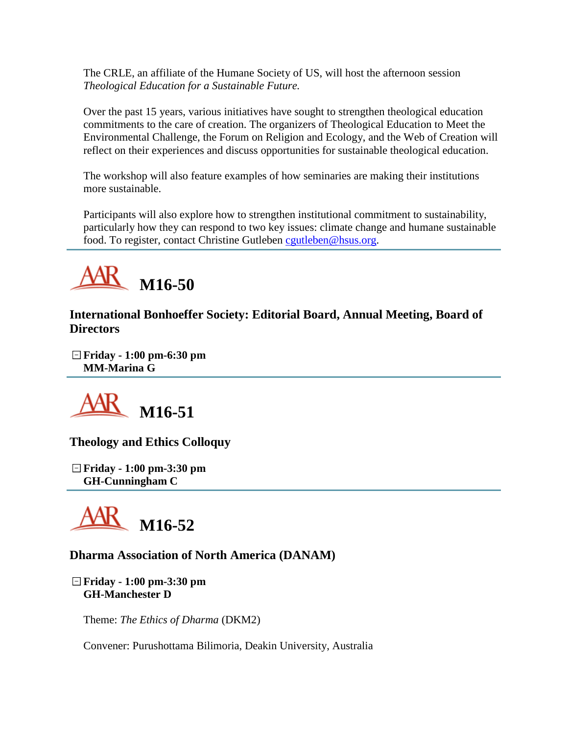The CRLE, an affiliate of the Humane Society of US, will host the afternoon session *Theological Education for a Sustainable Future.*

Over the past 15 years, various initiatives have sought to strengthen theological education commitments to the care of creation. The organizers of Theological Education to Meet the Environmental Challenge, the Forum on Religion and Ecology, and the Web of Creation will reflect on their experiences and discuss opportunities for sustainable theological education.

The workshop will also feature examples of how seminaries are making their institutions more sustainable.

Participants will also explore how to strengthen institutional commitment to sustainability, particularly how they can respond to two key issues: climate change and humane sustainable food. To register, contact Christine Gutleben [cgutleben@hsus.org.](mailto:cgutleben@hsus.org)



**International Bonhoeffer Society: Editorial Board, Annual Meeting, Board of Directors**

**Friday - 1:00 pm-6:30 pm MM-Marina G**



**Theology and Ethics Colloquy**

**Friday - 1:00 pm-3:30 pm GH-Cunningham C**



# **Dharma Association of North America (DANAM)**

**Friday - 1:00 pm-3:30 pm GH-Manchester D**

Theme: *The Ethics of Dharma* (DKM2)

Convener: Purushottama Bilimoria, Deakin University, Australia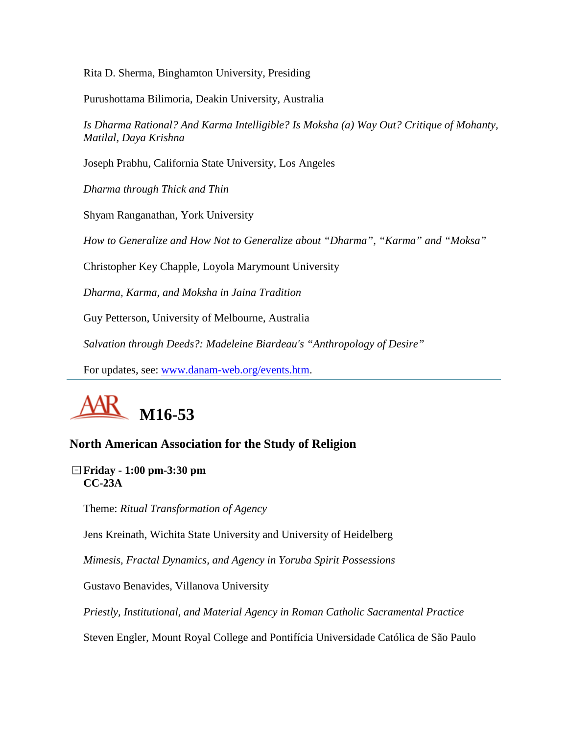Rita D. Sherma, Binghamton University, Presiding

Purushottama Bilimoria, Deakin University, Australia

*Is Dharma Rational? And Karma Intelligible? Is Moksha (a) Way Out? Critique of Mohanty, Matilal, Daya Krishna*

Joseph Prabhu, California State University, Los Angeles

*Dharma through Thick and Thin*

Shyam Ranganathan, York University

*How to Generalize and How Not to Generalize about "Dharma", "Karma" and "Moksa"*

Christopher Key Chapple, Loyola Marymount University

*Dharma, Karma, and Moksha in Jaina Tradition*

Guy Petterson, University of Melbourne, Australia

*Salvation through Deeds?: Madeleine Biardeau's "Anthropology of Desire"*

For updates, see: [www.danam-web.org/events.htm.](http://www.danam-web.org/events.htm)



# **North American Association for the Study of Religion**

#### **Friday - 1:00 pm-3:30 pm CC-23A**

Theme: *Ritual Transformation of Agency*

Jens Kreinath, Wichita State University and University of Heidelberg

*Mimesis, Fractal Dynamics, and Agency in Yoruba Spirit Possessions*

Gustavo Benavides, Villanova University

*Priestly, Institutional, and Material Agency in Roman Catholic Sacramental Practice*

Steven Engler, Mount Royal College and Pontifícia Universidade Católica de São Paulo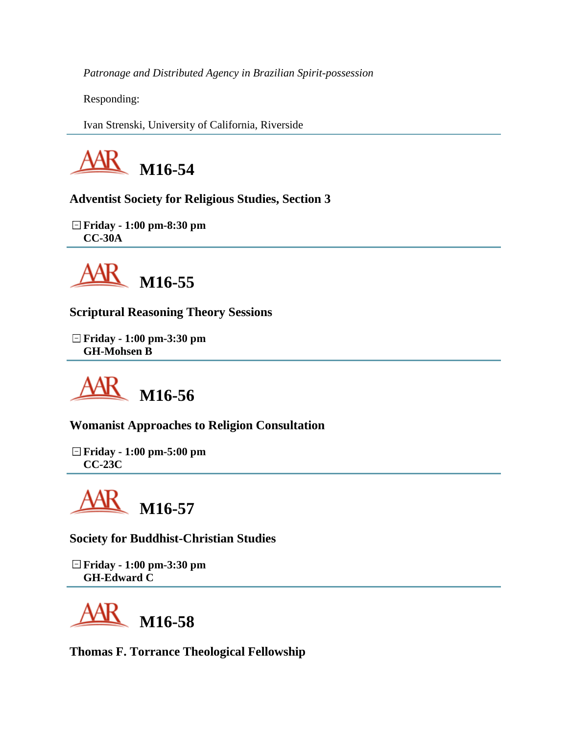*Patronage and Distributed Agency in Brazilian Spirit-possession*

Responding:

Ivan Strenski, University of California, Riverside



**Adventist Society for Religious Studies, Section 3**

**Friday - 1:00 pm-8:30 pm CC-30A**



**Scriptural Reasoning Theory Sessions**

**Friday - 1:00 pm-3:30 pm GH-Mohsen B**



**Womanist Approaches to Religion Consultation**

**Friday - 1:00 pm-5:00 pm CC-23C**

**M16-57**

**Society for Buddhist-Christian Studies**

**Friday - 1:00 pm-3:30 pm GH-Edward C**



**Thomas F. Torrance Theological Fellowship**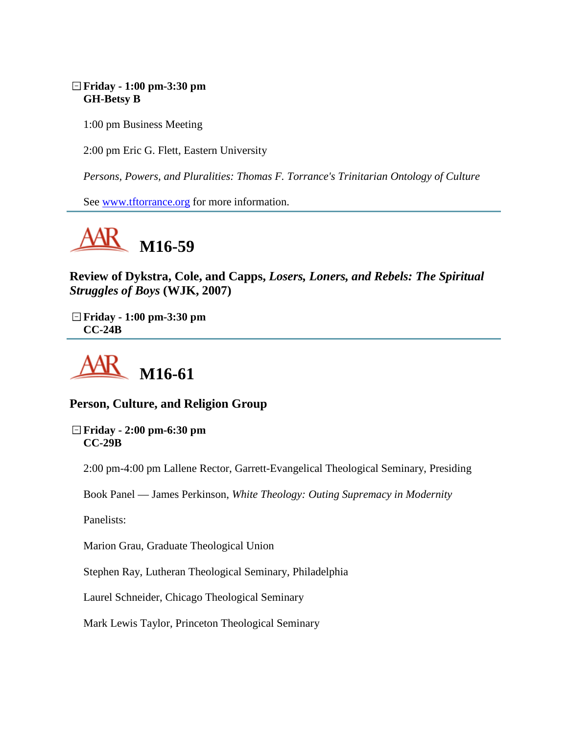#### **Friday - 1:00 pm-3:30 pm GH-Betsy B**

1:00 pm Business Meeting

2:00 pm Eric G. Flett, Eastern University

*Persons, Powers, and Pluralities: Thomas F. Torrance's Trinitarian Ontology of Culture*

See [www.tftorrance.org](http://www.tftorrance.org/) for more information.



**Review of Dykstra, Cole, and Capps,** *Losers, Loners, and Rebels: The Spiritual Struggles of Boys* **(WJK, 2007)**

**Friday - 1:00 pm-3:30 pm CC-24B**



# **Person, Culture, and Religion Group**

**Friday - 2:00 pm-6:30 pm CC-29B**

2:00 pm-4:00 pm Lallene Rector, Garrett-Evangelical Theological Seminary, Presiding

Book Panel — James Perkinson, *White Theology: Outing Supremacy in Modernity*

Panelists:

Marion Grau, Graduate Theological Union

Stephen Ray, Lutheran Theological Seminary, Philadelphia

Laurel Schneider, Chicago Theological Seminary

Mark Lewis Taylor, Princeton Theological Seminary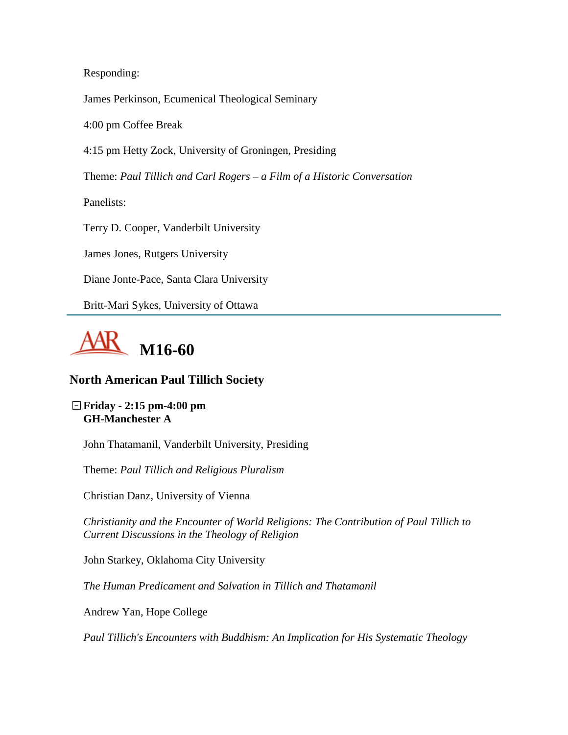Responding:

James Perkinson, Ecumenical Theological Seminary

4:00 pm Coffee Break

4:15 pm Hetty Zock, University of Groningen, Presiding

Theme: *Paul Tillich and Carl Rogers – a Film of a Historic Conversation*

Panelists:

Terry D. Cooper, Vanderbilt University

James Jones, Rutgers University

Diane Jonte-Pace, Santa Clara University

Britt-Mari Sykes, University of Ottawa



# **North American Paul Tillich Society**

**Friday - 2:15 pm-4:00 pm GH-Manchester A**

John Thatamanil, Vanderbilt University, Presiding

Theme: *Paul Tillich and Religious Pluralism*

Christian Danz, University of Vienna

*Christianity and the Encounter of World Religions: The Contribution of Paul Tillich to Current Discussions in the Theology of Religion*

John Starkey, Oklahoma City University

*The Human Predicament and Salvation in Tillich and Thatamanil*

Andrew Yan, Hope College

*Paul Tillich's Encounters with Buddhism: An Implication for His Systematic Theology*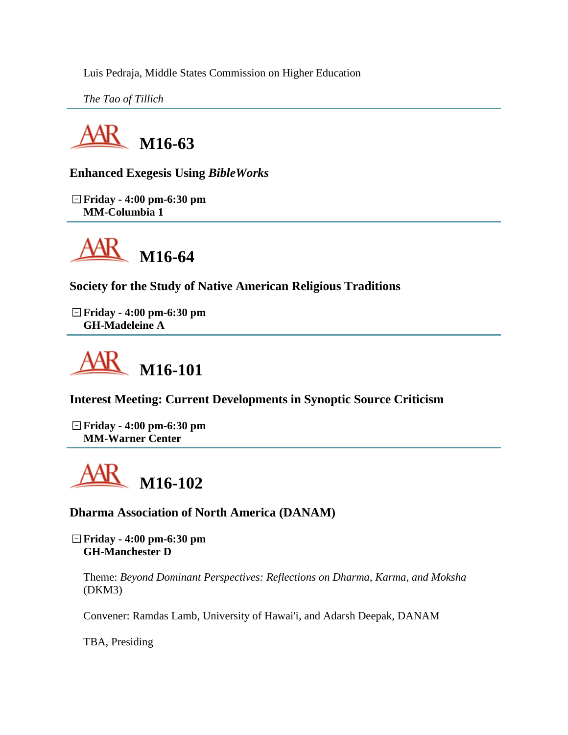Luis Pedraja, Middle States Commission on Higher Education

*The Tao of Tillich*



**Enhanced Exegesis Using** *BibleWorks*

**Friday - 4:00 pm-6:30 pm MM-Columbia 1**



**Society for the Study of Native American Religious Traditions**

**Friday - 4:00 pm-6:30 pm GH-Madeleine A**



**Interest Meeting: Current Developments in Synoptic Source Criticism**

**Friday - 4:00 pm-6:30 pm MM-Warner Center**

**M16-102**

**Dharma Association of North America (DANAM)**

**Friday - 4:00 pm-6:30 pm GH-Manchester D**

Theme: *Beyond Dominant Perspectives: Reflections on Dharma, Karma, and Moksha* (DKM3)

Convener: Ramdas Lamb, University of Hawai'i, and Adarsh Deepak, DANAM

TBA, Presiding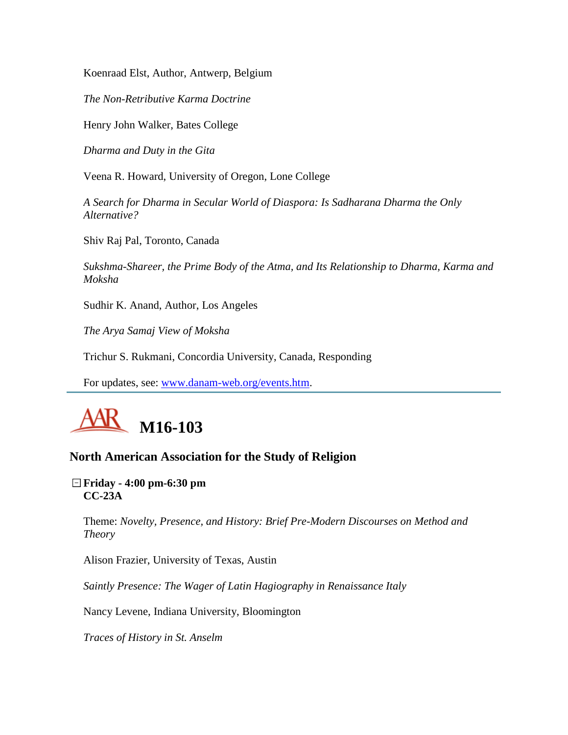Koenraad Elst, Author, Antwerp, Belgium

*The Non-Retributive Karma Doctrine*

Henry John Walker, Bates College

*Dharma and Duty in the Gita*

Veena R. Howard, University of Oregon, Lone College

*A Search for Dharma in Secular World of Diaspora: Is Sadharana Dharma the Only Alternative?*

Shiv Raj Pal, Toronto, Canada

*Sukshma-Shareer, the Prime Body of the Atma, and Its Relationship to Dharma, Karma and Moksha*

Sudhir K. Anand, Author, Los Angeles

*The Arya Samaj View of Moksha*

Trichur S. Rukmani, Concordia University, Canada, Responding

For updates, see: [www.danam-web.org/events.htm.](http://www.danam-web.org/events.htm)



#### **North American Association for the Study of Religion**

**Friday - 4:00 pm-6:30 pm CC-23A**

Theme: *Novelty, Presence, and History: Brief Pre-Modern Discourses on Method and Theory*

Alison Frazier, University of Texas, Austin

*Saintly Presence: The Wager of Latin Hagiography in Renaissance Italy*

Nancy Levene, Indiana University, Bloomington

*Traces of History in St. Anselm*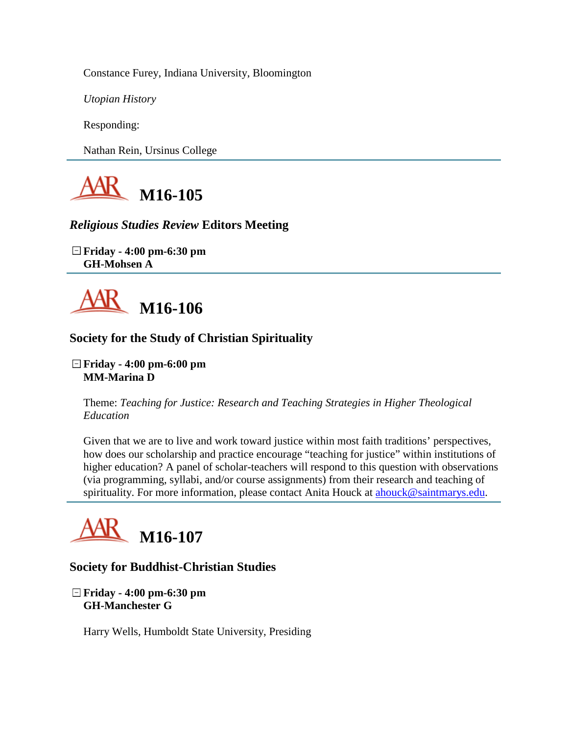Constance Furey, Indiana University, Bloomington

*Utopian History*

Responding:

Nathan Rein, Ursinus College



# *Religious Studies Review* **Editors Meeting**

**Friday - 4:00 pm-6:30 pm GH-Mohsen A**



# **Society for the Study of Christian Spirituality**

**Friday - 4:00 pm-6:00 pm MM-Marina D**

Theme: *Teaching for Justice: Research and Teaching Strategies in Higher Theological Education*

Given that we are to live and work toward justice within most faith traditions' perspectives, how does our scholarship and practice encourage "teaching for justice" within institutions of higher education? A panel of scholar-teachers will respond to this question with observations (via programming, syllabi, and/or course assignments) from their research and teaching of spirituality. For more information, please contact Anita Houck at [ahouck@saintmarys.edu.](mailto:ahouck@saintmarys.edu)



# **Society for Buddhist-Christian Studies**

**Friday - 4:00 pm-6:30 pm GH-Manchester G**

Harry Wells, Humboldt State University, Presiding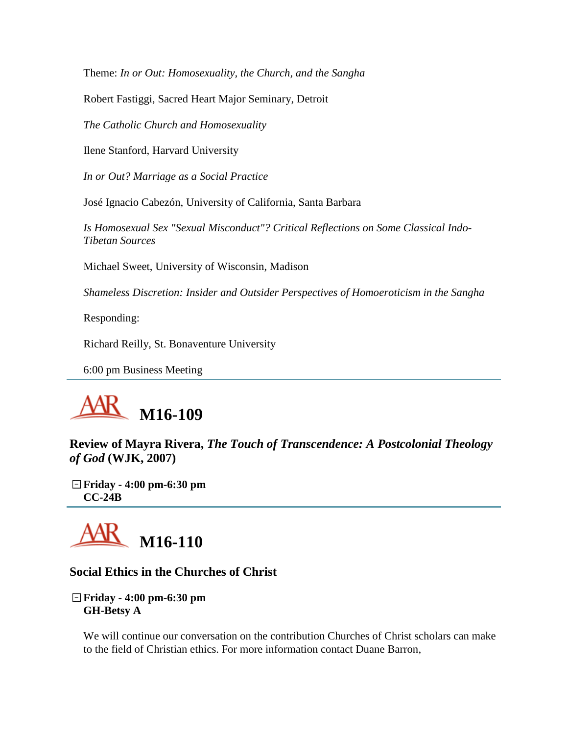Theme: *In or Out: Homosexuality, the Church, and the Sangha*

Robert Fastiggi, Sacred Heart Major Seminary, Detroit

*The Catholic Church and Homosexuality*

Ilene Stanford, Harvard University

*In or Out? Marriage as a Social Practice*

José Ignacio Cabezón, University of California, Santa Barbara

*Is Homosexual Sex "Sexual Misconduct"? Critical Reflections on Some Classical Indo-Tibetan Sources*

Michael Sweet, University of Wisconsin, Madison

*Shameless Discretion: Insider and Outsider Perspectives of Homoeroticism in the Sangha*

Responding:

Richard Reilly, St. Bonaventure University

6:00 pm Business Meeting



**Review of Mayra Rivera,** *The Touch of Transcendence: A Postcolonial Theology of God* **(WJK, 2007)**

**Friday - 4:00 pm-6:30 pm CC-24B**



#### **Social Ethics in the Churches of Christ**

**Friday - 4:00 pm-6:30 pm GH-Betsy A**

We will continue our conversation on the contribution Churches of Christ scholars can make to the field of Christian ethics. For more information contact Duane Barron,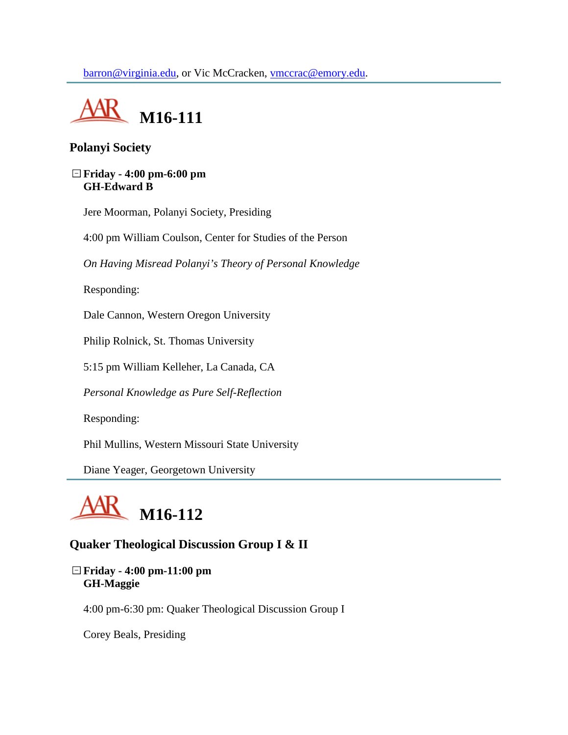

# **Polanyi Society**

#### **Friday - 4:00 pm-6:00 pm GH-Edward B**

Jere Moorman, Polanyi Society, Presiding

4:00 pm William Coulson, Center for Studies of the Person

*On Having Misread Polanyi's Theory of Personal Knowledge*

Responding:

Dale Cannon, Western Oregon University

Philip Rolnick, St. Thomas University

5:15 pm William Kelleher, La Canada, CA

*Personal Knowledge as Pure Self-Reflection*

Responding:

Phil Mullins, Western Missouri State University

Diane Yeager, Georgetown University



# **Quaker Theological Discussion Group I & II**

#### **Friday - 4:00 pm-11:00 pm GH-Maggie**

4:00 pm-6:30 pm: Quaker Theological Discussion Group I

Corey Beals, Presiding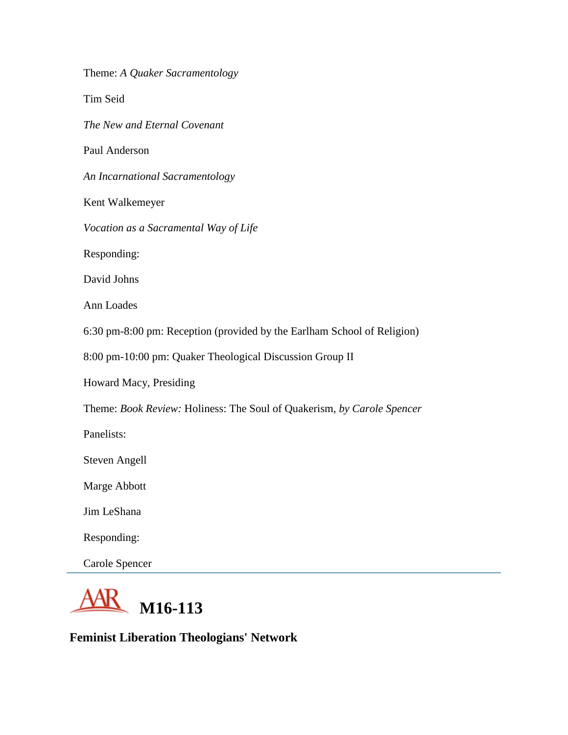Theme: *A Quaker Sacramentology* Tim Seid *The New and Eternal Covenant* Paul Anderson *An Incarnational Sacramentology* Kent Walkemeyer *Vocation as a Sacramental Way of Life* Responding: David Johns Ann Loades 6:30 pm-8:00 pm: Reception (provided by the Earlham School of Religion) 8:00 pm-10:00 pm: Quaker Theological Discussion Group II Howard Macy, Presiding Theme: *Book Review:* Holiness: The Soul of Quakerism, *by Carole Spencer* Panelists: Steven Angell Marge Abbott Jim LeShana Responding: Carole Spencer



**Feminist Liberation Theologians' Network**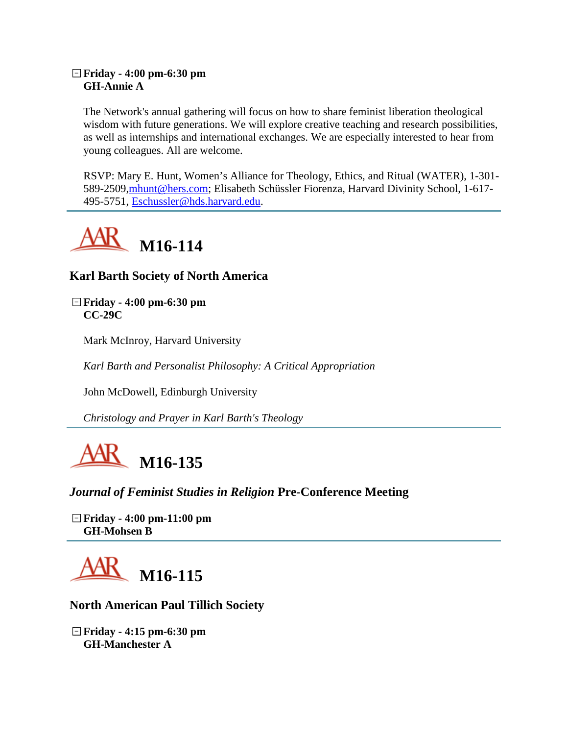#### **Friday - 4:00 pm-6:30 pm GH-Annie A**

The Network's annual gathering will focus on how to share feminist liberation theological wisdom with future generations. We will explore creative teaching and research possibilities, as well as internships and international exchanges. We are especially interested to hear from young colleagues. All are welcome.

RSVP: Mary E. Hunt, Women's Alliance for Theology, Ethics, and Ritual (WATER), 1-301- 589-2509[,mhunt@hers.com;](mailto:mhunt@hers.com) Elisabeth Schüssler Fiorenza, Harvard Divinity School, 1-617- 495-5751, [Eschussler@hds.harvard.edu.](mailto:Eschussler@hds.harvard.edu)



**Karl Barth Society of North America**

**Friday - 4:00 pm-6:30 pm CC-29C**

Mark McInroy, Harvard University

*Karl Barth and Personalist Philosophy: A Critical Appropriation*

John McDowell, Edinburgh University

*Christology and Prayer in Karl Barth's Theology*



*Journal of Feminist Studies in Religion* **Pre-Conference Meeting**

**Friday - 4:00 pm-11:00 pm GH-Mohsen B**



# **North American Paul Tillich Society**

**Friday - 4:15 pm-6:30 pm GH-Manchester A**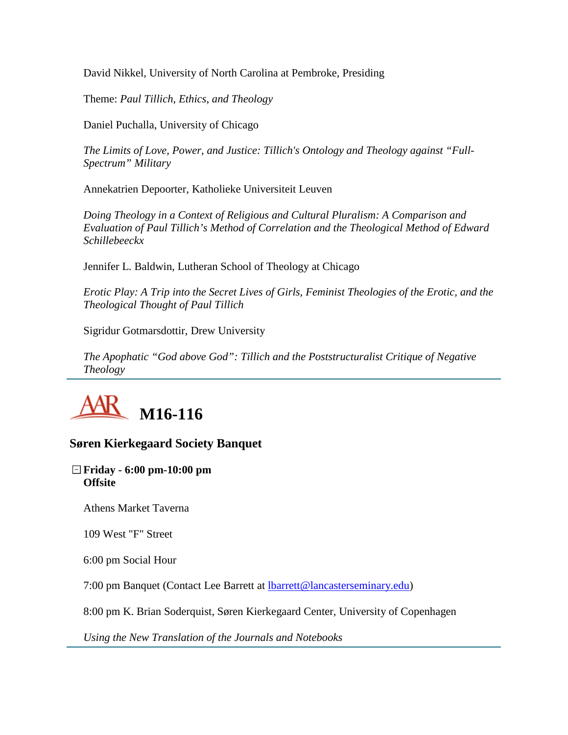David Nikkel, University of North Carolina at Pembroke, Presiding

Theme: *Paul Tillich, Ethics, and Theology*

Daniel Puchalla, University of Chicago

*The Limits of Love, Power, and Justice: Tillich's Ontology and Theology against "Full-Spectrum" Military*

Annekatrien Depoorter, Katholieke Universiteit Leuven

*Doing Theology in a Context of Religious and Cultural Pluralism: A Comparison and Evaluation of Paul Tillich's Method of Correlation and the Theological Method of Edward Schillebeeckx*

Jennifer L. Baldwin, Lutheran School of Theology at Chicago

*Erotic Play: A Trip into the Secret Lives of Girls, Feminist Theologies of the Erotic, and the Theological Thought of Paul Tillich*

Sigridur Gotmarsdottir, Drew University

*The Apophatic "God above God": Tillich and the Poststructuralist Critique of Negative Theology*



# **Søren Kierkegaard Society Banquet**

#### **Friday - 6:00 pm-10:00 pm Offsite**

Athens Market Taverna

109 West "F" Street

6:00 pm Social Hour

7:00 pm Banquet (Contact Lee Barrett at [lbarrett@lancasterseminary.edu\)](mailto:lbarrett@lancasterseminary.edu)

8:00 pm K. Brian Soderquist, Søren Kierkegaard Center, University of Copenhagen

*Using the New Translation of the Journals and Notebooks*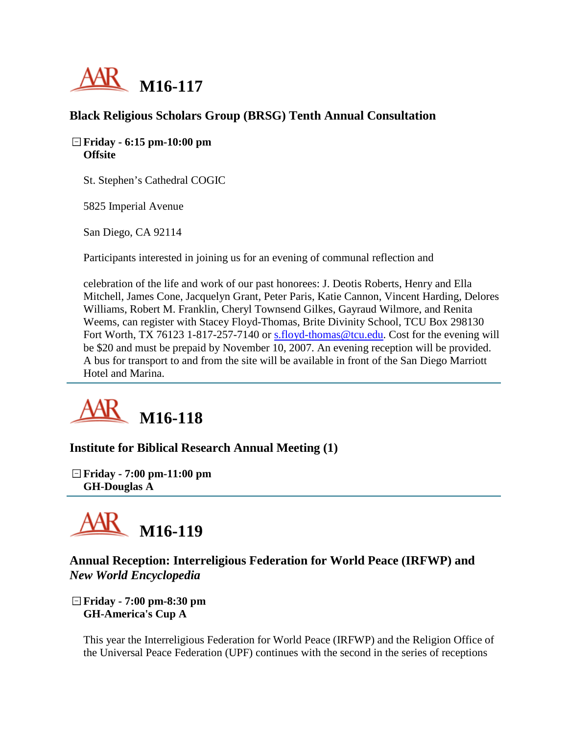

# **Black Religious Scholars Group (BRSG) Tenth Annual Consultation**

#### **Friday - 6:15 pm-10:00 pm Offsite**

St. Stephen's Cathedral COGIC

5825 Imperial Avenue

San Diego, CA 92114

Participants interested in joining us for an evening of communal reflection and

celebration of the life and work of our past honorees: J. Deotis Roberts, Henry and Ella Mitchell, James Cone, Jacquelyn Grant, Peter Paris, Katie Cannon, Vincent Harding, Delores Williams, Robert M. Franklin, Cheryl Townsend Gilkes, Gayraud Wilmore, and Renita Weems, can register with Stacey Floyd-Thomas, Brite Divinity School, TCU Box 298130 Fort Worth, TX 76123 1-817-257-7140 or [s.floyd-thomas@tcu.edu.](mailto:s.floyd-thomas@tcu.edu) Cost for the evening will be \$20 and must be prepaid by November 10, 2007. An evening reception will be provided. A bus for transport to and from the site will be available in front of the San Diego Marriott Hotel and Marina.



**Institute for Biblical Research Annual Meeting (1)**

**Friday - 7:00 pm-11:00 pm GH-Douglas A**



# **Annual Reception: Interreligious Federation for World Peace (IRFWP) and**  *New World Encyclopedia*

**Friday - 7:00 pm-8:30 pm GH-America's Cup A**

This year the Interreligious Federation for World Peace (IRFWP) and the Religion Office of the Universal Peace Federation (UPF) continues with the second in the series of receptions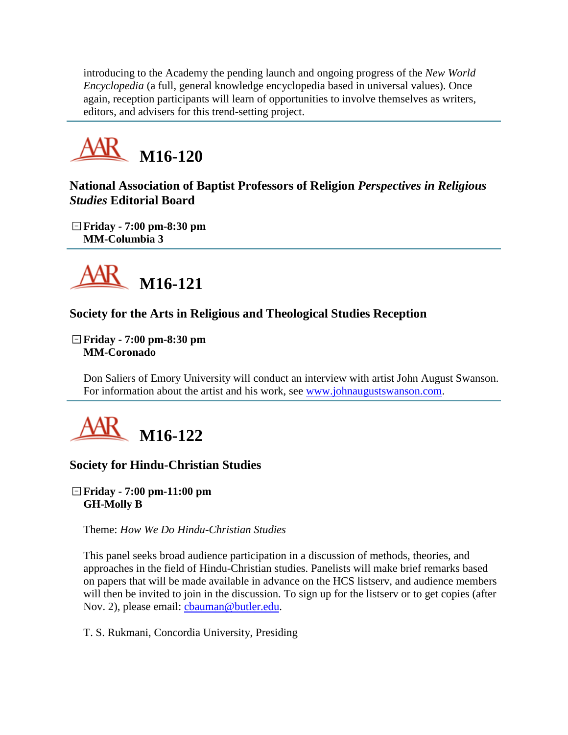introducing to the Academy the pending launch and ongoing progress of the *New World Encyclopedia* (a full, general knowledge encyclopedia based in universal values). Once again, reception participants will learn of opportunities to involve themselves as writers, editors, and advisers for this trend-setting project.



**National Association of Baptist Professors of Religion** *Perspectives in Religious Studies* **Editorial Board**

**Friday - 7:00 pm-8:30 pm MM-Columbia 3**



# **Society for the Arts in Religious and Theological Studies Reception**

**Friday - 7:00 pm-8:30 pm MM-Coronado**

Don Saliers of Emory University will conduct an interview with artist John August Swanson. For information about the artist and his work, see [www.johnaugustswanson.com.](http://www.johnaugustswanson.com/)



# **Society for Hindu-Christian Studies**

#### **Friday - 7:00 pm-11:00 pm GH-Molly B**

Theme: *How We Do Hindu-Christian Studies*

This panel seeks broad audience participation in a discussion of methods, theories, and approaches in the field of Hindu-Christian studies. Panelists will make brief remarks based on papers that will be made available in advance on the HCS listserv, and audience members will then be invited to join in the discussion. To sign up for the listserv or to get copies (after Nov. 2), please email: [cbauman@butler.edu.](mailto:cbauman@butler.edu)

T. S. Rukmani, Concordia University, Presiding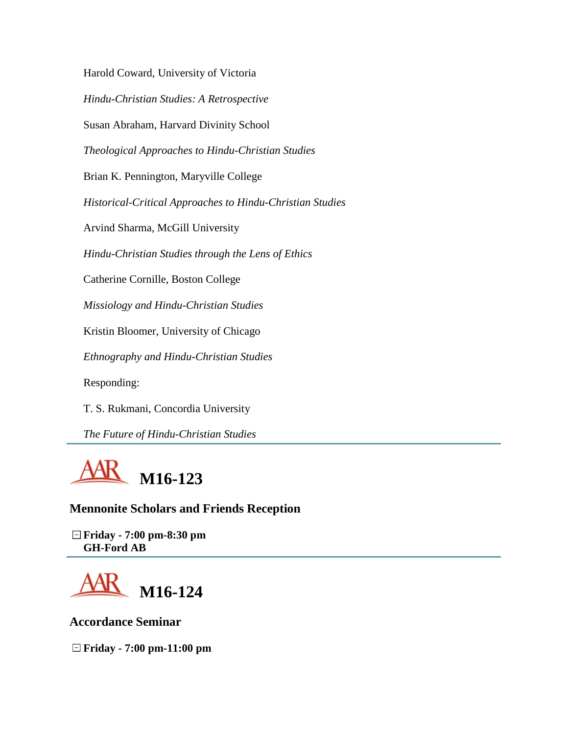Harold Coward, University of Victoria *Hindu-Christian Studies: A Retrospective* Susan Abraham, Harvard Divinity School *Theological Approaches to Hindu-Christian Studies* Brian K. Pennington, Maryville College *Historical-Critical Approaches to Hindu-Christian Studies* Arvind Sharma, McGill University *Hindu-Christian Studies through the Lens of Ethics* Catherine Cornille, Boston College *Missiology and Hindu-Christian Studies* Kristin Bloomer, University of Chicago *Ethnography and Hindu-Christian Studies* Responding:

T. S. Rukmani, Concordia University

*The Future of Hindu-Christian Studies*



**Mennonite Scholars and Friends Reception**

**Friday - 7:00 pm-8:30 pm GH-Ford AB**



**Accordance Seminar**

**Friday - 7:00 pm-11:00 pm**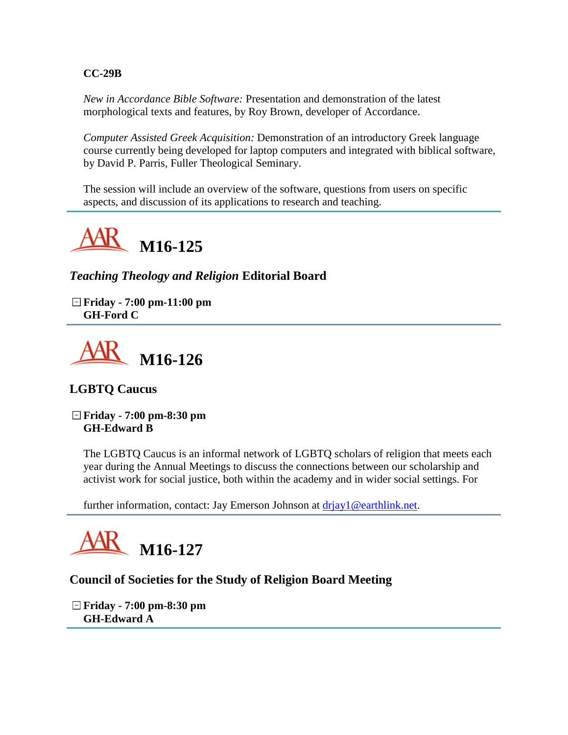#### **CC-29B**

*New in Accordance Bible Software:* Presentation and demonstration of the latest morphological texts and features, by Roy Brown, developer of Accordance.

*Computer Assisted Greek Acquisition:* Demonstration of an introductory Greek language course currently being developed for laptop computers and integrated with biblical software, by David P. Parris, Fuller Theological Seminary.

The session will include an overview of the software, questions from users on specific aspects, and discussion of its applications to research and teaching.



*Teaching Theology and Religion* **Editorial Board**

**Friday - 7:00 pm-11:00 pm GH-Ford C**



# **LGBTQ Caucus**

**Friday - 7:00 pm-8:30 pm GH-Edward B**

The LGBTQ Caucus is an informal network of LGBTQ scholars of religion that meets each year during the Annual Meetings to discuss the connections between our scholarship and activist work for social justice, both within the academy and in wider social settings. For

further information, contact: Jay Emerson Johnson at driay1@earthlink.net.



# **Council of Societies for the Study of Religion Board Meeting**

**Friday - 7:00 pm-8:30 pm GH-Edward A**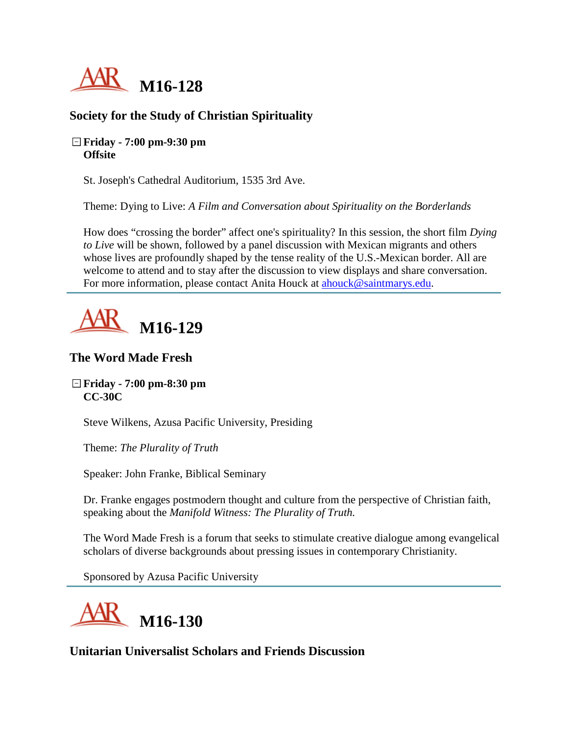

# **Society for the Study of Christian Spirituality**

#### **Friday - 7:00 pm-9:30 pm Offsite**

St. Joseph's Cathedral Auditorium, 1535 3rd Ave.

Theme: Dying to Live: *A Film and Conversation about Spirituality on the Borderlands*

How does "crossing the border" affect one's spirituality? In this session, the short film *Dying to Live* will be shown, followed by a panel discussion with Mexican migrants and others whose lives are profoundly shaped by the tense reality of the U.S.-Mexican border. All are welcome to attend and to stay after the discussion to view displays and share conversation. For more information, please contact Anita Houck at [ahouck@saintmarys.edu.](mailto:ahouck@saintmarys.edu)

# **M16-129**

# **The Word Made Fresh**

#### **Friday - 7:00 pm-8:30 pm CC-30C**

Steve Wilkens, Azusa Pacific University, Presiding

Theme: *The Plurality of Truth*

Speaker: John Franke, Biblical Seminary

Dr. Franke engages postmodern thought and culture from the perspective of Christian faith, speaking about the *Manifold Witness: The Plurality of Truth.*

The Word Made Fresh is a forum that seeks to stimulate creative dialogue among evangelical scholars of diverse backgrounds about pressing issues in contemporary Christianity.

Sponsored by Azusa Pacific University



**Unitarian Universalist Scholars and Friends Discussion**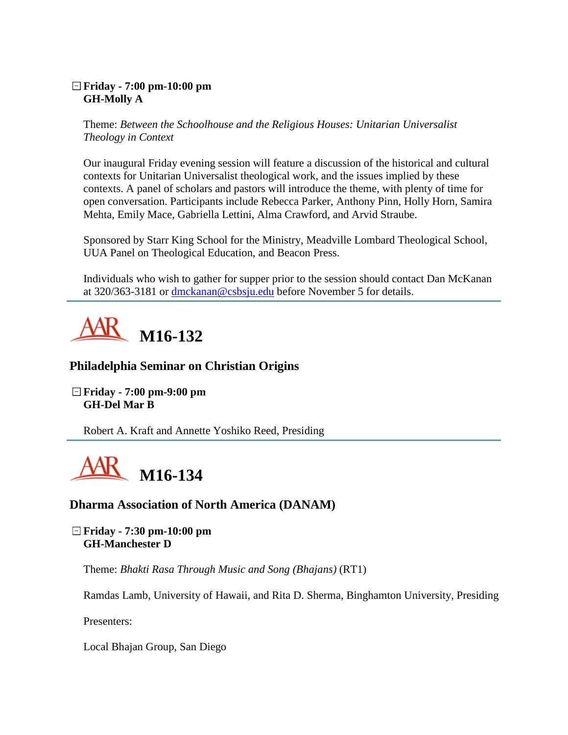#### **Friday - 7:00 pm-10:00 pm GH-Molly A**

Theme: *Between the Schoolhouse and the Religious Houses: Unitarian Universalist Theology in Context*

Our inaugural Friday evening session will feature a discussion of the historical and cultural contexts for Unitarian Universalist theological work, and the issues implied by these contexts. A panel of scholars and pastors will introduce the theme, with plenty of time for open conversation. Participants include Rebecca Parker, Anthony Pinn, Holly Horn, Samira Mehta, Emily Mace, Gabriella Lettini, Alma Crawford, and Arvid Straube.

Sponsored by Starr King School for the Ministry, Meadville Lombard Theological School, UUA Panel on Theological Education, and Beacon Press.

Individuals who wish to gather for supper prior to the session should contact Dan McKanan at 320/363-3181 or [dmckanan@csbsju.edu](mailto:dmckanan@csbsju.edu) before November 5 for details.



# **Philadelphia Seminar on Christian Origins**

**Friday - 7:00 pm-9:00 pm GH-Del Mar B**

Robert A. Kraft and Annette Yoshiko Reed, Presiding



# **Dharma Association of North America (DANAM)**

**Friday - 7:30 pm-10:00 pm GH-Manchester D**

Theme: *Bhakti Rasa Through Music and Song (Bhajans)* (RT1)

Ramdas Lamb, University of Hawaii, and Rita D. Sherma, Binghamton University, Presiding

Presenters:

Local Bhajan Group, San Diego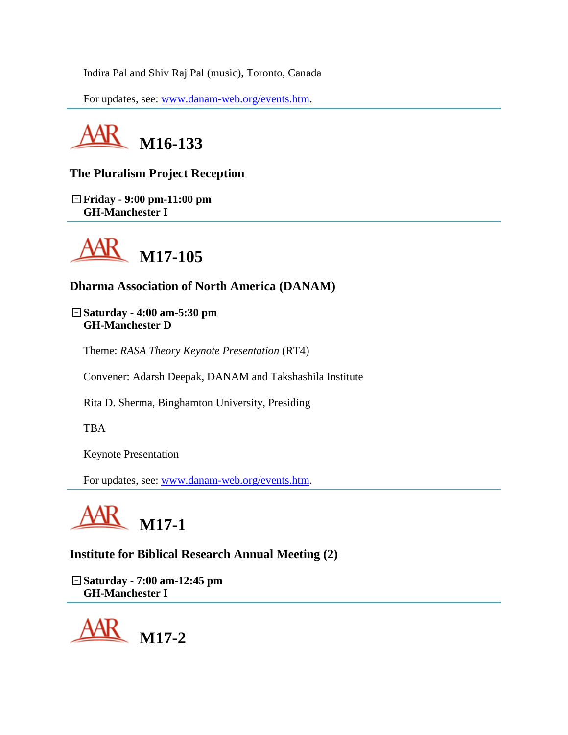Indira Pal and Shiv Raj Pal (music), Toronto, Canada

For updates, see: [www.danam-web.org/events.htm.](http://www.danam-web.org/events.htm)



# **The Pluralism Project Reception**

**Friday - 9:00 pm-11:00 pm GH-Manchester I**



# **Dharma Association of North America (DANAM)**

**Saturday - 4:00 am-5:30 pm GH-Manchester D**

Theme: *RASA Theory Keynote Presentation* (RT4)

Convener: Adarsh Deepak, DANAM and Takshashila Institute

Rita D. Sherma, Binghamton University, Presiding

TBA

Keynote Presentation

For updates, see: [www.danam-web.org/events.htm.](http://www.danam-web.org/events.htm)



# **Institute for Biblical Research Annual Meeting (2)**

**Saturday - 7:00 am-12:45 pm GH-Manchester I**

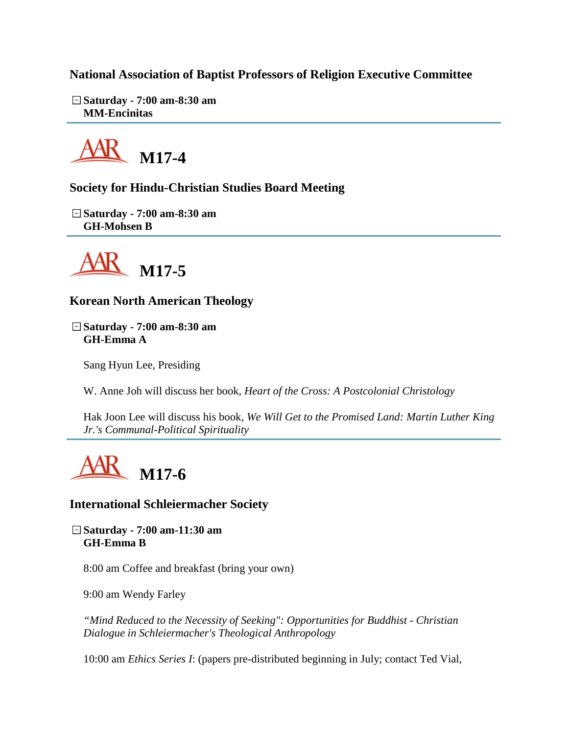**National Association of Baptist Professors of Religion Executive Committee**

**Saturday - 7:00 am-8:30 am MM-Encinitas**



**Society for Hindu-Christian Studies Board Meeting**

**Saturday - 7:00 am-8:30 am GH-Mohsen B**



**Korean North American Theology**

**Saturday - 7:00 am-8:30 am GH-Emma A**

Sang Hyun Lee, Presiding

W. Anne Joh will discuss her book, *Heart of the Cross: A Postcolonial Christology*

Hak Joon Lee will discuss his book, *We Will Get to the Promised Land: Martin Luther King Jr.'s Communal-Political Spirituality*



# **International Schleiermacher Society**

**Saturday - 7:00 am-11:30 am GH-Emma B**

8:00 am Coffee and breakfast (bring your own)

9:00 am Wendy Farley

*"Mind Reduced to the Necessity of Seeking": Opportunities for Buddhist - Christian Dialogue in Schleiermacher's Theological Anthropology*

10:00 am *Ethics Series I*: (papers pre-distributed beginning in July; contact Ted Vial,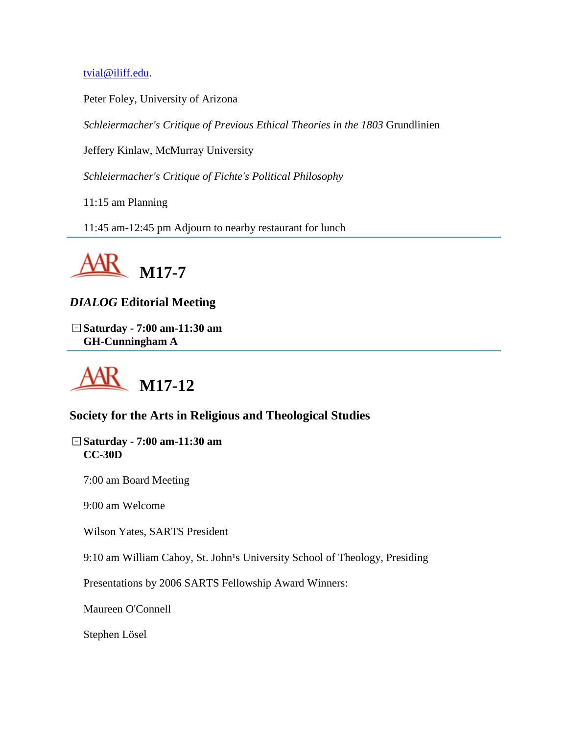[tvial@iliff.edu.](mailto:tvial@iliff.edu)

Peter Foley, University of Arizona

*Schleiermacher's Critique of Previous Ethical Theories in the 1803* Grundlinien

Jeffery Kinlaw, McMurray University

*Schleiermacher's Critique of Fichte's Political Philosophy*

11:15 am Planning

11:45 am-12:45 pm Adjourn to nearby restaurant for lunch



# *DIALOG* **Editorial Meeting**

**Saturday - 7:00 am-11:30 am GH-Cunningham A**



# **Society for the Arts in Religious and Theological Studies**

**Saturday - 7:00 am-11:30 am CC-30D**

7:00 am Board Meeting

9:00 am Welcome

Wilson Yates, SARTS President

9:10 am William Cahoy, St. John<sup>1</sup>s University School of Theology, Presiding

Presentations by 2006 SARTS Fellowship Award Winners:

Maureen O'Connell

Stephen Lösel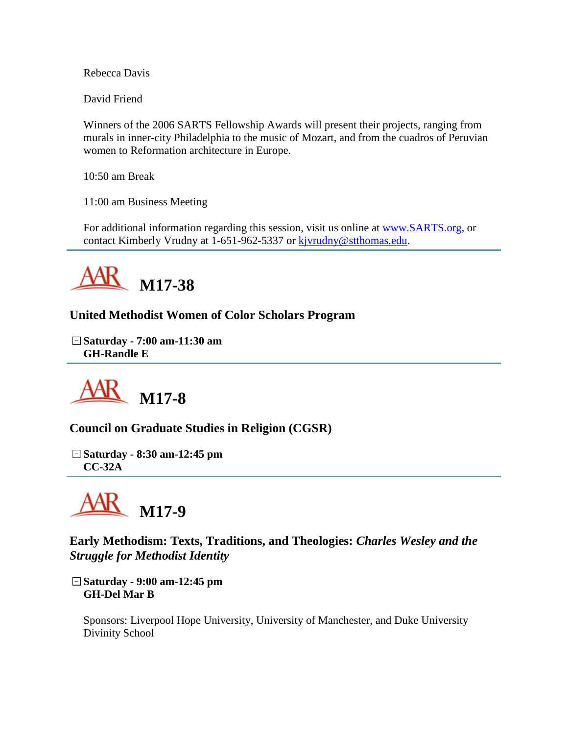Rebecca Davis

David Friend

Winners of the 2006 SARTS Fellowship Awards will present their projects, ranging from murals in inner-city Philadelphia to the music of Mozart, and from the cuadros of Peruvian women to Reformation architecture in Europe.

10:50 am Break

11:00 am Business Meeting

For additional information regarding this session, visit us online at [www.SARTS.org,](http://www.sarts.org/) or contact Kimberly Vrudny at 1-651-962-5337 or [kjvrudny@stthomas.edu.](mailto:kjvrudny@stthomas.edu)



**United Methodist Women of Color Scholars Program**

**Saturday - 7:00 am-11:30 am GH-Randle E**



**Council on Graduate Studies in Religion (CGSR)**

**Saturday - 8:30 am-12:45 pm CC-32A**



**Early Methodism: Texts, Traditions, and Theologies:** *Charles Wesley and the Struggle for Methodist Identity*

**Saturday - 9:00 am-12:45 pm GH-Del Mar B**

Sponsors: Liverpool Hope University, University of Manchester, and Duke University Divinity School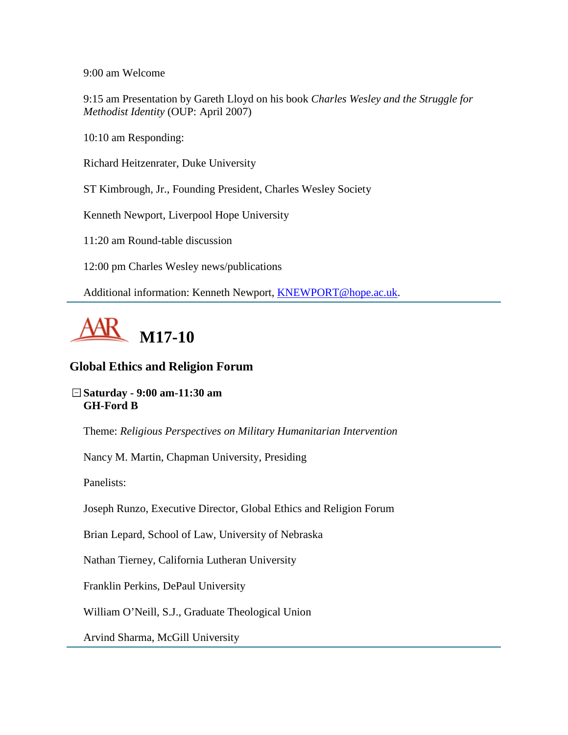9:00 am Welcome

9:15 am Presentation by Gareth Lloyd on his book *Charles Wesley and the Struggle for Methodist Identity* (OUP: April 2007)

10:10 am Responding:

Richard Heitzenrater, Duke University

ST Kimbrough, Jr., Founding President, Charles Wesley Society

Kenneth Newport, Liverpool Hope University

11:20 am Round-table discussion

12:00 pm Charles Wesley news/publications

Additional information: Kenneth Newport, [KNEWPORT@hope.ac.uk.](mailto:KNEWPORT@hope.ac.uk)



# **Global Ethics and Religion Forum**

#### **Saturday - 9:00 am-11:30 am GH-Ford B**

Theme: *Religious Perspectives on Military Humanitarian Intervention*

Nancy M. Martin, Chapman University, Presiding

Panelists:

Joseph Runzo, Executive Director, Global Ethics and Religion Forum

Brian Lepard, School of Law, University of Nebraska

Nathan Tierney, California Lutheran University

Franklin Perkins, DePaul University

William O'Neill, S.J., Graduate Theological Union

Arvind Sharma, McGill University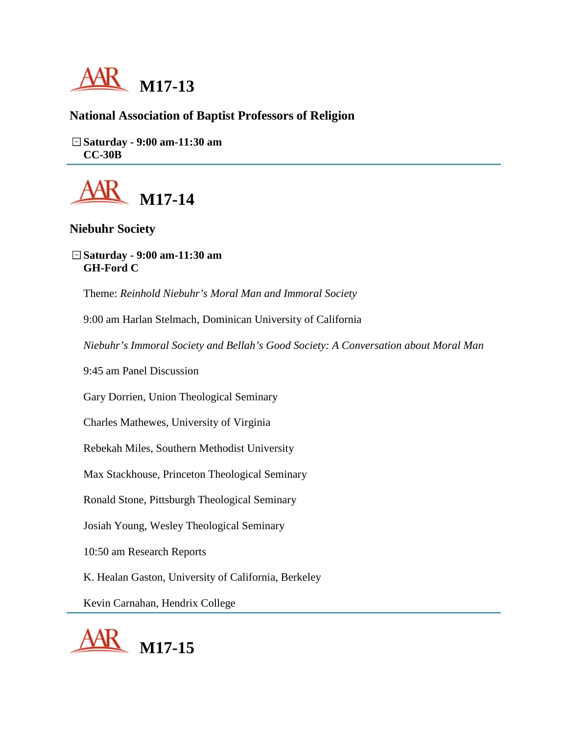

# **National Association of Baptist Professors of Religion**

**Saturday - 9:00 am-11:30 am CC-30B**



# **Niebuhr Society**

**Saturday - 9:00 am-11:30 am GH-Ford C**

Theme: *Reinhold Niebuhr's Moral Man and Immoral Society*

9:00 am Harlan Stelmach, Dominican University of California

*Niebuhr's Immoral Society and Bellah's Good Society: A Conversation about Moral Man*

9:45 am Panel Discussion

Gary Dorrien, Union Theological Seminary

Charles Mathewes, University of Virginia

Rebekah Miles, Southern Methodist University

Max Stackhouse, Princeton Theological Seminary

Ronald Stone, Pittsburgh Theological Seminary

Josiah Young, Wesley Theological Seminary

10:50 am Research Reports

K. Healan Gaston, University of California, Berkeley

Kevin Carnahan, Hendrix College

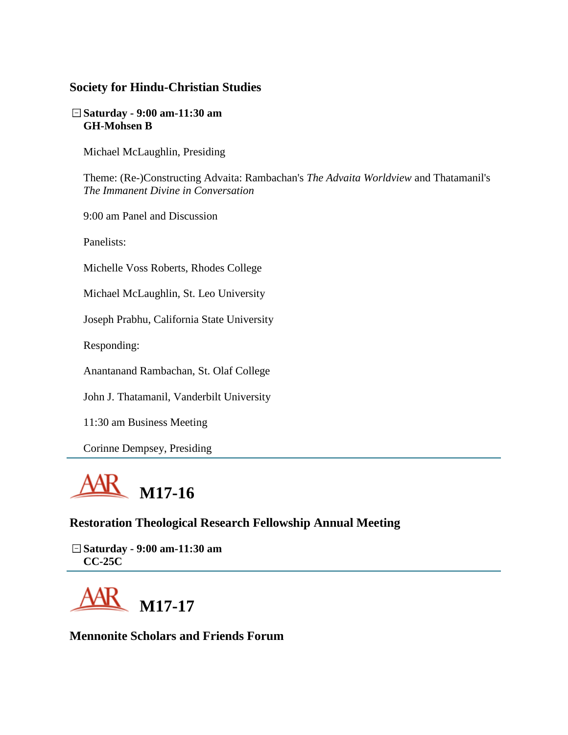#### **Society for Hindu-Christian Studies**

#### **Saturday - 9:00 am-11:30 am GH-Mohsen B**

Michael McLaughlin, Presiding

Theme: (Re-)Constructing Advaita: Rambachan's *The Advaita Worldview* and Thatamanil's *The Immanent Divine in Conversation*

9:00 am Panel and Discussion

Panelists:

Michelle Voss Roberts, Rhodes College

Michael McLaughlin, St. Leo University

Joseph Prabhu, California State University

Responding:

Anantanand Rambachan, St. Olaf College

John J. Thatamanil, Vanderbilt University

11:30 am Business Meeting

Corinne Dempsey, Presiding



#### **Restoration Theological Research Fellowship Annual Meeting**

**Saturday - 9:00 am-11:30 am CC-25C**



**Mennonite Scholars and Friends Forum**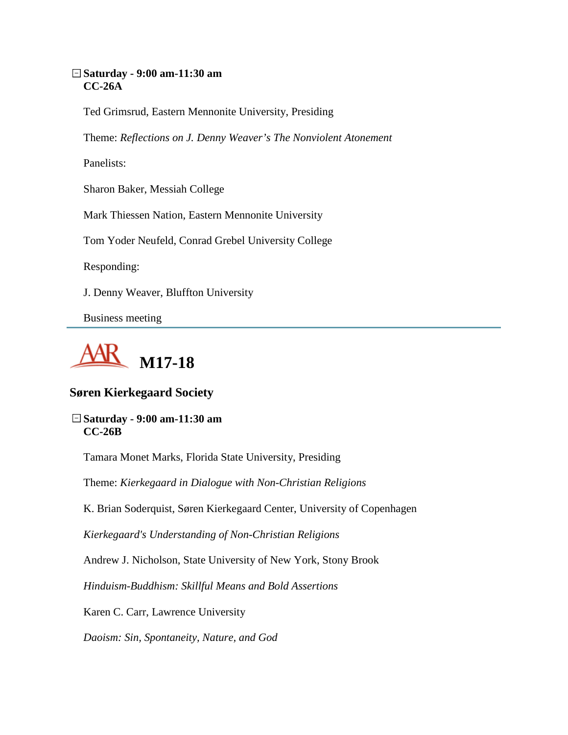#### **Saturday - 9:00 am-11:30 am CC-26A**

Ted Grimsrud, Eastern Mennonite University, Presiding

Theme: *Reflections on J. Denny Weaver's The Nonviolent Atonement* 

Panelists:

Sharon Baker, Messiah College

Mark Thiessen Nation, Eastern Mennonite University

Tom Yoder Neufeld, Conrad Grebel University College

Responding:

J. Denny Weaver, Bluffton University

Business meeting



# **Søren Kierkegaard Society**

**Saturday - 9:00 am-11:30 am CC-26B**

Tamara Monet Marks, Florida State University, Presiding

Theme: *Kierkegaard in Dialogue with Non-Christian Religions*

K. Brian Soderquist, Søren Kierkegaard Center, University of Copenhagen

*Kierkegaard's Understanding of Non-Christian Religions*

Andrew J. Nicholson, State University of New York, Stony Brook

*Hinduism-Buddhism: Skillful Means and Bold Assertions*

Karen C. Carr, Lawrence University

*Daoism: Sin, Spontaneity, Nature, and God*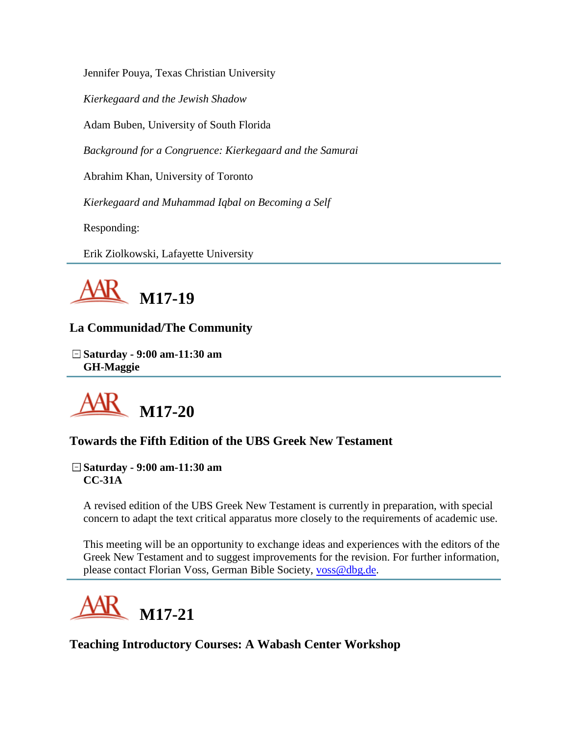Jennifer Pouya, Texas Christian University

*Kierkegaard and the Jewish Shadow*

Adam Buben, University of South Florida

*Background for a Congruence: Kierkegaard and the Samurai*

Abrahim Khan, University of Toronto

*Kierkegaard and Muhammad Iqbal on Becoming a Self*

Responding:

Erik Ziolkowski, Lafayette University



# **La Communidad/The Community**

**Saturday - 9:00 am-11:30 am GH-Maggie**



# **Towards the Fifth Edition of the UBS Greek New Testament**

#### **Saturday - 9:00 am-11:30 am CC-31A**

A revised edition of the UBS Greek New Testament is currently in preparation, with special concern to adapt the text critical apparatus more closely to the requirements of academic use.

This meeting will be an opportunity to exchange ideas and experiences with the editors of the Greek New Testament and to suggest improvements for the revision. For further information, please contact Florian Voss, German Bible Society, [voss@dbg.de.](mailto:voss@dbg.de)



**Teaching Introductory Courses: A Wabash Center Workshop**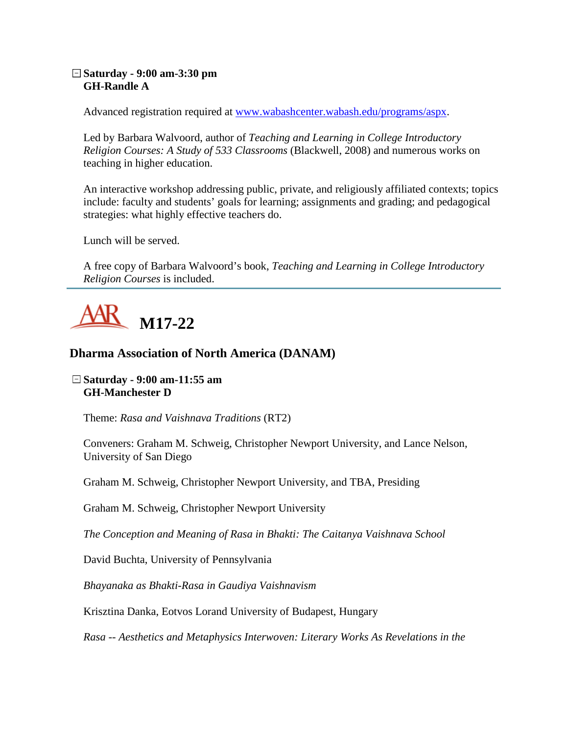### **Saturday - 9:00 am-3:30 pm GH-Randle A**

Advanced registration required at [www.wabashcenter.wabash.edu/programs/aspx.](http://www.wabashcenter.wabash.edu/programs/aspx)

Led by Barbara Walvoord, author of *Teaching and Learning in College Introductory Religion Courses: A Study of 533 Classrooms* (Blackwell, 2008) and numerous works on teaching in higher education.

An interactive workshop addressing public, private, and religiously affiliated contexts; topics include: faculty and students' goals for learning; assignments and grading; and pedagogical strategies: what highly effective teachers do.

Lunch will be served.

A free copy of Barbara Walvoord's book, *Teaching and Learning in College Introductory Religion Courses* is included.



## **Dharma Association of North America (DANAM)**

#### **Saturday - 9:00 am-11:55 am GH-Manchester D**

Theme: *Rasa and Vaishnava Traditions* (RT2)

Conveners: Graham M. Schweig, Christopher Newport University, and Lance Nelson, University of San Diego

Graham M. Schweig, Christopher Newport University, and TBA, Presiding

Graham M. Schweig, Christopher Newport University

*The Conception and Meaning of Rasa in Bhakti: The Caitanya Vaishnava School*

David Buchta, University of Pennsylvania

*Bhayanaka as Bhakti-Rasa in Gaudiya Vaishnavism*

Krisztina Danka, Eotvos Lorand University of Budapest, Hungary

*Rasa -- Aesthetics and Metaphysics Interwoven: Literary Works As Revelations in the*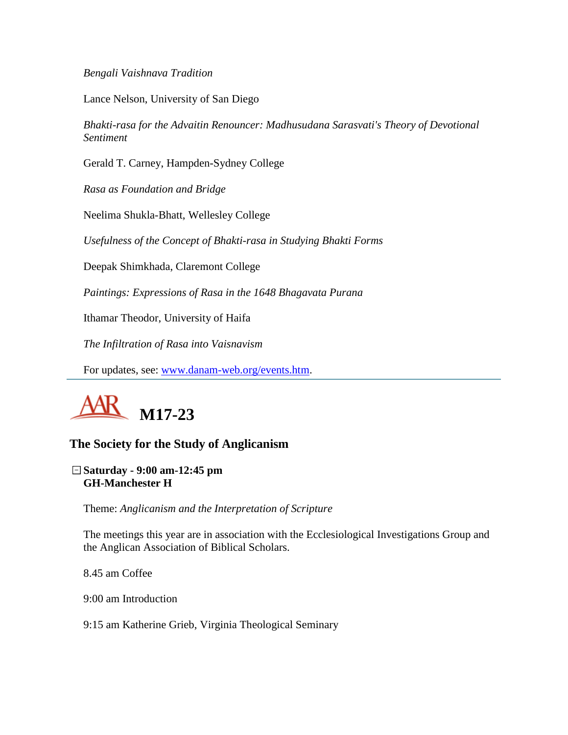*Bengali Vaishnava Tradition*

Lance Nelson, University of San Diego

*Bhakti-rasa for the Advaitin Renouncer: Madhusudana Sarasvati's Theory of Devotional Sentiment*

Gerald T. Carney, Hampden-Sydney College

*Rasa as Foundation and Bridge*

Neelima Shukla-Bhatt, Wellesley College

*Usefulness of the Concept of Bhakti-rasa in Studying Bhakti Forms*

Deepak Shimkhada, Claremont College

*Paintings: Expressions of Rasa in the 1648 Bhagavata Purana*

Ithamar Theodor, University of Haifa

*The Infiltration of Rasa into Vaisnavism* 

For updates, see: [www.danam-web.org/events.htm.](http://www.danam-web.org/events.htm)



### **The Society for the Study of Anglicanism**

**Saturday - 9:00 am-12:45 pm GH-Manchester H**

Theme: *Anglicanism and the Interpretation of Scripture*

The meetings this year are in association with the Ecclesiological Investigations Group and the Anglican Association of Biblical Scholars.

8.45 am Coffee

9:00 am Introduction

9:15 am Katherine Grieb, Virginia Theological Seminary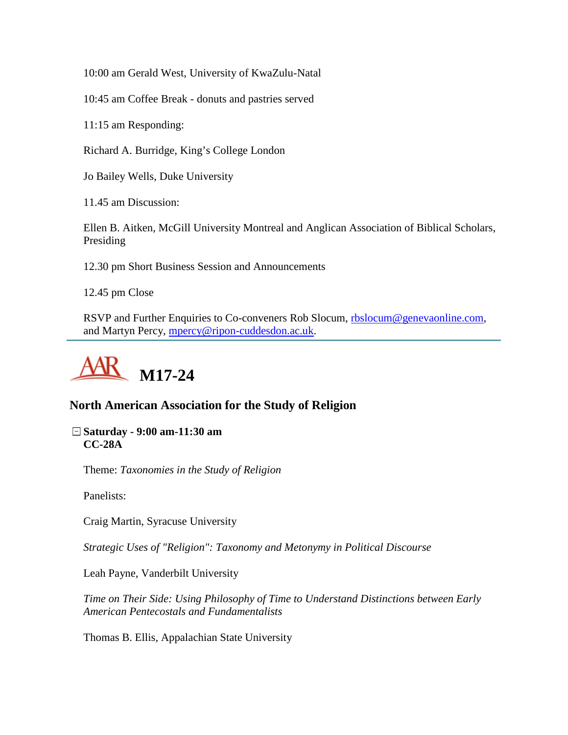10:00 am Gerald West, University of KwaZulu-Natal

10:45 am Coffee Break - donuts and pastries served

11:15 am Responding:

Richard A. Burridge, King's College London

Jo Bailey Wells, Duke University

11.45 am Discussion:

Ellen B. Aitken, McGill University Montreal and Anglican Association of Biblical Scholars, Presiding

12.30 pm Short Business Session and Announcements

12.45 pm Close

RSVP and Further Enquiries to Co-conveners Rob Slocum, [rbslocum@genevaonline.com,](mailto:rbslocum@genevaonline.com) and Martyn Percy, [mpercy@ripon-cuddesdon.ac.uk.](mailto:mpercy@ripon-cuddesdon.ac.uk)



### **North American Association for the Study of Religion**

**Saturday - 9:00 am-11:30 am CC-28A**

Theme: *Taxonomies in the Study of Religion*

Panelists:

Craig Martin, Syracuse University

*Strategic Uses of "Religion": Taxonomy and Metonymy in Political Discourse*

Leah Payne, Vanderbilt University

*Time on Their Side: Using Philosophy of Time to Understand Distinctions between Early American Pentecostals and Fundamentalists*

Thomas B. Ellis, Appalachian State University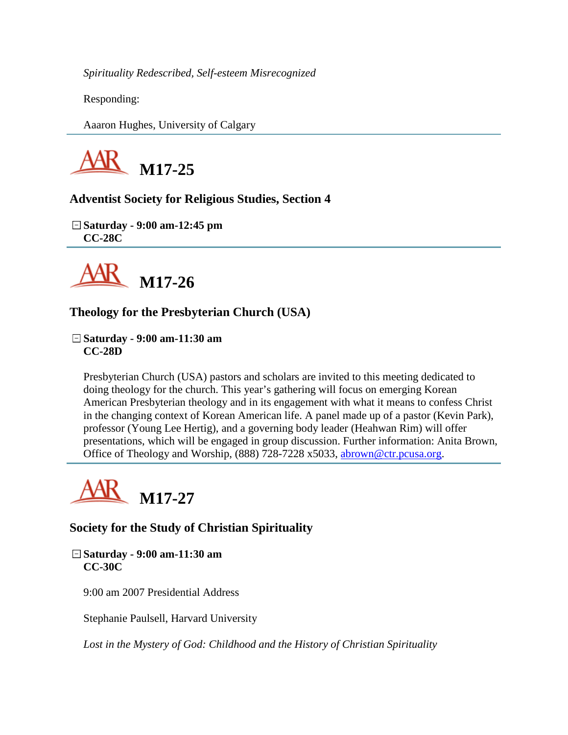*Spirituality Redescribed, Self-esteem Misrecognized*

Responding:

Aaaron Hughes, University of Calgary



**Adventist Society for Religious Studies, Section 4**

**Saturday - 9:00 am-12:45 pm CC-28C**



# **Theology for the Presbyterian Church (USA)**

**Saturday - 9:00 am-11:30 am CC-28D**

Presbyterian Church (USA) pastors and scholars are invited to this meeting dedicated to doing theology for the church. This year's gathering will focus on emerging Korean American Presbyterian theology and in its engagement with what it means to confess Christ in the changing context of Korean American life. A panel made up of a pastor (Kevin Park), professor (Young Lee Hertig), and a governing body leader (Heahwan Rim) will offer presentations, which will be engaged in group discussion. Further information: Anita Brown, Office of Theology and Worship, (888) 728-7228 x5033, [abrown@ctr.pcusa.org.](mailto:abrown@ctr.pcusa.org)



# **Society for the Study of Christian Spirituality**

**Saturday - 9:00 am-11:30 am CC-30C**

9:00 am 2007 Presidential Address

Stephanie Paulsell, Harvard University

*Lost in the Mystery of God: Childhood and the History of Christian Spirituality*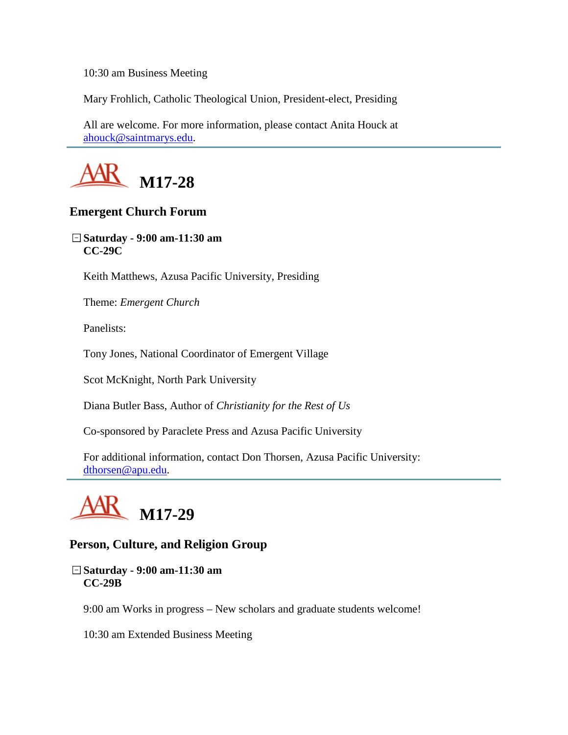10:30 am Business Meeting

Mary Frohlich, Catholic Theological Union, President-elect, Presiding

All are welcome. For more information, please contact Anita Houck at [ahouck@saintmarys.edu.](mailto:ahouck@saintmarys.edu)



### **Emergent Church Forum**

**Saturday - 9:00 am-11:30 am CC-29C**

Keith Matthews, Azusa Pacific University, Presiding

Theme: *Emergent Church*

Panelists:

Tony Jones, National Coordinator of Emergent Village

Scot McKnight, North Park University

Diana Butler Bass, Author of *Christianity for the Rest of Us*

Co-sponsored by Paraclete Press and Azusa Pacific University

For additional information, contact Don Thorsen, Azusa Pacific University: [dthorsen@apu.edu.](mailto:dthorsen@apu.edu)



### **Person, Culture, and Religion Group**

**Saturday - 9:00 am-11:30 am CC-29B**

9:00 am Works in progress – New scholars and graduate students welcome!

10:30 am Extended Business Meeting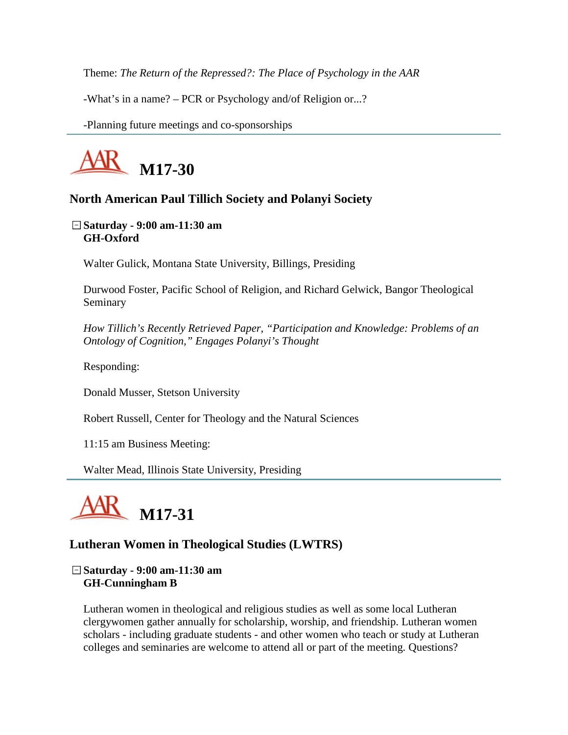Theme: *The Return of the Repressed?: The Place of Psychology in the AAR*

-What's in a name? – PCR or Psychology and/of Religion or...?

-Planning future meetings and co-sponsorships



### **North American Paul Tillich Society and Polanyi Society**

**Saturday - 9:00 am-11:30 am GH-Oxford**

Walter Gulick, Montana State University, Billings, Presiding

Durwood Foster, Pacific School of Religion, and Richard Gelwick, Bangor Theological Seminary

*How Tillich's Recently Retrieved Paper, "Participation and Knowledge: Problems of an Ontology of Cognition," Engages Polanyi's Thought*

Responding:

Donald Musser, Stetson University

Robert Russell, Center for Theology and the Natural Sciences

11:15 am Business Meeting:

Walter Mead, Illinois State University, Presiding



### **Lutheran Women in Theological Studies (LWTRS)**

**Saturday - 9:00 am-11:30 am GH-Cunningham B**

Lutheran women in theological and religious studies as well as some local Lutheran clergywomen gather annually for scholarship, worship, and friendship. Lutheran women scholars - including graduate students - and other women who teach or study at Lutheran colleges and seminaries are welcome to attend all or part of the meeting. Questions?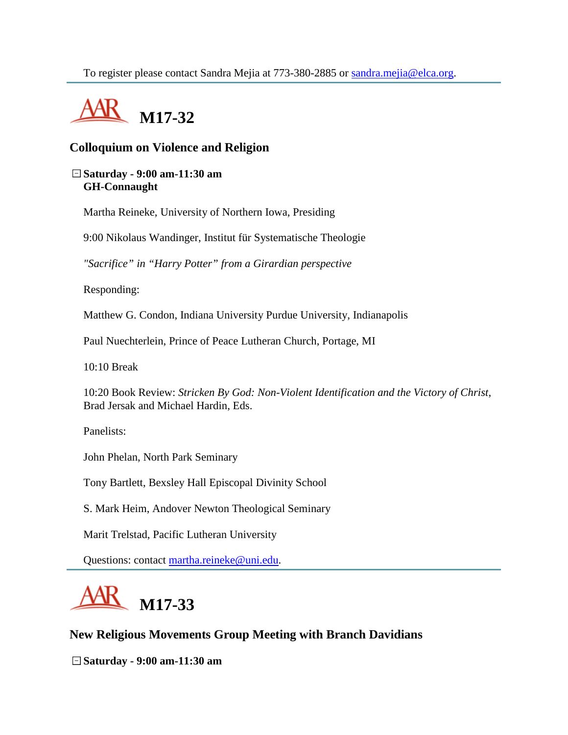

# **Colloquium on Violence and Religion**

#### **Saturday - 9:00 am-11:30 am GH-Connaught**

Martha Reineke, University of Northern Iowa, Presiding

9:00 Nikolaus Wandinger, Institut für Systematische Theologie

*"Sacrifice" in "Harry Potter" from a Girardian perspective*

Responding:

Matthew G. Condon, Indiana University Purdue University, Indianapolis

Paul Nuechterlein, Prince of Peace Lutheran Church, Portage, MI

10:10 Break

10:20 Book Review: *Stricken By God: Non-Violent Identification and the Victory of Christ*, Brad Jersak and Michael Hardin, Eds.

Panelists:

John Phelan, North Park Seminary

Tony Bartlett, Bexsley Hall Episcopal Divinity School

S. Mark Heim, Andover Newton Theological Seminary

Marit Trelstad, Pacific Lutheran University

Questions: contact [martha.reineke@uni.edu.](mailto:martha.reineke@uni.edu)



### **New Religious Movements Group Meeting with Branch Davidians**

**Saturday - 9:00 am-11:30 am**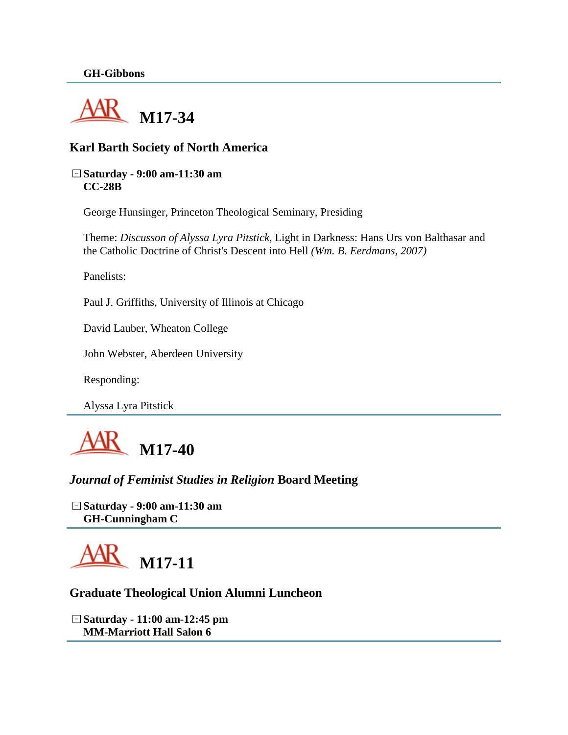

### **Karl Barth Society of North America**

#### **Saturday - 9:00 am-11:30 am CC-28B**

George Hunsinger, Princeton Theological Seminary, Presiding

Theme: *Discusson of Alyssa Lyra Pitstick,* Light in Darkness: Hans Urs von Balthasar and the Catholic Doctrine of Christ's Descent into Hell *(Wm. B. Eerdmans, 2007)*

Panelists:

Paul J. Griffiths, University of Illinois at Chicago

David Lauber, Wheaton College

John Webster, Aberdeen University

Responding:

Alyssa Lyra Pitstick



*Journal of Feminist Studies in Religion* **Board Meeting**

**Saturday - 9:00 am-11:30 am GH-Cunningham C**



### **Graduate Theological Union Alumni Luncheon**

**Saturday - 11:00 am-12:45 pm MM-Marriott Hall Salon 6**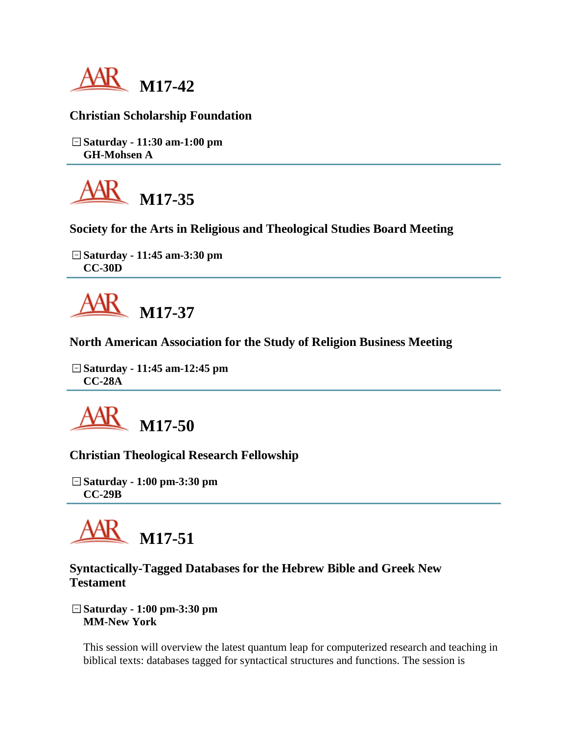

## **Christian Scholarship Foundation**

**Saturday - 11:30 am-1:00 pm GH-Mohsen A**



**Society for the Arts in Religious and Theological Studies Board Meeting**

**Saturday - 11:45 am-3:30 pm CC-30D**



**North American Association for the Study of Religion Business Meeting**

**Saturday - 11:45 am-12:45 pm CC-28A**



**Christian Theological Research Fellowship**

**Saturday - 1:00 pm-3:30 pm CC-29B**



## **Syntactically-Tagged Databases for the Hebrew Bible and Greek New Testament**

**Saturday - 1:00 pm-3:30 pm MM-New York**

This session will overview the latest quantum leap for computerized research and teaching in biblical texts: databases tagged for syntactical structures and functions. The session is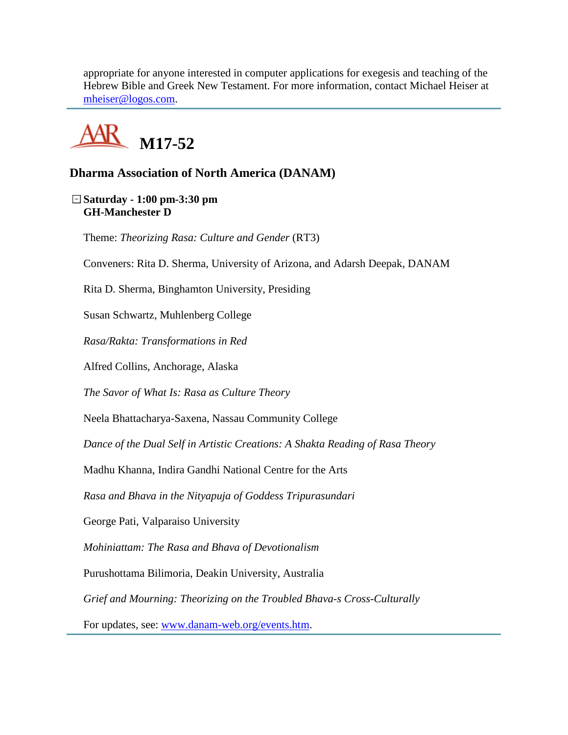appropriate for anyone interested in computer applications for exegesis and teaching of the Hebrew Bible and Greek New Testament. For more information, contact Michael Heiser at [mheiser@logos.com.](mailto:mheiser@logos.com)



## **Dharma Association of North America (DANAM)**

**Saturday - 1:00 pm-3:30 pm GH-Manchester D**

Theme: *Theorizing Rasa: Culture and Gender* (RT3)

Conveners: Rita D. Sherma, University of Arizona, and Adarsh Deepak, DANAM

Rita D. Sherma, Binghamton University, Presiding

Susan Schwartz, Muhlenberg College

*Rasa/Rakta: Transformations in Red* 

Alfred Collins, Anchorage, Alaska

*The Savor of What Is: Rasa as Culture Theory*

Neela Bhattacharya-Saxena, Nassau Community College

*Dance of the Dual Self in Artistic Creations: A Shakta Reading of Rasa Theory*

Madhu Khanna, Indira Gandhi National Centre for the Arts

*Rasa and Bhava in the Nityapuja of Goddess Tripurasundari* 

George Pati, Valparaiso University

*Mohiniattam: The Rasa and Bhava of Devotionalism*

Purushottama Bilimoria, Deakin University, Australia

*Grief and Mourning: Theorizing on the Troubled Bhava-s Cross-Culturally*

For updates, see: [www.danam-web.org/events.htm.](http://www.danam-web.org/events.htm)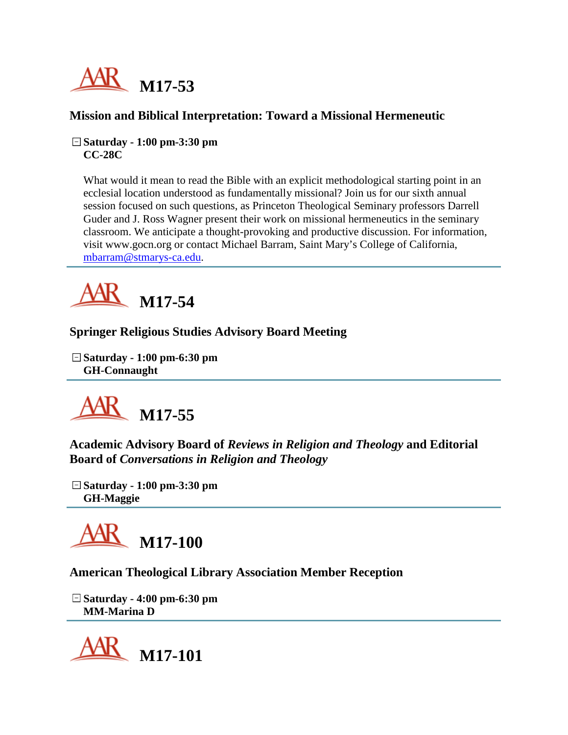

## **Mission and Biblical Interpretation: Toward a Missional Hermeneutic**

**Saturday - 1:00 pm-3:30 pm CC-28C**

What would it mean to read the Bible with an explicit methodological starting point in an ecclesial location understood as fundamentally missional? Join us for our sixth annual session focused on such questions, as Princeton Theological Seminary professors Darrell Guder and J. Ross Wagner present their work on missional hermeneutics in the seminary classroom. We anticipate a thought-provoking and productive discussion. For information, visit www.gocn.org or contact Michael Barram, Saint Mary's College of California, [mbarram@stmarys-ca.edu.](mailto:mbarram@stmarys-ca.edu)



# **Springer Religious Studies Advisory Board Meeting**

**Saturday - 1:00 pm-6:30 pm GH-Connaught**



**Academic Advisory Board of** *Reviews in Religion and Theology* **and Editorial Board of** *Conversations in Religion and Theology*

**Saturday - 1:00 pm-3:30 pm GH-Maggie**



**American Theological Library Association Member Reception**

**Saturday - 4:00 pm-6:30 pm MM-Marina D**

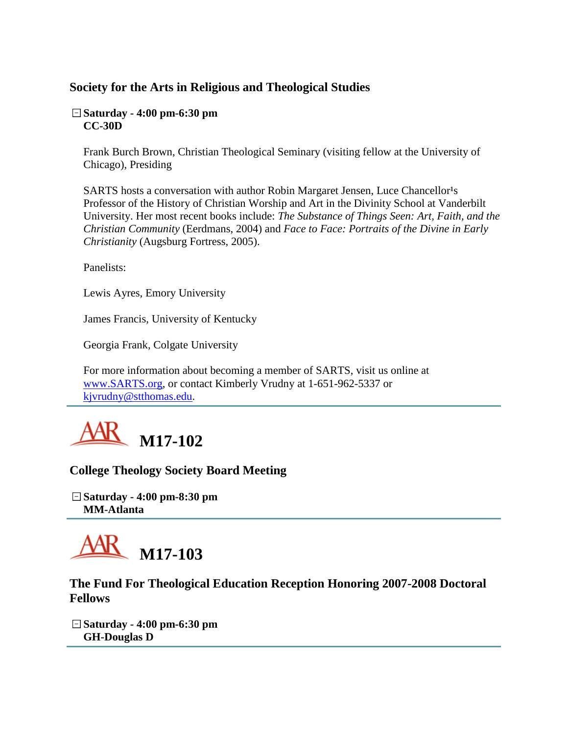# **Society for the Arts in Religious and Theological Studies**

### **Saturday - 4:00 pm-6:30 pm CC-30D**

Frank Burch Brown, Christian Theological Seminary (visiting fellow at the University of Chicago), Presiding

SARTS hosts a conversation with author Robin Margaret Jensen, Luce Chancellor<sup>1</sup>s Professor of the History of Christian Worship and Art in the Divinity School at Vanderbilt University. Her most recent books include: *The Substance of Things Seen: Art, Faith, and the Christian Community* (Eerdmans, 2004) and *Face to Face: Portraits of the Divine in Early Christianity* (Augsburg Fortress, 2005).

Panelists:

Lewis Ayres, Emory University

James Francis, University of Kentucky

Georgia Frank, Colgate University

For more information about becoming a member of SARTS, visit us online at [www.SARTS.org,](http://www.sarts.org/) or contact Kimberly Vrudny at 1-651-962-5337 or [kjvrudny@stthomas.edu.](mailto:kjvrudny@stthomas.edu)



### **College Theology Society Board Meeting**

**Saturday - 4:00 pm-8:30 pm MM-Atlanta**



**The Fund For Theological Education Reception Honoring 2007-2008 Doctoral Fellows**

**Saturday - 4:00 pm-6:30 pm GH-Douglas D**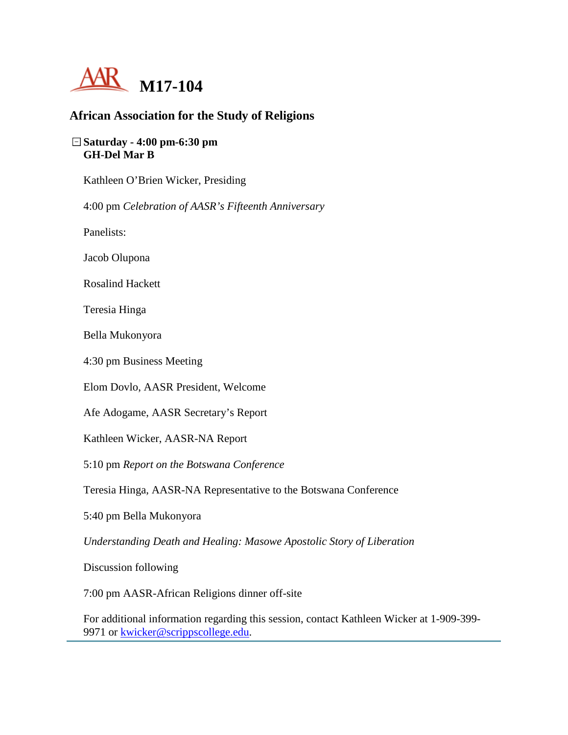

### **African Association for the Study of Religions**

### **Saturday - 4:00 pm-6:30 pm GH-Del Mar B**

Kathleen O'Brien Wicker, Presiding

4:00 pm *Celebration of AASR's Fifteenth Anniversary*

Panelists:

Jacob Olupona

Rosalind Hackett

Teresia Hinga

Bella Mukonyora

4:30 pm Business Meeting

Elom Dovlo, AASR President, Welcome

Afe Adogame, AASR Secretary's Report

Kathleen Wicker, AASR-NA Report

5:10 pm *Report on the Botswana Conference*

Teresia Hinga, AASR-NA Representative to the Botswana Conference

5:40 pm Bella Mukonyora

*Understanding Death and Healing: Masowe Apostolic Story of Liberation*

Discussion following

7:00 pm AASR-African Religions dinner off-site

For additional information regarding this session, contact Kathleen Wicker at 1-909-399 9971 or [kwicker@scrippscollege.edu.](mailto:kwicker@scrippscollege.edu)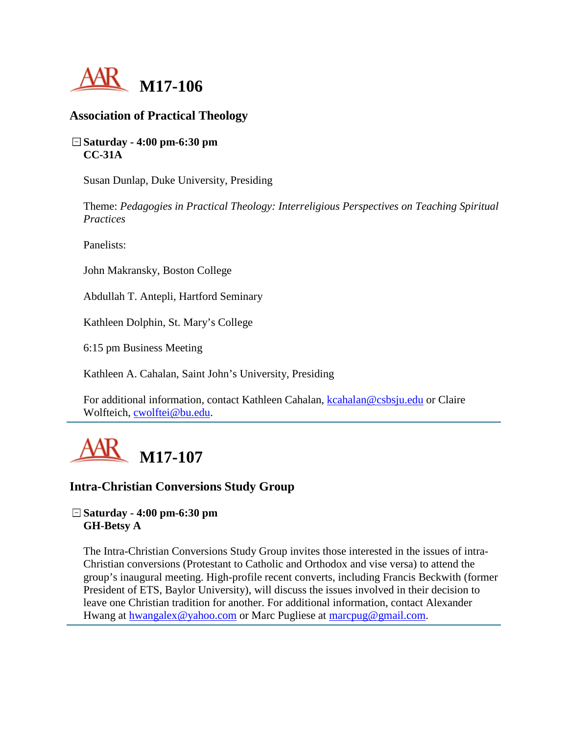

### **Association of Practical Theology**

**Saturday - 4:00 pm-6:30 pm CC-31A**

Susan Dunlap, Duke University, Presiding

Theme: *Pedagogies in Practical Theology: Interreligious Perspectives on Teaching Spiritual Practices*

Panelists:

John Makransky, Boston College

Abdullah T. Antepli, Hartford Seminary

Kathleen Dolphin, St. Mary's College

6:15 pm Business Meeting

Kathleen A. Cahalan, Saint John's University, Presiding

For additional information, contact Kathleen Cahalan, [kcahalan@csbsju.edu](mailto:kcahalan@csbsju.edu) or Claire Wolfteich, [cwolftei@bu.edu.](mailto:cwolftei@bu.edu)



### **Intra-Christian Conversions Study Group**

### **Saturday - 4:00 pm-6:30 pm GH-Betsy A**

The Intra-Christian Conversions Study Group invites those interested in the issues of intra-Christian conversions (Protestant to Catholic and Orthodox and vise versa) to attend the group's inaugural meeting. High-profile recent converts, including Francis Beckwith (former President of ETS, Baylor University), will discuss the issues involved in their decision to leave one Christian tradition for another. For additional information, contact Alexander Hwang at [hwangalex@yahoo.com](mailto:hwangalex@yahoo.com) or Marc Pugliese at [marcpug@gmail.com.](mailto:marcpug@gmail.com)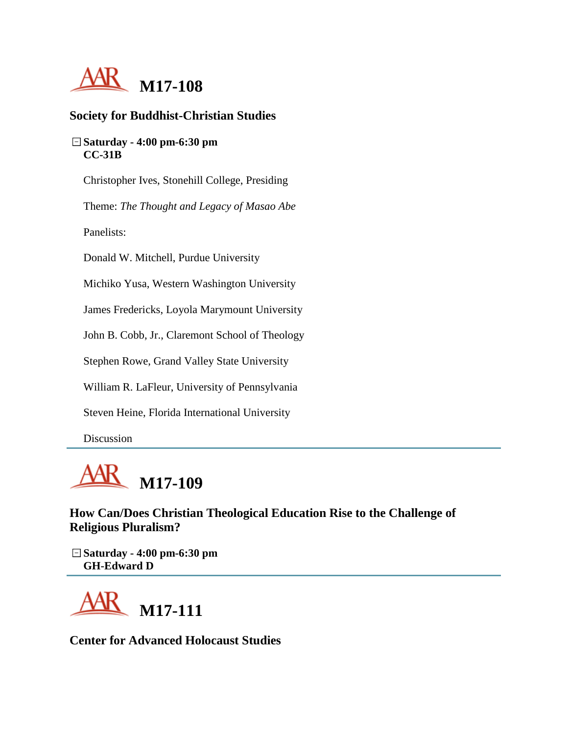

### **Society for Buddhist-Christian Studies**

### **Saturday - 4:00 pm-6:30 pm CC-31B**

Christopher Ives, Stonehill College, Presiding

Theme: *The Thought and Legacy of Masao Abe*

Panelists:

Donald W. Mitchell, Purdue University

Michiko Yusa, Western Washington University

James Fredericks, Loyola Marymount University

John B. Cobb, Jr., Claremont School of Theology

Stephen Rowe, Grand Valley State University

William R. LaFleur, University of Pennsylvania

Steven Heine, Florida International University

Discussion



**How Can/Does Christian Theological Education Rise to the Challenge of Religious Pluralism?**

**Saturday - 4:00 pm-6:30 pm GH-Edward D**



**Center for Advanced Holocaust Studies**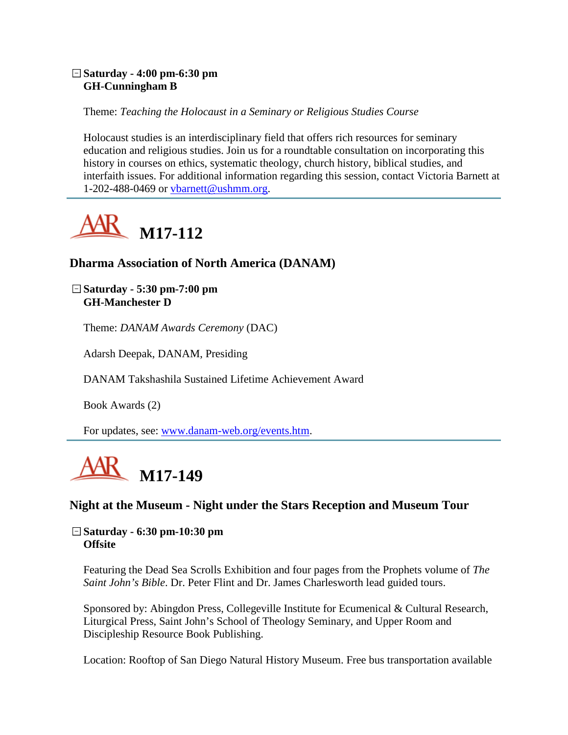### **Saturday - 4:00 pm-6:30 pm GH-Cunningham B**

Theme: *Teaching the Holocaust in a Seminary or Religious Studies Course*

Holocaust studies is an interdisciplinary field that offers rich resources for seminary education and religious studies. Join us for a roundtable consultation on incorporating this history in courses on ethics, systematic theology, church history, biblical studies, and interfaith issues. For additional information regarding this session, contact Victoria Barnett at 1-202-488-0469 or [vbarnett@ushmm.org.](mailto:vbarnett@ushmm.org)



## **Dharma Association of North America (DANAM)**

**Saturday - 5:30 pm-7:00 pm GH-Manchester D**

Theme: *DANAM Awards Ceremony* (DAC)

Adarsh Deepak, DANAM, Presiding

DANAM Takshashila Sustained Lifetime Achievement Award

Book Awards (2)

For updates, see: [www.danam-web.org/events.htm.](http://www.danam-web.org/events.htm)



### **Night at the Museum - Night under the Stars Reception and Museum Tour**

**Saturday - 6:30 pm-10:30 pm Offsite**

Featuring the Dead Sea Scrolls Exhibition and four pages from the Prophets volume of *The Saint John's Bible*. Dr. Peter Flint and Dr. James Charlesworth lead guided tours.

Sponsored by: Abingdon Press, Collegeville Institute for Ecumenical & Cultural Research, Liturgical Press, Saint John's School of Theology Seminary, and Upper Room and Discipleship Resource Book Publishing.

Location: Rooftop of San Diego Natural History Museum. Free bus transportation available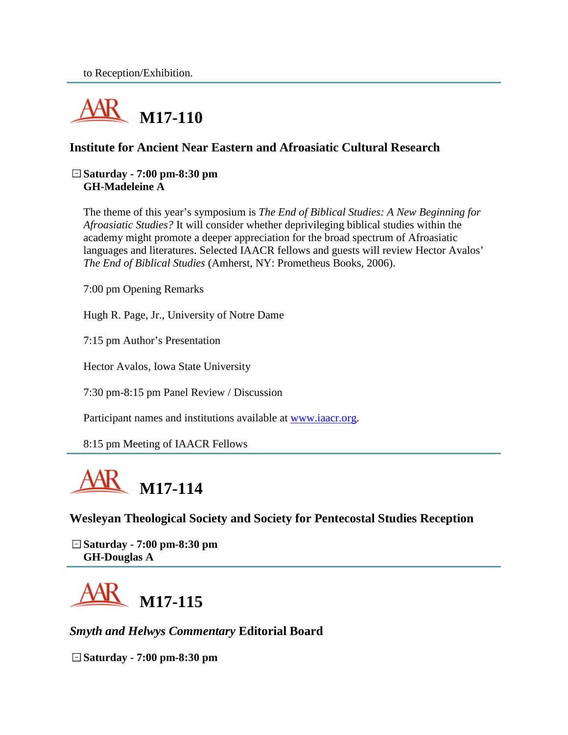

# **Institute for Ancient Near Eastern and Afroasiatic Cultural Research**

#### **Saturday - 7:00 pm-8:30 pm GH-Madeleine A**

The theme of this year's symposium is *The End of Biblical Studies: A New Beginning for Afroasiatic Studies?* It will consider whether deprivileging biblical studies within the academy might promote a deeper appreciation for the broad spectrum of Afroasiatic languages and literatures. Selected IAACR fellows and guests will review Hector Avalos' *The End of Biblical Studies* (Amherst, NY: Prometheus Books, 2006).

7:00 pm Opening Remarks

Hugh R. Page, Jr., University of Notre Dame

7:15 pm Author's Presentation

Hector Avalos, Iowa State University

7:30 pm-8:15 pm Panel Review / Discussion

Participant names and institutions available at [www.iaacr.org.](http://www.iaacr.org/)

8:15 pm Meeting of IAACR Fellows



**Wesleyan Theological Society and Society for Pentecostal Studies Reception**

**Saturday - 7:00 pm-8:30 pm GH-Douglas A**



*Smyth and Helwys Commentary* **Editorial Board**

**Saturday - 7:00 pm-8:30 pm**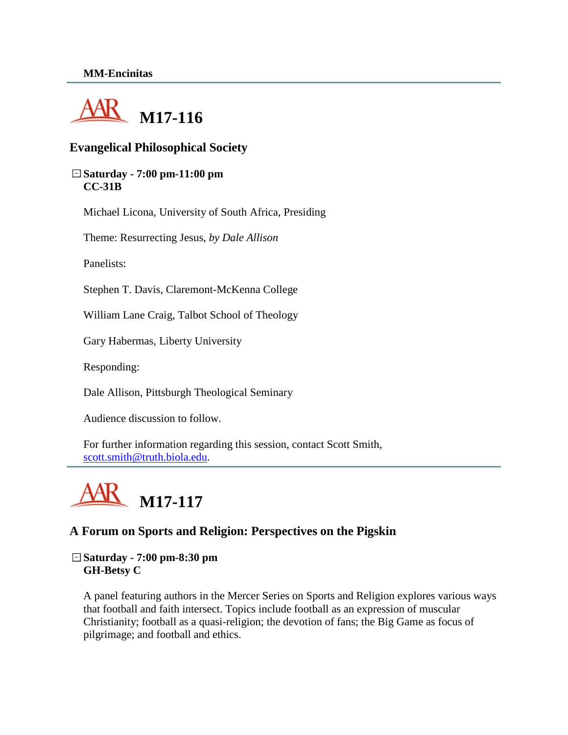

### **Evangelical Philosophical Society**

#### **Saturday - 7:00 pm-11:00 pm CC-31B**

Michael Licona, University of South Africa, Presiding

Theme: Resurrecting Jesus, *by Dale Allison*

Panelists:

Stephen T. Davis, Claremont-McKenna College

William Lane Craig, Talbot School of Theology

Gary Habermas, Liberty University

Responding:

Dale Allison, Pittsburgh Theological Seminary

Audience discussion to follow.

For further information regarding this session, contact Scott Smith, [scott.smith@truth.biola.edu.](mailto:scott.smith@truth.biola.edu)



### **A Forum on Sports and Religion: Perspectives on the Pigskin**

**Saturday - 7:00 pm-8:30 pm GH-Betsy C**

A panel featuring authors in the Mercer Series on Sports and Religion explores various ways that football and faith intersect. Topics include football as an expression of muscular Christianity; football as a quasi-religion; the devotion of fans; the Big Game as focus of pilgrimage; and football and ethics.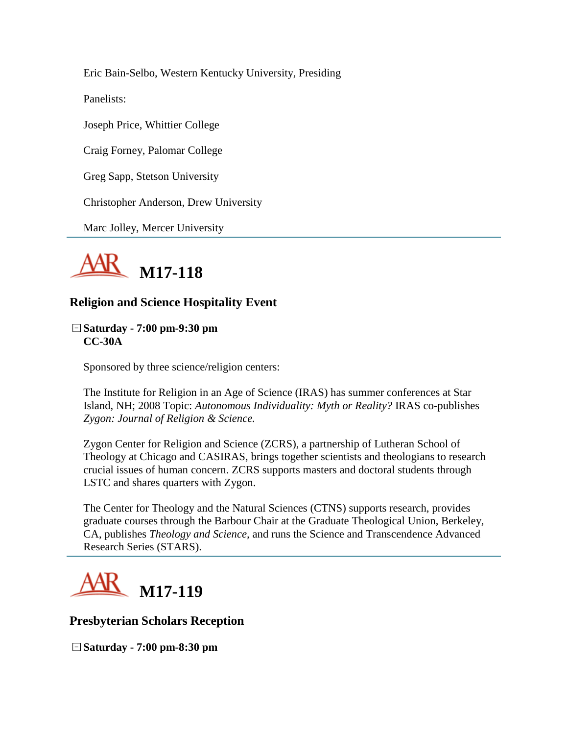Eric Bain-Selbo, Western Kentucky University, Presiding

Panelists:

Joseph Price, Whittier College

Craig Forney, Palomar College

Greg Sapp, Stetson University

Christopher Anderson, Drew University

Marc Jolley, Mercer University



## **Religion and Science Hospitality Event**

**Saturday - 7:00 pm-9:30 pm CC-30A**

Sponsored by three science/religion centers:

The Institute for Religion in an Age of Science (IRAS) has summer conferences at Star Island, NH; 2008 Topic: *Autonomous Individuality: Myth or Reality?* IRAS co-publishes *Zygon: Journal of Religion & Science.*

Zygon Center for Religion and Science (ZCRS), a partnership of Lutheran School of Theology at Chicago and CASIRAS, brings together scientists and theologians to research crucial issues of human concern. ZCRS supports masters and doctoral students through LSTC and shares quarters with Zygon.

The Center for Theology and the Natural Sciences (CTNS) supports research, provides graduate courses through the Barbour Chair at the Graduate Theological Union, Berkeley, CA, publishes *Theology and Science,* and runs the Science and Transcendence Advanced Research Series (STARS).



### **Presbyterian Scholars Reception**

**Saturday - 7:00 pm-8:30 pm**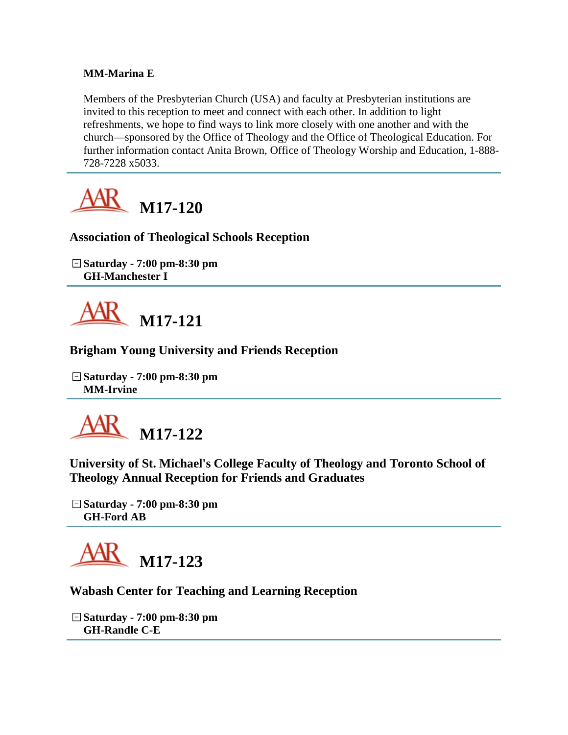### **MM-Marina E**

Members of the Presbyterian Church (USA) and faculty at Presbyterian institutions are invited to this reception to meet and connect with each other. In addition to light refreshments, we hope to find ways to link more closely with one another and with the church—sponsored by the Office of Theology and the Office of Theological Education. For further information contact Anita Brown, Office of Theology Worship and Education, 1-888- 728-7228 x5033.



### **Association of Theological Schools Reception**

**Saturday - 7:00 pm-8:30 pm GH-Manchester I**



### **Brigham Young University and Friends Reception**

**Saturday - 7:00 pm-8:30 pm MM-Irvine**



**University of St. Michael's College Faculty of Theology and Toronto School of Theology Annual Reception for Friends and Graduates**

**Saturday - 7:00 pm-8:30 pm GH-Ford AB**



### **Wabash Center for Teaching and Learning Reception**

**Saturday - 7:00 pm-8:30 pm GH-Randle C-E**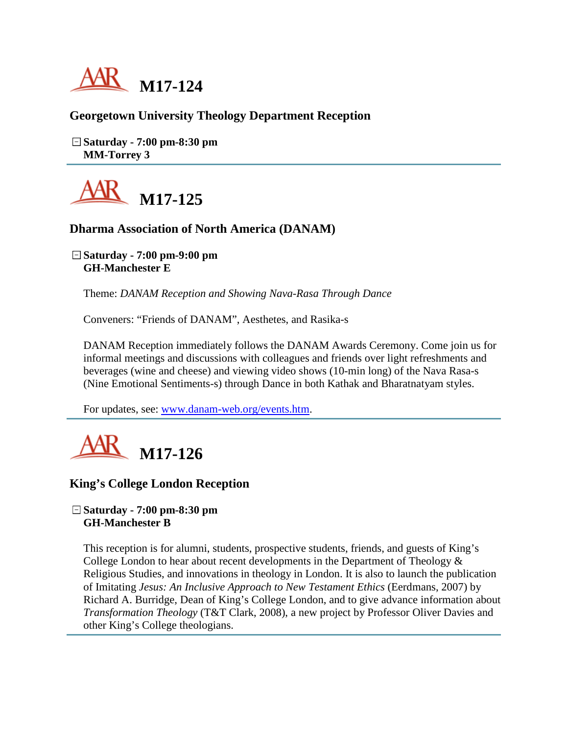

### **Georgetown University Theology Department Reception**

**Saturday - 7:00 pm-8:30 pm MM-Torrey 3**



### **Dharma Association of North America (DANAM)**

**Saturday - 7:00 pm-9:00 pm GH-Manchester E**

Theme: *DANAM Reception and Showing Nava-Rasa Through Dance*

Conveners: "Friends of DANAM", Aesthetes, and Rasika-s

DANAM Reception immediately follows the DANAM Awards Ceremony. Come join us for informal meetings and discussions with colleagues and friends over light refreshments and beverages (wine and cheese) and viewing video shows (10-min long) of the Nava Rasa-s (Nine Emotional Sentiments-s) through Dance in both Kathak and Bharatnatyam styles.

For updates, see: [www.danam-web.org/events.htm.](http://www.danam-web.org/events.htm)



### **King's College London Reception**

#### **Saturday - 7:00 pm-8:30 pm GH-Manchester B**

This reception is for alumni, students, prospective students, friends, and guests of King's College London to hear about recent developments in the Department of Theology  $\&$ Religious Studies, and innovations in theology in London. It is also to launch the publication of Imitating *Jesus: An Inclusive Approach to New Testament Ethics* (Eerdmans, 2007) by Richard A. Burridge, Dean of King's College London, and to give advance information about *Transformation Theology* (T&T Clark, 2008), a new project by Professor Oliver Davies and other King's College theologians.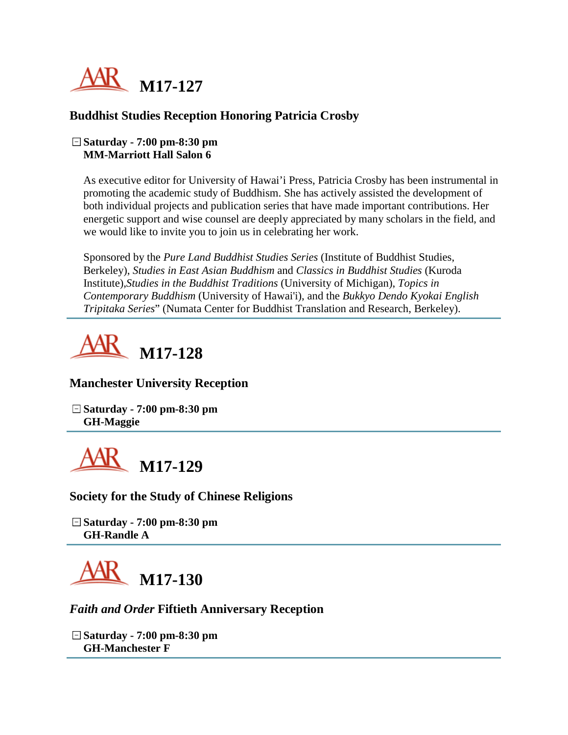

### **Buddhist Studies Reception Honoring Patricia Crosby**

#### **Saturday - 7:00 pm-8:30 pm MM-Marriott Hall Salon 6**

As executive editor for University of Hawai'i Press, Patricia Crosby has been instrumental in promoting the academic study of Buddhism. She has actively assisted the development of both individual projects and publication series that have made important contributions. Her energetic support and wise counsel are deeply appreciated by many scholars in the field, and we would like to invite you to join us in celebrating her work.

Sponsored by the *Pure Land Buddhist Studies Series* (Institute of Buddhist Studies, Berkeley), *Studies in East Asian Buddhism* and *Classics in Buddhist Studies* (Kuroda Institute),*Studies in the Buddhist Traditions* (University of Michigan), *Topics in Contemporary Buddhism* (University of Hawai'i), and the *Bukkyo Dendo Kyokai English Tripitaka Series*" (Numata Center for Buddhist Translation and Research, Berkeley).



### **Manchester University Reception**

**Saturday - 7:00 pm-8:30 pm GH-Maggie**



**Society for the Study of Chinese Religions**

**Saturday - 7:00 pm-8:30 pm GH-Randle A**



### *Faith and Order* **Fiftieth Anniversary Reception**

**Saturday - 7:00 pm-8:30 pm GH-Manchester F**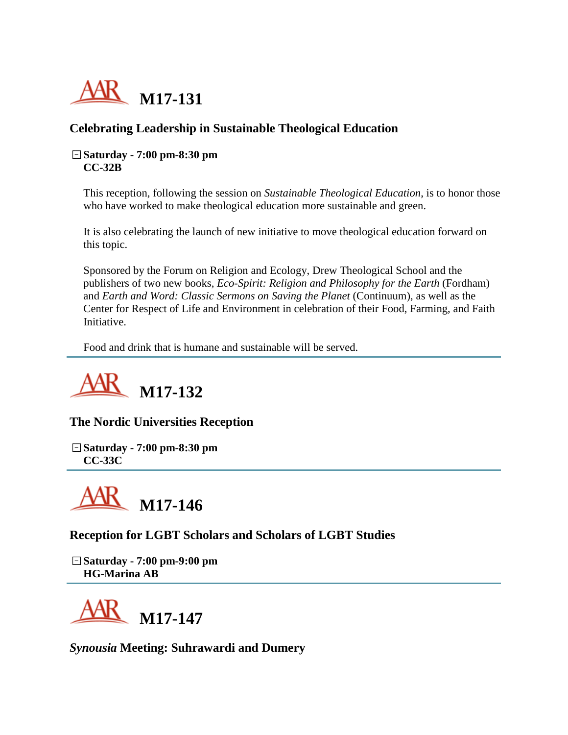

# **Celebrating Leadership in Sustainable Theological Education**

#### **Saturday - 7:00 pm-8:30 pm CC-32B**

This reception, following the session on *Sustainable Theological Education*, is to honor those who have worked to make theological education more sustainable and green.

It is also celebrating the launch of new initiative to move theological education forward on this topic.

Sponsored by the Forum on Religion and Ecology, Drew Theological School and the publishers of two new books, *Eco-Spirit: Religion and Philosophy for the Earth* (Fordham) and *Earth and Word: Classic Sermons on Saving the Planet* (Continuum), as well as the Center for Respect of Life and Environment in celebration of their Food, Farming, and Faith Initiative.

Food and drink that is humane and sustainable will be served.



### **The Nordic Universities Reception**

**Saturday - 7:00 pm-8:30 pm CC-33C**



**Reception for LGBT Scholars and Scholars of LGBT Studies**

**Saturday - 7:00 pm-9:00 pm HG-Marina AB**



*Synousia* **Meeting: Suhrawardi and Dumery**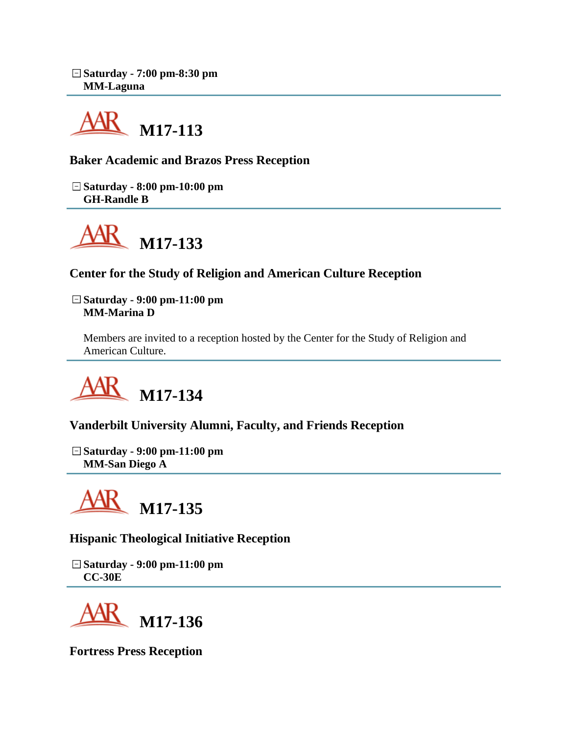

**Baker Academic and Brazos Press Reception**

**Saturday - 8:00 pm-10:00 pm GH-Randle B**



**Center for the Study of Religion and American Culture Reception**

**Saturday - 9:00 pm-11:00 pm MM-Marina D**

Members are invited to a reception hosted by the Center for the Study of Religion and American Culture.



**Vanderbilt University Alumni, Faculty, and Friends Reception**

**Saturday - 9:00 pm-11:00 pm MM-San Diego A**



**Hispanic Theological Initiative Reception**

**Saturday - 9:00 pm-11:00 pm CC-30E**



**Fortress Press Reception**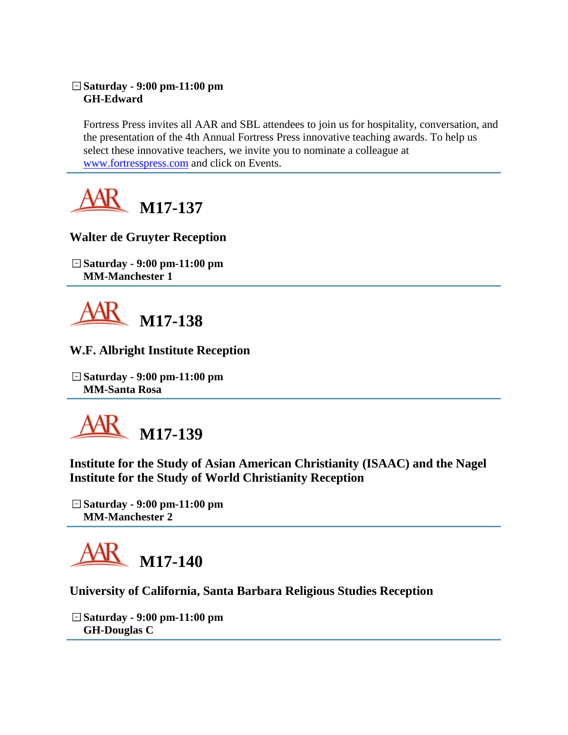### **Saturday - 9:00 pm-11:00 pm GH-Edward**

Fortress Press invites all AAR and SBL attendees to join us for hospitality, conversation, and the presentation of the 4th Annual Fortress Press innovative teaching awards. To help us select these innovative teachers, we invite you to nominate a colleague at [www.fortresspress.com](http://www.fortresspress.com/) and click on Events.



# **Walter de Gruyter Reception**

**Saturday - 9:00 pm-11:00 pm MM-Manchester 1**



## **W.F. Albright Institute Reception**

**Saturday - 9:00 pm-11:00 pm MM-Santa Rosa**



**Institute for the Study of Asian American Christianity (ISAAC) and the Nagel Institute for the Study of World Christianity Reception**

**Saturday - 9:00 pm-11:00 pm MM-Manchester 2**



### **University of California, Santa Barbara Religious Studies Reception**

**Saturday - 9:00 pm-11:00 pm GH-Douglas C**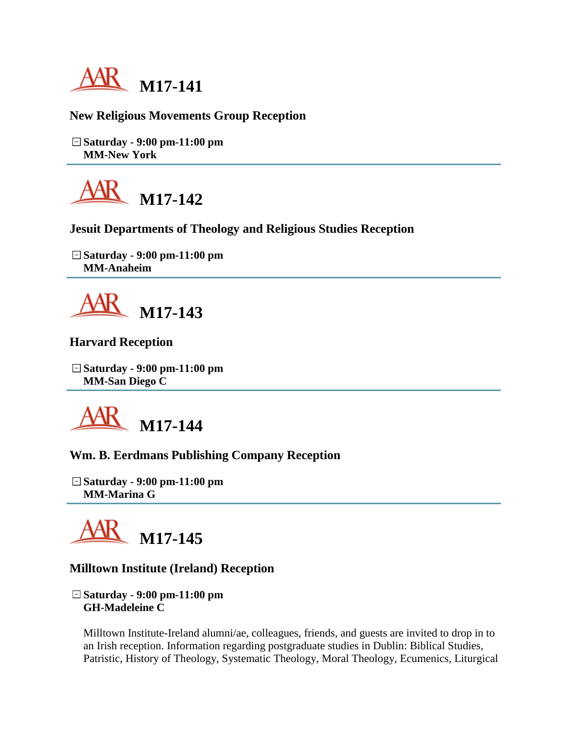

## **New Religious Movements Group Reception**

**Saturday - 9:00 pm-11:00 pm MM-New York**



### **Jesuit Departments of Theology and Religious Studies Reception**

**Saturday - 9:00 pm-11:00 pm MM-Anaheim**



### **Harvard Reception**

**Saturday - 9:00 pm-11:00 pm MM-San Diego C**



### **Wm. B. Eerdmans Publishing Company Reception**

**Saturday - 9:00 pm-11:00 pm MM-Marina G**



### **Milltown Institute (Ireland) Reception**

**Saturday - 9:00 pm-11:00 pm GH-Madeleine C**

Milltown Institute-Ireland alumni/ae, colleagues, friends, and guests are invited to drop in to an Irish reception. Information regarding postgraduate studies in Dublin: Biblical Studies, Patristic, History of Theology, Systematic Theology, Moral Theology, Ecumenics, Liturgical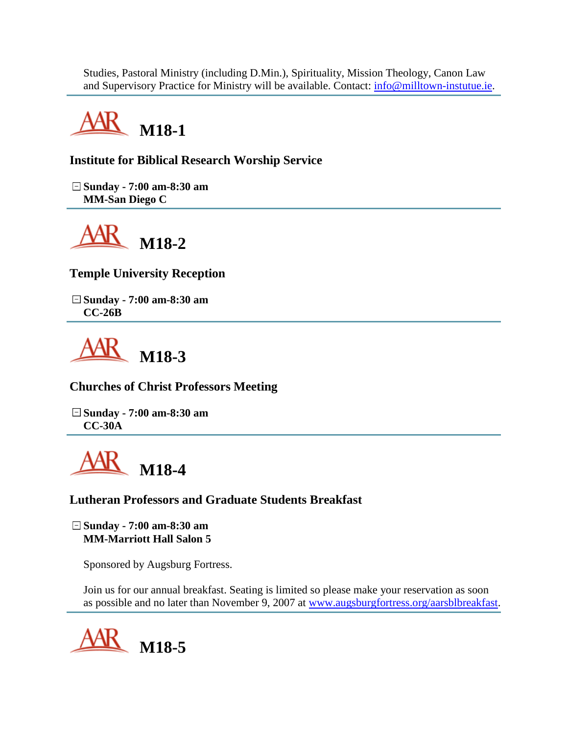Studies, Pastoral Ministry (including D.Min.), Spirituality, Mission Theology, Canon Law and Supervisory Practice for Ministry will be available. Contact:  $\inf_{{\mathcal{O}} \subset {\mathcal{O}}}$  milltown-instutue.ie.



# **Institute for Biblical Research Worship Service**

**Sunday - 7:00 am-8:30 am MM-San Diego C**



**Temple University Reception**

**Sunday - 7:00 am-8:30 am CC-26B**



**Churches of Christ Professors Meeting**

**Sunday - 7:00 am-8:30 am CC-30A**



### **Lutheran Professors and Graduate Students Breakfast**

**Sunday - 7:00 am-8:30 am MM-Marriott Hall Salon 5**

Sponsored by Augsburg Fortress.

Join us for our annual breakfast. Seating is limited so please make your reservation as soon as possible and no later than November 9, 2007 at [www.augsburgfortress.org/aarsblbreakfast.](http://www.augsburgfortress.org/aarsblbreakfast)

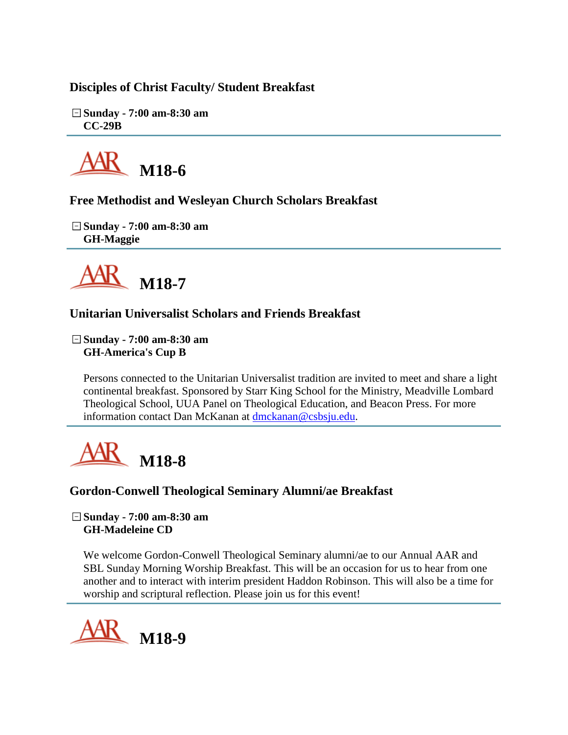## **Disciples of Christ Faculty/ Student Breakfast**

**Sunday - 7:00 am-8:30 am CC-29B**



**Free Methodist and Wesleyan Church Scholars Breakfast**

**Sunday - 7:00 am-8:30 am GH-Maggie**



# **Unitarian Universalist Scholars and Friends Breakfast**

**Sunday - 7:00 am-8:30 am GH-America's Cup B**

Persons connected to the Unitarian Universalist tradition are invited to meet and share a light continental breakfast. Sponsored by Starr King School for the Ministry, Meadville Lombard Theological School, UUA Panel on Theological Education, and Beacon Press. For more information contact Dan McKanan at [dmckanan@csbsju.edu.](mailto:dmckanan@csbsju.edu)



**Gordon-Conwell Theological Seminary Alumni/ae Breakfast**

**Sunday - 7:00 am-8:30 am GH-Madeleine CD**

We welcome Gordon-Conwell Theological Seminary alumni/ae to our Annual AAR and SBL Sunday Morning Worship Breakfast. This will be an occasion for us to hear from one another and to interact with interim president Haddon Robinson. This will also be a time for worship and scriptural reflection. Please join us for this event!

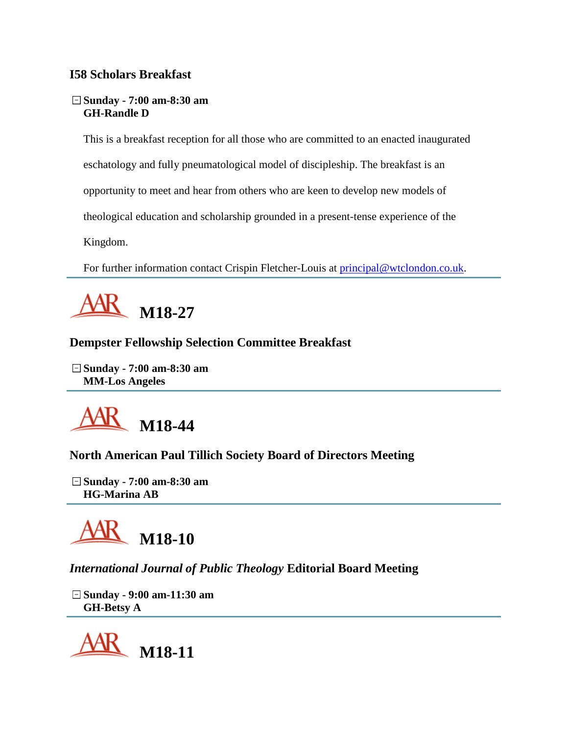## **I58 Scholars Breakfast**

### **Sunday - 7:00 am-8:30 am GH-Randle D**

This is a breakfast reception for all those who are committed to an enacted inaugurated eschatology and fully pneumatological model of discipleship. The breakfast is an opportunity to meet and hear from others who are keen to develop new models of theological education and scholarship grounded in a present-tense experience of the Kingdom.

For further information contact Crispin Fletcher-Louis at [principal@wtclondon.co.uk.](mailto:principal@wtclondon.co.uk)



# **Dempster Fellowship Selection Committee Breakfast**

**Sunday - 7:00 am-8:30 am MM-Los Angeles**



# **North American Paul Tillich Society Board of Directors Meeting**

**Sunday - 7:00 am-8:30 am HG-Marina AB**



# *International Journal of Public Theology* **Editorial Board Meeting**

**Sunday - 9:00 am-11:30 am GH-Betsy A**

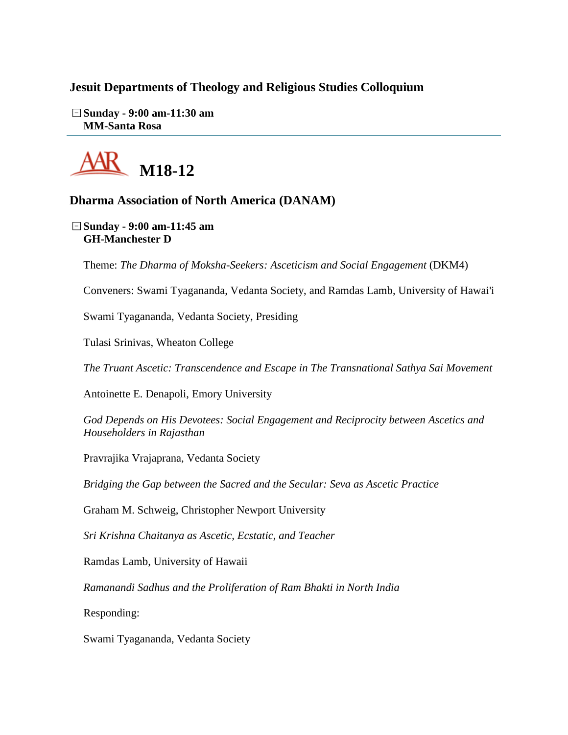### **Jesuit Departments of Theology and Religious Studies Colloquium**

**Sunday - 9:00 am-11:30 am MM-Santa Rosa**



### **Dharma Association of North America (DANAM)**

**Sunday - 9:00 am-11:45 am GH-Manchester D**

Theme: *The Dharma of Moksha-Seekers: Asceticism and Social Engagement* (DKM4)

Conveners: Swami Tyagananda, Vedanta Society, and Ramdas Lamb, University of Hawai'i

Swami Tyagananda, Vedanta Society, Presiding

Tulasi Srinivas, Wheaton College

*The Truant Ascetic: Transcendence and Escape in The Transnational Sathya Sai Movement*

Antoinette E. Denapoli, Emory University

*God Depends on His Devotees: Social Engagement and Reciprocity between Ascetics and Householders in Rajasthan*

Pravrajika Vrajaprana, Vedanta Society

*Bridging the Gap between the Sacred and the Secular: Seva as Ascetic Practice*

Graham M. Schweig, Christopher Newport University

*Sri Krishna Chaitanya as Ascetic, Ecstatic, and Teacher*

Ramdas Lamb, University of Hawaii

*Ramanandi Sadhus and the Proliferation of Ram Bhakti in North India*

Responding:

Swami Tyagananda, Vedanta Society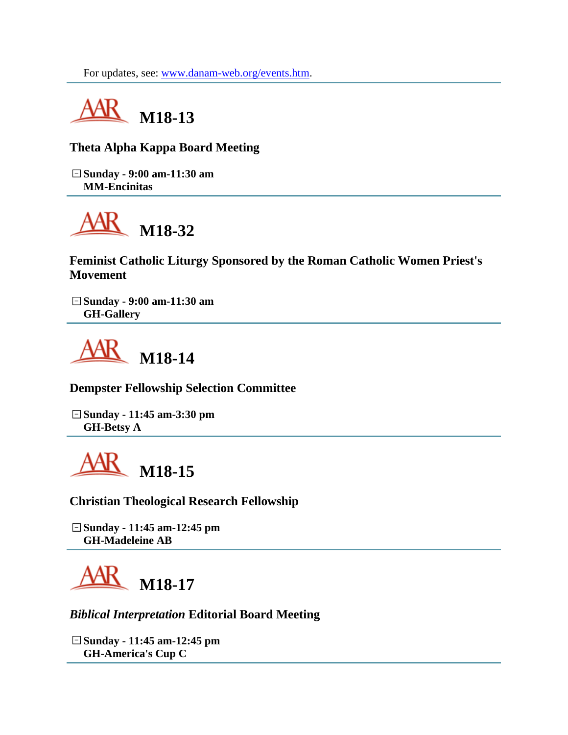For updates, see: [www.danam-web.org/events.htm.](http://www.danam-web.org/events.htm)



**Theta Alpha Kappa Board Meeting**

**Sunday - 9:00 am-11:30 am MM-Encinitas**



**Feminist Catholic Liturgy Sponsored by the Roman Catholic Women Priest's Movement**

**Sunday - 9:00 am-11:30 am GH-Gallery**



**Dempster Fellowship Selection Committee**

**Sunday - 11:45 am-3:30 pm GH-Betsy A**

**M18-15**

**Christian Theological Research Fellowship**

**Sunday - 11:45 am-12:45 pm GH-Madeleine AB**

**M18-17**

*Biblical Interpretation* **Editorial Board Meeting**

**Sunday - 11:45 am-12:45 pm GH-America's Cup C**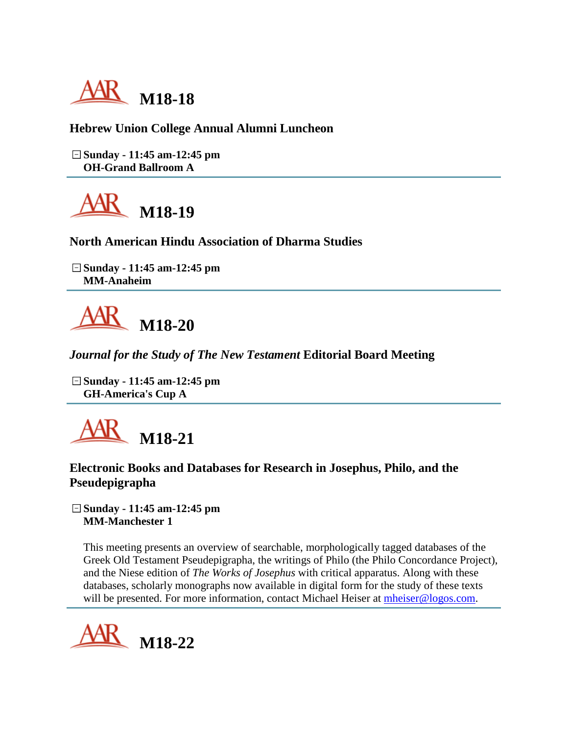

**Hebrew Union College Annual Alumni Luncheon**

**Sunday - 11:45 am-12:45 pm OH-Grand Ballroom A**



**North American Hindu Association of Dharma Studies**

**Sunday - 11:45 am-12:45 pm MM-Anaheim**



*Journal for the Study of The New Testament* **Editorial Board Meeting**

**Sunday - 11:45 am-12:45 pm GH-America's Cup A**



### **Electronic Books and Databases for Research in Josephus, Philo, and the Pseudepigrapha**

**Sunday - 11:45 am-12:45 pm MM-Manchester 1**

This meeting presents an overview of searchable, morphologically tagged databases of the Greek Old Testament Pseudepigrapha, the writings of Philo (the Philo Concordance Project), and the Niese edition of *The Works of Josephus* with critical apparatus. Along with these databases, scholarly monographs now available in digital form for the study of these texts will be presented. For more information, contact Michael Heiser at [mheiser@logos.com.](mailto:mheiser@logos.com)

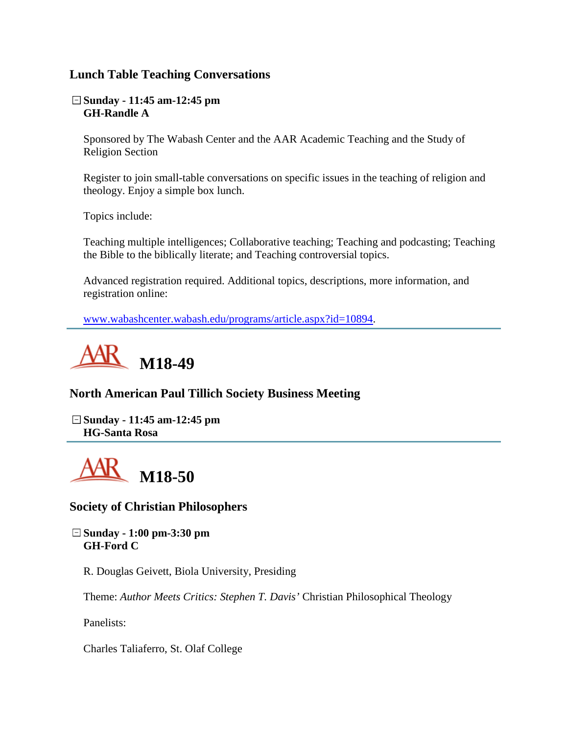### **Lunch Table Teaching Conversations**

**Sunday - 11:45 am-12:45 pm GH-Randle A**

Sponsored by The Wabash Center and the AAR Academic Teaching and the Study of Religion Section

Register to join small-table conversations on specific issues in the teaching of religion and theology. Enjoy a simple box lunch.

Topics include:

Teaching multiple intelligences; Collaborative teaching; Teaching and podcasting; Teaching the Bible to the biblically literate; and Teaching controversial topics.

Advanced registration required. Additional topics, descriptions, more information, and registration online:

[www.wabashcenter.wabash.edu/programs/article.aspx?id=10894.](http://www.wabashcenter.wabash.edu/programs/article.aspx?id=10894)



### **North American Paul Tillich Society Business Meeting**

**Sunday - 11:45 am-12:45 pm HG-Santa Rosa**



### **Society of Christian Philosophers**

**Sunday - 1:00 pm-3:30 pm GH-Ford C**

R. Douglas Geivett, Biola University, Presiding

Theme: *Author Meets Critics: Stephen T. Davis'* Christian Philosophical Theology

Panelists:

Charles Taliaferro, St. Olaf College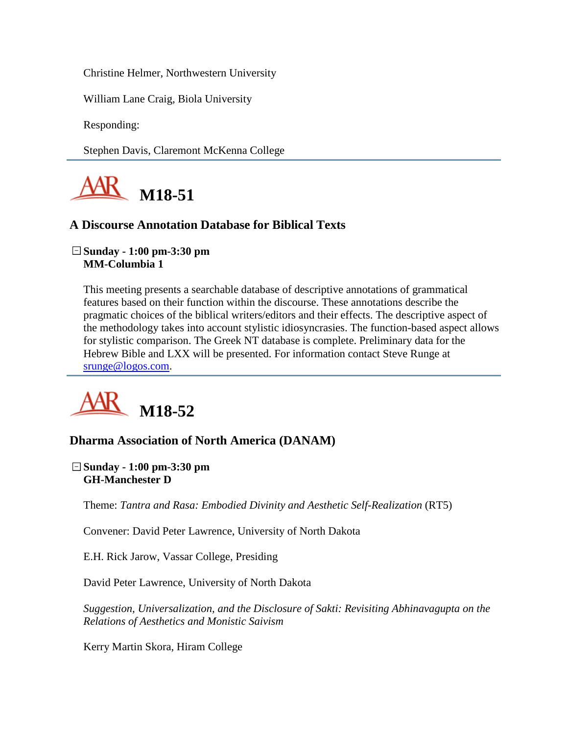Christine Helmer, Northwestern University

William Lane Craig, Biola University

Responding:

Stephen Davis, Claremont McKenna College



### **A Discourse Annotation Database for Biblical Texts**

#### **Sunday - 1:00 pm-3:30 pm MM-Columbia 1**

This meeting presents a searchable database of descriptive annotations of grammatical features based on their function within the discourse. These annotations describe the pragmatic choices of the biblical writers/editors and their effects. The descriptive aspect of the methodology takes into account stylistic idiosyncrasies. The function-based aspect allows for stylistic comparison. The Greek NT database is complete. Preliminary data for the Hebrew Bible and LXX will be presented. For information contact Steve Runge at [srunge@logos.com.](mailto:srunge@logos.com)



### **Dharma Association of North America (DANAM)**

**Sunday - 1:00 pm-3:30 pm GH-Manchester D**

Theme: *Tantra and Rasa: Embodied Divinity and Aesthetic Self-Realization* (RT5)

Convener: David Peter Lawrence, University of North Dakota

E.H. Rick Jarow, Vassar College, Presiding

David Peter Lawrence, University of North Dakota

*Suggestion, Universalization, and the Disclosure of Sakti: Revisiting Abhinavagupta on the Relations of Aesthetics and Monistic Saivism*

Kerry Martin Skora, Hiram College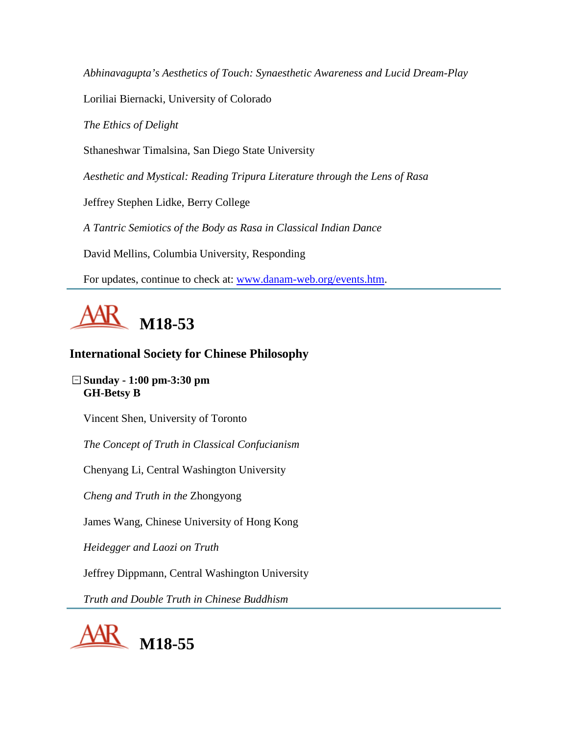*Abhinavagupta's Aesthetics of Touch: Synaesthetic Awareness and Lucid Dream-Play*

Loriliai Biernacki, University of Colorado

*The Ethics of Delight*

Sthaneshwar Timalsina, San Diego State University

*Aesthetic and Mystical: Reading Tripura Literature through the Lens of Rasa*

Jeffrey Stephen Lidke, Berry College

*A Tantric Semiotics of the Body as Rasa in Classical Indian Dance*

David Mellins, Columbia University, Responding

For updates, continue to check at: [www.danam-web.org/events.htm.](http://www.danam-web.org/events.htm)



# **International Society for Chinese Philosophy**

**Sunday - 1:00 pm-3:30 pm GH-Betsy B**

Vincent Shen, University of Toronto

*The Concept of Truth in Classical Confucianism*

Chenyang Li, Central Washington University

*Cheng and Truth in the* Zhongyong

James Wang, Chinese University of Hong Kong

*Heidegger and Laozi on Truth*

Jeffrey Dippmann, Central Washington University

*Truth and Double Truth in Chinese Buddhism*

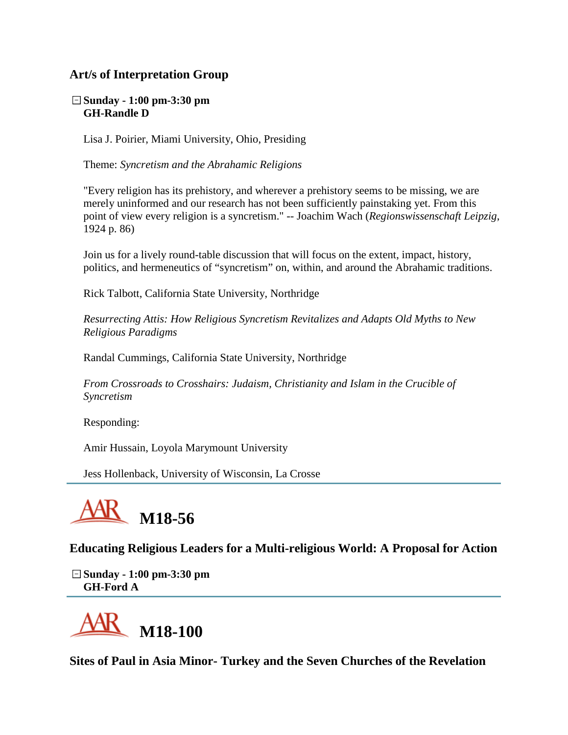## **Art/s of Interpretation Group**

**Sunday - 1:00 pm-3:30 pm GH-Randle D**

Lisa J. Poirier, Miami University, Ohio, Presiding

Theme: *Syncretism and the Abrahamic Religions*

"Every religion has its prehistory, and wherever a prehistory seems to be missing, we are merely uninformed and our research has not been sufficiently painstaking yet. From this point of view every religion is a syncretism." -- Joachim Wach (*Regionswissenschaft Leipzig*, 1924 p. 86)

Join us for a lively round-table discussion that will focus on the extent, impact, history, politics, and hermeneutics of "syncretism" on, within, and around the Abrahamic traditions.

Rick Talbott, California State University, Northridge

*Resurrecting Attis: How Religious Syncretism Revitalizes and Adapts Old Myths to New Religious Paradigms*

Randal Cummings, California State University, Northridge

*From Crossroads to Crosshairs: Judaism, Christianity and Islam in the Crucible of Syncretism*

Responding:

Amir Hussain, Loyola Marymount University

Jess Hollenback, University of Wisconsin, La Crosse



**Educating Religious Leaders for a Multi-religious World: A Proposal for Action**

**Sunday - 1:00 pm-3:30 pm GH-Ford A**



**Sites of Paul in Asia Minor- Turkey and the Seven Churches of the Revelation**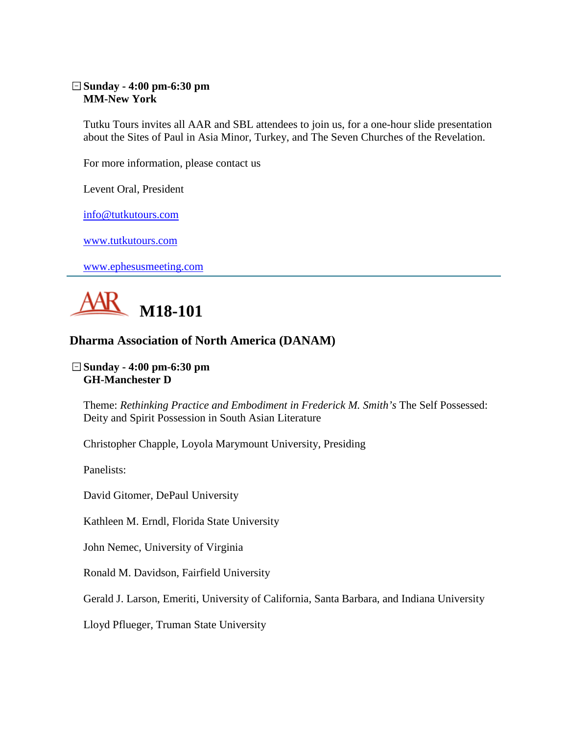#### **Sunday - 4:00 pm-6:30 pm MM-New York**

Tutku Tours invites all AAR and SBL attendees to join us, for a one-hour slide presentation about the Sites of Paul in Asia Minor, Turkey, and The Seven Churches of the Revelation.

For more information, please contact us

Levent Oral, President

[info@tutkutours.com](mailto:info@tutkutours.com)

[www.tutkutours.com](http://www.tutkutours.com/)

[www.ephesusmeeting.com](http://www.ephesusmeeting.com/)



## **Dharma Association of North America (DANAM)**

#### **Sunday - 4:00 pm-6:30 pm GH-Manchester D**

Theme: *Rethinking Practice and Embodiment in Frederick M. Smith's* The Self Possessed: Deity and Spirit Possession in South Asian Literature

Christopher Chapple, Loyola Marymount University, Presiding

Panelists:

David Gitomer, DePaul University

Kathleen M. Erndl, Florida State University

John Nemec, University of Virginia

Ronald M. Davidson, Fairfield University

Gerald J. Larson, Emeriti, University of California, Santa Barbara, and Indiana University

Lloyd Pflueger, Truman State University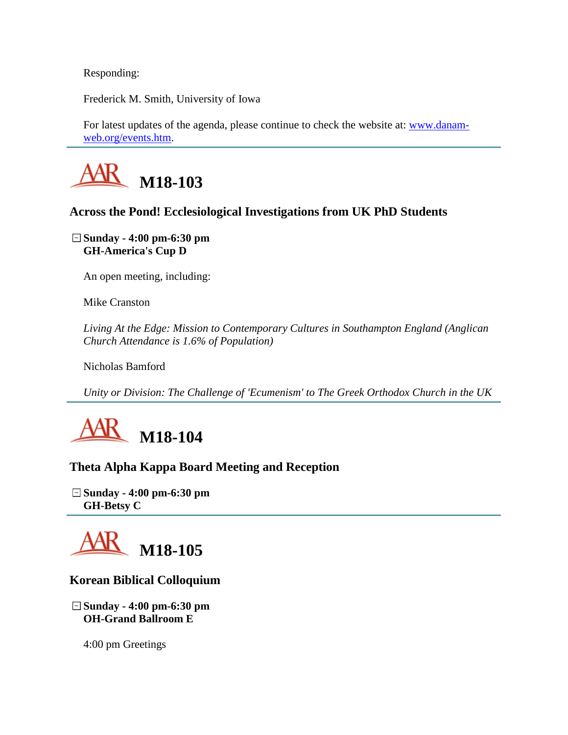Responding:

Frederick M. Smith, University of Iowa

For latest updates of the agenda, please continue to check the website at: [www.danam](http://www.danam-web.org/events.htm)[web.org/events.htm.](http://www.danam-web.org/events.htm)



# **Across the Pond! Ecclesiological Investigations from UK PhD Students**

**Sunday - 4:00 pm-6:30 pm GH-America's Cup D**

An open meeting, including:

Mike Cranston

*Living At the Edge: Mission to Contemporary Cultures in Southampton England (Anglican Church Attendance is 1.6% of Population)*

Nicholas Bamford

*Unity or Division: The Challenge of 'Ecumenism' to The Greek Orthodox Church in the UK*



# **Theta Alpha Kappa Board Meeting and Reception**

**Sunday - 4:00 pm-6:30 pm GH-Betsy C**



# **Korean Biblical Colloquium**

**Sunday - 4:00 pm-6:30 pm OH-Grand Ballroom E**

4:00 pm Greetings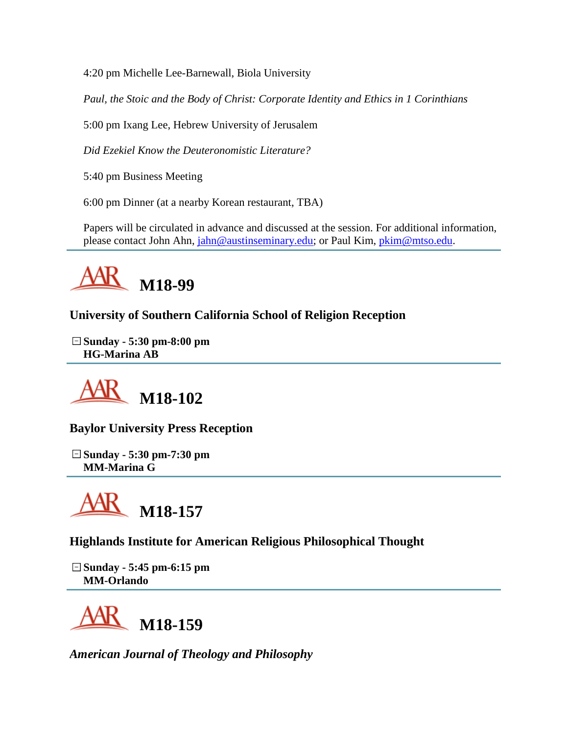4:20 pm Michelle Lee-Barnewall, Biola University

*Paul, the Stoic and the Body of Christ: Corporate Identity and Ethics in 1 Corinthians*

5:00 pm Ixang Lee, Hebrew University of Jerusalem

*Did Ezekiel Know the Deuteronomistic Literature?*

5:40 pm Business Meeting

6:00 pm Dinner (at a nearby Korean restaurant, TBA)

Papers will be circulated in advance and discussed at the session. For additional information, please contact John Ahn, [jahn@austinseminary.edu;](mailto:jahn@austinseminary.edu) or Paul Kim, [pkim@mtso.edu.](mailto:pkim@mtso.edu)



**University of Southern California School of Religion Reception**

**Sunday - 5:30 pm-8:00 pm HG-Marina AB**



**Baylor University Press Reception**

**Sunday - 5:30 pm-7:30 pm MM-Marina G**



**Highlands Institute for American Religious Philosophical Thought**

**Sunday - 5:45 pm-6:15 pm MM-Orlando**



*American Journal of Theology and Philosophy*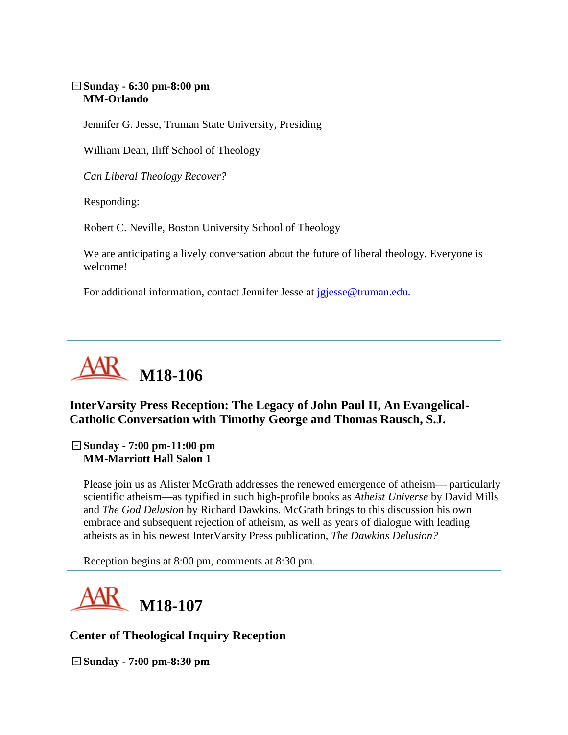#### **Sunday - 6:30 pm-8:00 pm MM-Orlando**

Jennifer G. Jesse, Truman State University, Presiding

William Dean, Iliff School of Theology

*Can Liberal Theology Recover?*

Responding:

Robert C. Neville, Boston University School of Theology

We are anticipating a lively conversation about the future of liberal theology. Everyone is welcome!

For additional information, contact Jennifer Jesse at [jgjesse@truman.edu.](mailto:jgjesse@truman.edu)



# **InterVarsity Press Reception: The Legacy of John Paul II, An Evangelical-Catholic Conversation with Timothy George and Thomas Rausch, S.J.**

**Sunday - 7:00 pm-11:00 pm MM-Marriott Hall Salon 1**

Please join us as Alister McGrath addresses the renewed emergence of atheism— particularly scientific atheism—as typified in such high-profile books as *Atheist Universe* by David Mills and *The God Delusion* by Richard Dawkins. McGrath brings to this discussion his own embrace and subsequent rejection of atheism, as well as years of dialogue with leading atheists as in his newest InterVarsity Press publication, *The Dawkins Delusion?*

Reception begins at 8:00 pm, comments at 8:30 pm.



## **Center of Theological Inquiry Reception**

**Sunday - 7:00 pm-8:30 pm**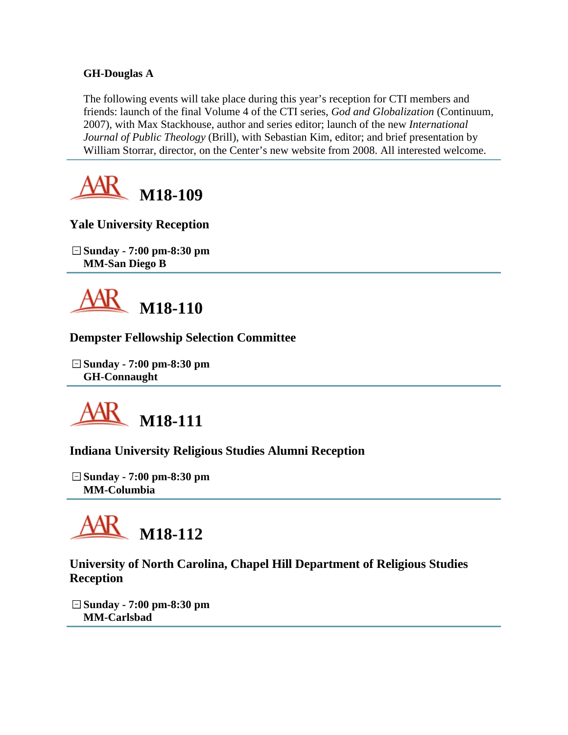#### **GH-Douglas A**

The following events will take place during this year's reception for CTI members and friends: launch of the final Volume 4 of the CTI series, *God and Globalization* (Continuum, 2007), with Max Stackhouse, author and series editor; launch of the new *International Journal of Public Theology* (Brill), with Sebastian Kim, editor; and brief presentation by William Storrar, director, on the Center's new website from 2008. All interested welcome.



**Yale University Reception**

**Sunday - 7:00 pm-8:30 pm MM-San Diego B**



## **Dempster Fellowship Selection Committee**

**Sunday - 7:00 pm-8:30 pm GH-Connaught**



# **Indiana University Religious Studies Alumni Reception**

**Sunday - 7:00 pm-8:30 pm MM-Columbia**



# **University of North Carolina, Chapel Hill Department of Religious Studies Reception**

**Sunday - 7:00 pm-8:30 pm MM-Carlsbad**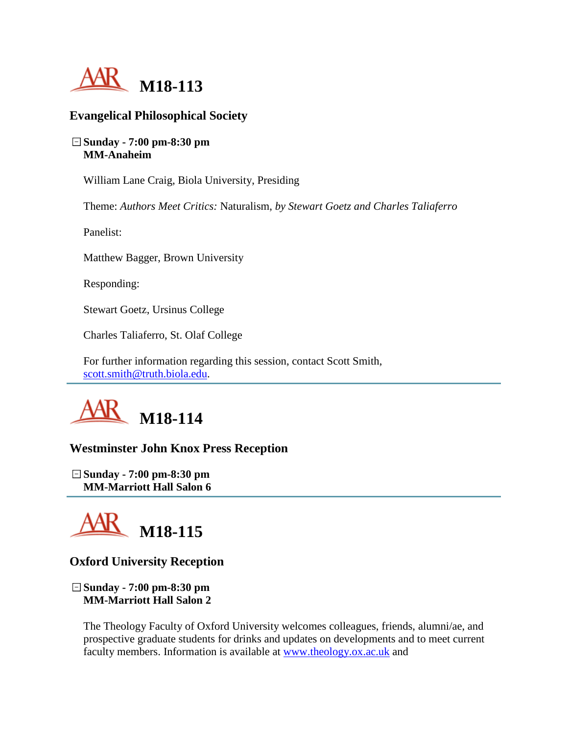

#### **Evangelical Philosophical Society**

#### **Sunday - 7:00 pm-8:30 pm MM-Anaheim**

William Lane Craig, Biola University, Presiding

Theme: *Authors Meet Critics:* Naturalism, *by Stewart Goetz and Charles Taliaferro*

Panelist:

Matthew Bagger, Brown University

Responding:

Stewart Goetz, Ursinus College

Charles Taliaferro, St. Olaf College

For further information regarding this session, contact Scott Smith, [scott.smith@truth.biola.edu.](mailto:scott.smith@truth.biola.edu)



## **Westminster John Knox Press Reception**

**Sunday - 7:00 pm-8:30 pm MM-Marriott Hall Salon 6**



## **Oxford University Reception**

**Sunday - 7:00 pm-8:30 pm MM-Marriott Hall Salon 2**

The Theology Faculty of Oxford University welcomes colleagues, friends, alumni/ae, and prospective graduate students for drinks and updates on developments and to meet current faculty members. Information is available at [www.theology.ox.ac.uk](http://www.theology.ox.ac.uk/) and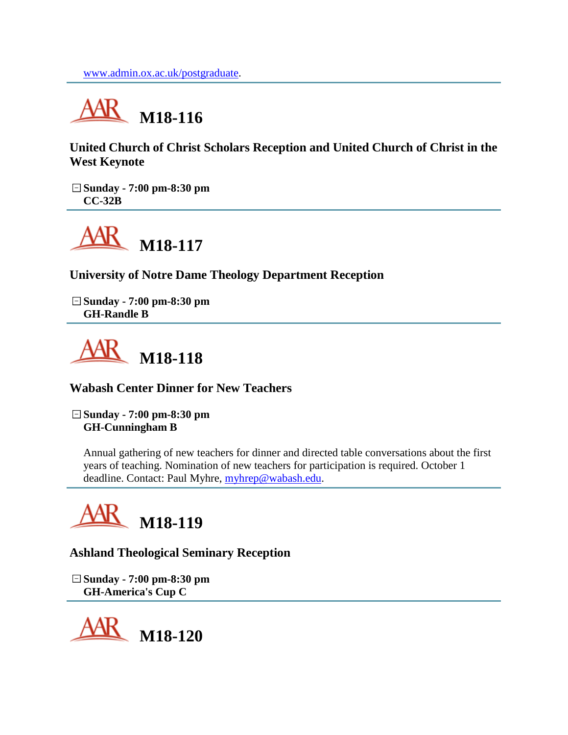

**United Church of Christ Scholars Reception and United Church of Christ in the West Keynote**

**Sunday - 7:00 pm-8:30 pm CC-32B**



**University of Notre Dame Theology Department Reception**

**Sunday - 7:00 pm-8:30 pm GH-Randle B**



**Wabash Center Dinner for New Teachers**

**Sunday - 7:00 pm-8:30 pm GH-Cunningham B**

Annual gathering of new teachers for dinner and directed table conversations about the first years of teaching. Nomination of new teachers for participation is required. October 1 deadline. Contact: Paul Myhre, [myhrep@wabash.edu.](mailto:myhrep@wabash.edu)



**Ashland Theological Seminary Reception**

**Sunday - 7:00 pm-8:30 pm GH-America's Cup C**

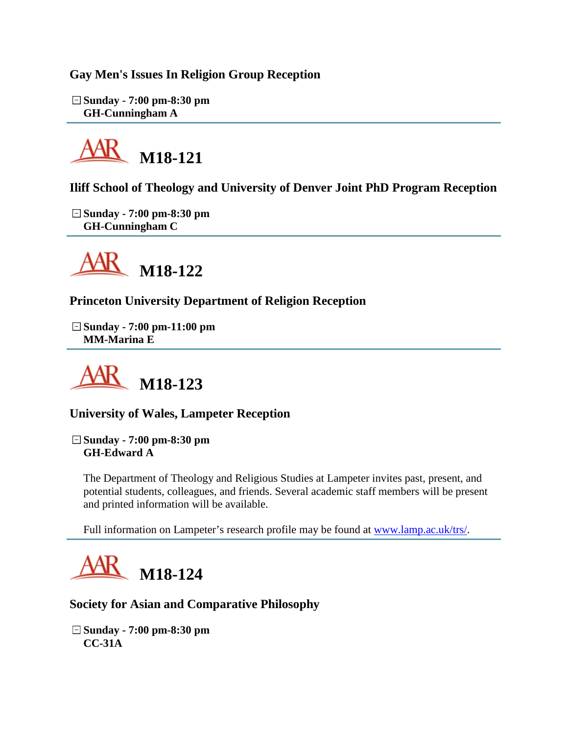**Gay Men's Issues In Religion Group Reception**

**Sunday - 7:00 pm-8:30 pm GH-Cunningham A**



**Iliff School of Theology and University of Denver Joint PhD Program Reception**

**Sunday - 7:00 pm-8:30 pm GH-Cunningham C**



**Princeton University Department of Religion Reception**

**Sunday - 7:00 pm-11:00 pm MM-Marina E**



**University of Wales, Lampeter Reception**

**Sunday - 7:00 pm-8:30 pm GH-Edward A**

The Department of Theology and Religious Studies at Lampeter invites past, present, and potential students, colleagues, and friends. Several academic staff members will be present and printed information will be available.

Full information on Lampeter's research profile may be found at [www.lamp.ac.uk/trs/.](http://www.lamp.ac.uk/trs/)



# **Society for Asian and Comparative Philosophy**

**Sunday - 7:00 pm-8:30 pm CC-31A**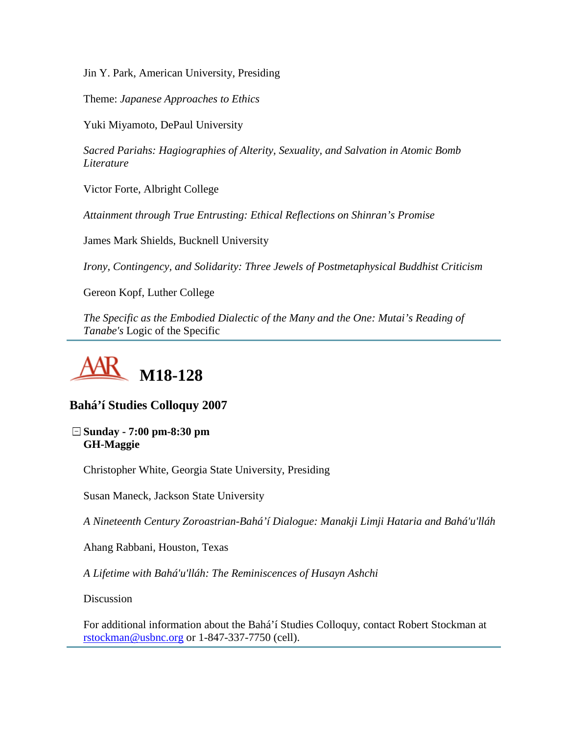Jin Y. Park, American University, Presiding

Theme: *Japanese Approaches to Ethics*

Yuki Miyamoto, DePaul University

*Sacred Pariahs: Hagiographies of Alterity, Sexuality, and Salvation in Atomic Bomb Literature*

Victor Forte, Albright College

*Attainment through True Entrusting: Ethical Reflections on Shinran's Promise*

James Mark Shields, Bucknell University

*Irony, Contingency, and Solidarity: Three Jewels of Postmetaphysical Buddhist Criticism*

Gereon Kopf, Luther College

*The Specific as the Embodied Dialectic of the Many and the One: Mutai's Reading of Tanabe's* Logic of the Specific



#### **Bahá'í Studies Colloquy 2007**

**Sunday - 7:00 pm-8:30 pm GH-Maggie**

Christopher White, Georgia State University, Presiding

Susan Maneck, Jackson State University

*A Nineteenth Century Zoroastrian-Bahá'í Dialogue: Manakji Limji Hataria and Bahá'u'lláh*

Ahang Rabbani, Houston, Texas

*A Lifetime with Bahá'u'lláh: The Reminiscences of Husayn Ashchi*

**Discussion** 

For additional information about the Bahá'í Studies Colloquy, contact Robert Stockman at [rstockman@usbnc.org](mailto:rstockman@usbnc.org) or 1-847-337-7750 (cell).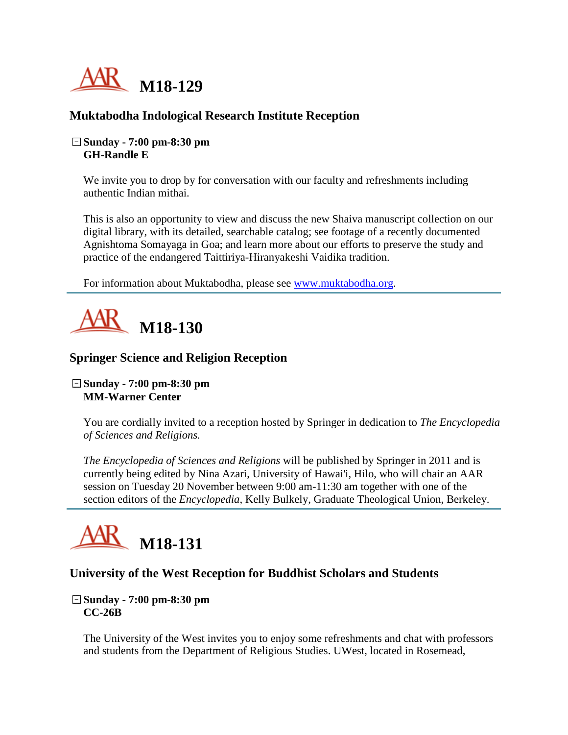

## **Muktabodha Indological Research Institute Reception**

#### **Sunday - 7:00 pm-8:30 pm GH-Randle E**

We invite you to drop by for conversation with our faculty and refreshments including authentic Indian mithai.

This is also an opportunity to view and discuss the new Shaiva manuscript collection on our digital library, with its detailed, searchable catalog; see footage of a recently documented Agnishtoma Somayaga in Goa; and learn more about our efforts to preserve the study and practice of the endangered Taittiriya-Hiranyakeshi Vaidika tradition.

For information about Muktabodha, please see [www.muktabodha.org.](http://www.muktabodha.org/)



#### **Springer Science and Religion Reception**

#### **Sunday - 7:00 pm-8:30 pm MM-Warner Center**

You are cordially invited to a reception hosted by Springer in dedication to *The Encyclopedia of Sciences and Religions.*

*The Encyclopedia of Sciences and Religions* will be published by Springer in 2011 and is currently being edited by Nina Azari, University of Hawai'i, Hilo, who will chair an AAR session on Tuesday 20 November between 9:00 am-11:30 am together with one of the section editors of the *Encyclopedia*, Kelly Bulkely, Graduate Theological Union, Berkeley.



## **University of the West Reception for Buddhist Scholars and Students**

#### **Sunday - 7:00 pm-8:30 pm CC-26B**

The University of the West invites you to enjoy some refreshments and chat with professors and students from the Department of Religious Studies. UWest, located in Rosemead,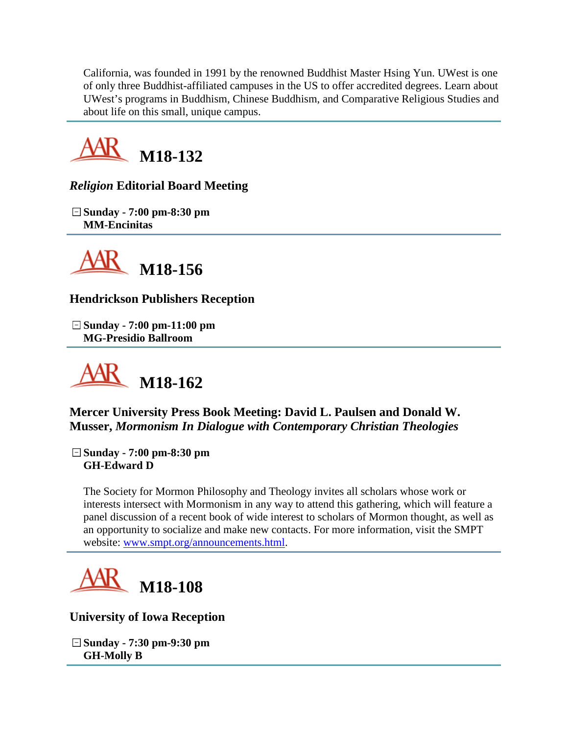California, was founded in 1991 by the renowned Buddhist Master Hsing Yun. UWest is one of only three Buddhist-affiliated campuses in the US to offer accredited degrees. Learn about UWest's programs in Buddhism, Chinese Buddhism, and Comparative Religious Studies and about life on this small, unique campus.



# *Religion* **Editorial Board Meeting**

**Sunday - 7:00 pm-8:30 pm MM-Encinitas**



# **Hendrickson Publishers Reception**

**Sunday - 7:00 pm-11:00 pm MG-Presidio Ballroom**



**Mercer University Press Book Meeting: David L. Paulsen and Donald W. Musser,** *Mormonism In Dialogue with Contemporary Christian Theologies*

**Sunday - 7:00 pm-8:30 pm GH-Edward D**

The Society for Mormon Philosophy and Theology invites all scholars whose work or interests intersect with Mormonism in any way to attend this gathering, which will feature a panel discussion of a recent book of wide interest to scholars of Mormon thought, as well as an opportunity to socialize and make new contacts. For more information, visit the SMPT website: [www.smpt.org/announcements.html.](http://www.smpt.org/announcements.html)



**University of Iowa Reception**

**Sunday - 7:30 pm-9:30 pm GH-Molly B**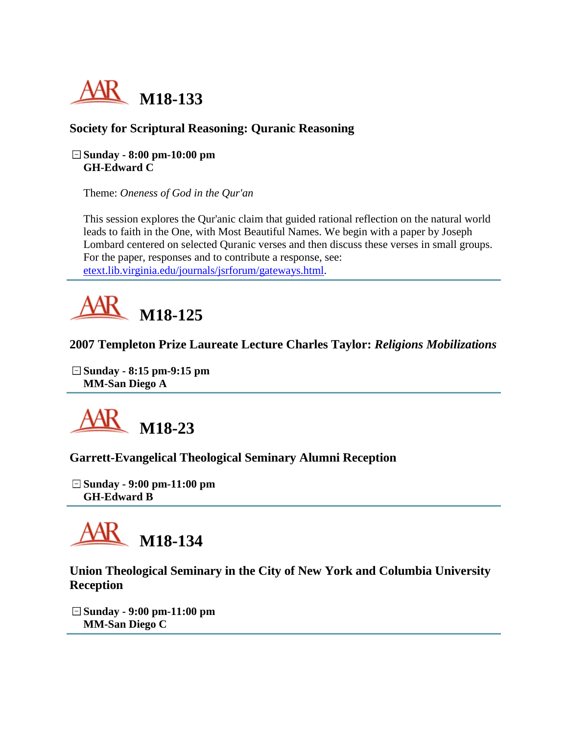

# **Society for Scriptural Reasoning: Quranic Reasoning**

#### **Sunday - 8:00 pm-10:00 pm GH-Edward C**

Theme: *Oneness of God in the Qur'an*

This session explores the Qur'anic claim that guided rational reflection on the natural world leads to faith in the One, with Most Beautiful Names. We begin with a paper by Joseph Lombard centered on selected Quranic verses and then discuss these verses in small groups. For the paper, responses and to contribute a response, see: [etext.lib.virginia.edu/journals/jsrforum/gateways.html.](http://etext.lib.virginia.edu/journals/jsrforum/gateways.html)



## **2007 Templeton Prize Laureate Lecture Charles Taylor:** *Religions Mobilizations*

**Sunday - 8:15 pm-9:15 pm MM-San Diego A**



**Garrett-Evangelical Theological Seminary Alumni Reception**

**Sunday - 9:00 pm-11:00 pm GH-Edward B**



**Union Theological Seminary in the City of New York and Columbia University Reception**

**Sunday - 9:00 pm-11:00 pm MM-San Diego C**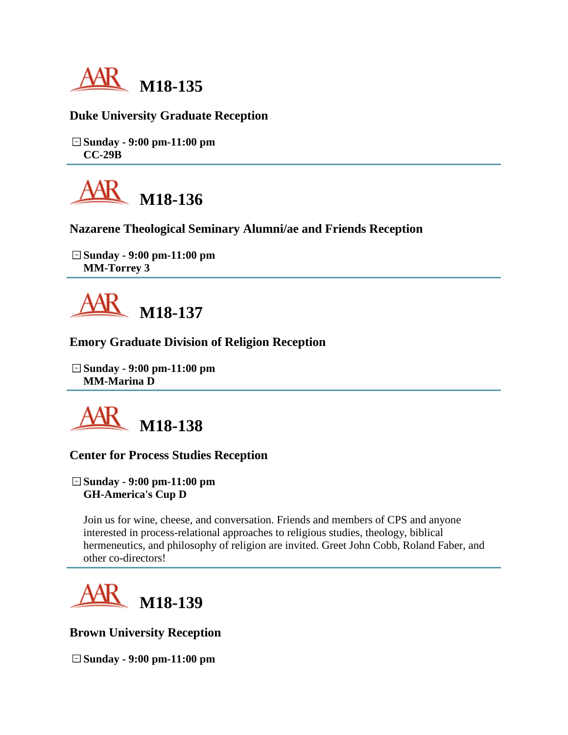

## **Duke University Graduate Reception**

**Sunday - 9:00 pm-11:00 pm CC-29B**



**Nazarene Theological Seminary Alumni/ae and Friends Reception**

**Sunday - 9:00 pm-11:00 pm MM-Torrey 3**



## **Emory Graduate Division of Religion Reception**

**Sunday - 9:00 pm-11:00 pm MM-Marina D**



#### **Center for Process Studies Reception**

**Sunday - 9:00 pm-11:00 pm GH-America's Cup D**

Join us for wine, cheese, and conversation. Friends and members of CPS and anyone interested in process-relational approaches to religious studies, theology, biblical hermeneutics, and philosophy of religion are invited. Greet John Cobb, Roland Faber, and other co-directors!



**Brown University Reception**

**Sunday - 9:00 pm-11:00 pm**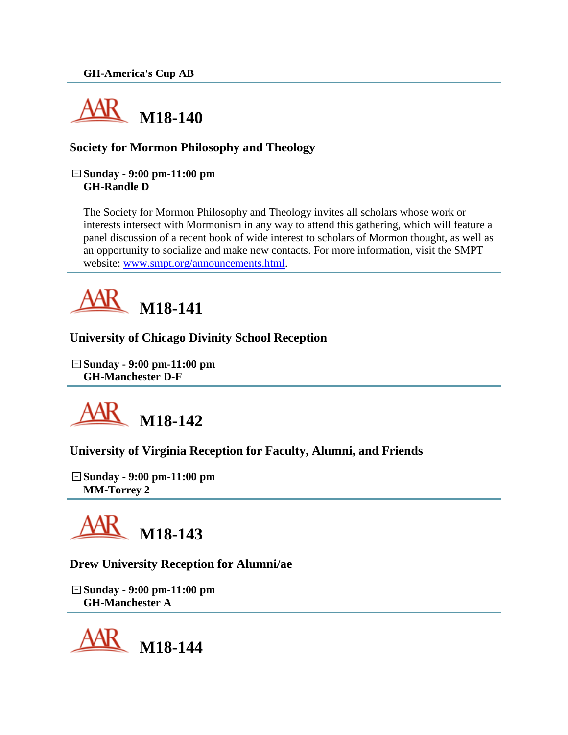

# **Society for Mormon Philosophy and Theology**

#### **Sunday - 9:00 pm-11:00 pm GH-Randle D**

The Society for Mormon Philosophy and Theology invites all scholars whose work or interests intersect with Mormonism in any way to attend this gathering, which will feature a panel discussion of a recent book of wide interest to scholars of Mormon thought, as well as an opportunity to socialize and make new contacts. For more information, visit the SMPT website: [www.smpt.org/announcements.html.](http://www.smpt.org/announcements.html)



#### **University of Chicago Divinity School Reception**

**Sunday - 9:00 pm-11:00 pm GH-Manchester D-F**



#### **University of Virginia Reception for Faculty, Alumni, and Friends**

**Sunday - 9:00 pm-11:00 pm MM-Torrey 2**



#### **Drew University Reception for Alumni/ae**

**Sunday - 9:00 pm-11:00 pm GH-Manchester A**

**M18-144**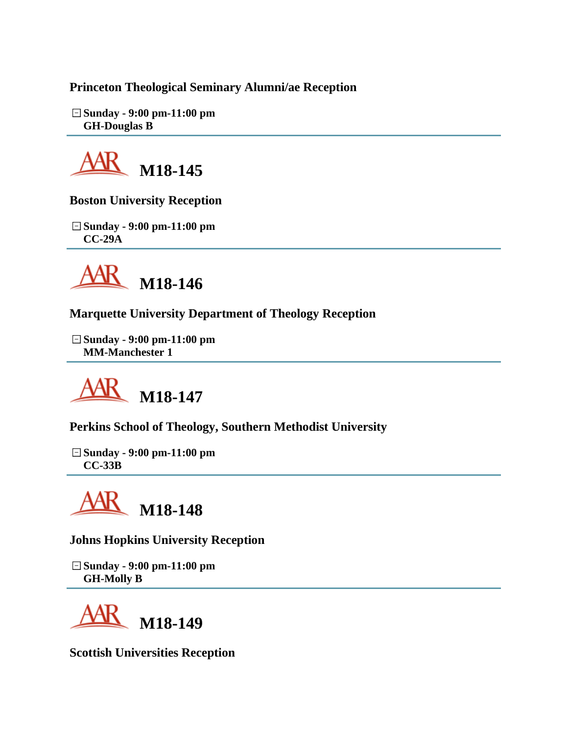# **Princeton Theological Seminary Alumni/ae Reception**

**Sunday - 9:00 pm-11:00 pm GH-Douglas B**



**Boston University Reception**

**Sunday - 9:00 pm-11:00 pm CC-29A**



**Marquette University Department of Theology Reception**

**Sunday - 9:00 pm-11:00 pm MM-Manchester 1**



**Perkins School of Theology, Southern Methodist University**

**Sunday - 9:00 pm-11:00 pm CC-33B**

**M18-148**

**Johns Hopkins University Reception**

**Sunday - 9:00 pm-11:00 pm GH-Molly B**



**Scottish Universities Reception**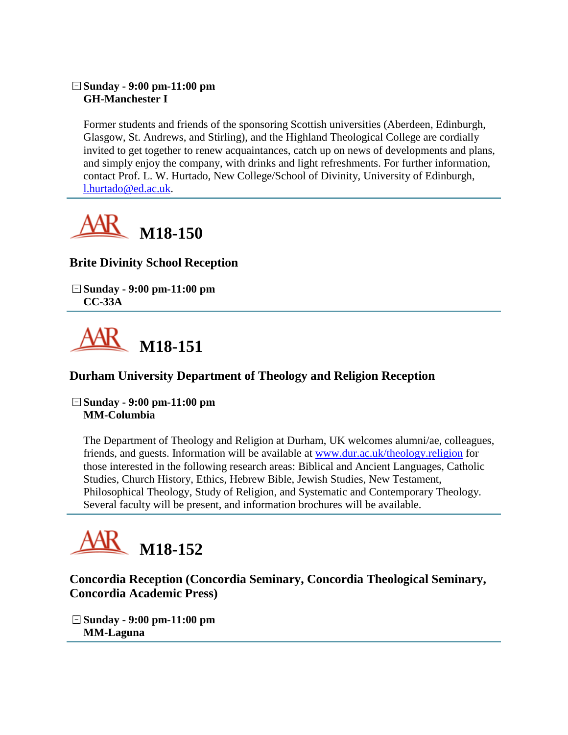#### **Sunday - 9:00 pm-11:00 pm GH-Manchester I**

Former students and friends of the sponsoring Scottish universities (Aberdeen, Edinburgh, Glasgow, St. Andrews, and Stirling), and the Highland Theological College are cordially invited to get together to renew acquaintances, catch up on news of developments and plans, and simply enjoy the company, with drinks and light refreshments. For further information, contact Prof. L. W. Hurtado, New College/School of Divinity, University of Edinburgh, [l.hurtado@ed.ac.uk.](mailto:l.hurtado@ed.ac.uk)



# **Brite Divinity School Reception**

**Sunday - 9:00 pm-11:00 pm CC-33A**



# **Durham University Department of Theology and Religion Reception**

**Sunday - 9:00 pm-11:00 pm MM-Columbia**

The Department of Theology and Religion at Durham, UK welcomes alumni/ae, colleagues, friends, and guests. Information will be available at [www.dur.ac.uk/theology.religion](http://www.dur.ac.uk/theology.religion) for those interested in the following research areas: Biblical and Ancient Languages, Catholic Studies, Church History, Ethics, Hebrew Bible, Jewish Studies, New Testament, Philosophical Theology, Study of Religion, and Systematic and Contemporary Theology. Several faculty will be present, and information brochures will be available.

# **M18-152**

**Concordia Reception (Concordia Seminary, Concordia Theological Seminary, Concordia Academic Press)**

**Sunday - 9:00 pm-11:00 pm MM-Laguna**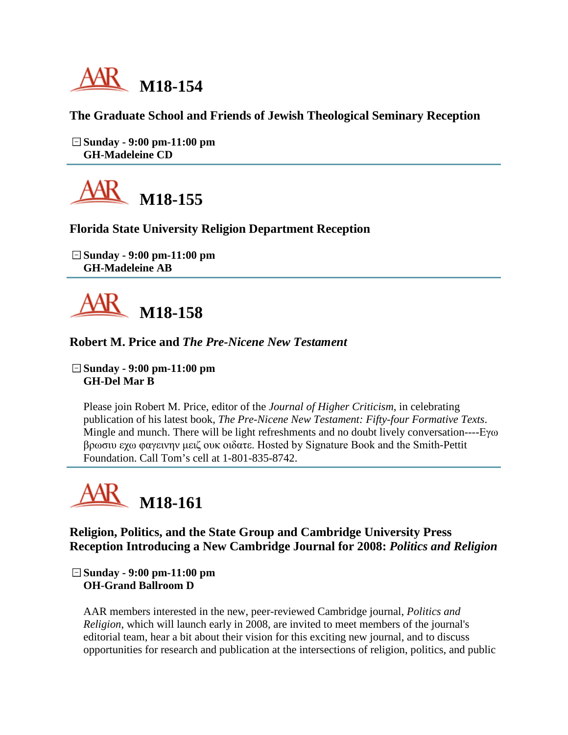

## **The Graduate School and Friends of Jewish Theological Seminary Reception**

**Sunday - 9:00 pm-11:00 pm GH-Madeleine CD**



## **Florida State University Religion Department Reception**

**Sunday - 9:00 pm-11:00 pm GH-Madeleine AB**



#### **Robert M. Price and** *The Pre-Nicene New Testament*

**Sunday - 9:00 pm-11:00 pm GH-Del Mar B**

Please join Robert M. Price, editor of the *Journal of Higher Criticism*, in celebrating publication of his latest book, *The Pre-Nicene New Testament: Fifty-four Formative Texts*. Mingle and munch. There will be light refreshments and no doubt lively conversation----Εγω βρωσιυ εχω φαγεινην μειζ ουκ οιδατε. Hosted by Signature Book and the Smith-Pettit Foundation. Call Tom's cell at 1-801-835-8742.



**Religion, Politics, and the State Group and Cambridge University Press Reception Introducing a New Cambridge Journal for 2008:** *Politics and Religion*

**Sunday - 9:00 pm-11:00 pm OH-Grand Ballroom D**

AAR members interested in the new, peer-reviewed Cambridge journal, *Politics and Religion*, which will launch early in 2008, are invited to meet members of the journal's editorial team, hear a bit about their vision for this exciting new journal, and to discuss opportunities for research and publication at the intersections of religion, politics, and public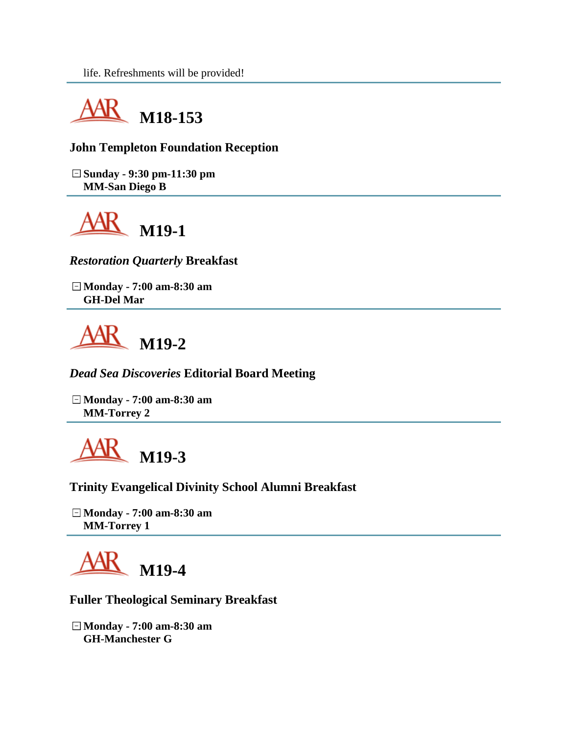

## **John Templeton Foundation Reception**

**Sunday - 9:30 pm-11:30 pm MM-San Diego B**



*Restoration Quarterly* **Breakfast**

**Monday - 7:00 am-8:30 am GH-Del Mar**



*Dead Sea Discoveries* **Editorial Board Meeting**

**Monday - 7:00 am-8:30 am MM-Torrey 2**



**Trinity Evangelical Divinity School Alumni Breakfast**

**Monday - 7:00 am-8:30 am MM-Torrey 1**



**Fuller Theological Seminary Breakfast**

**Monday - 7:00 am-8:30 am GH-Manchester G**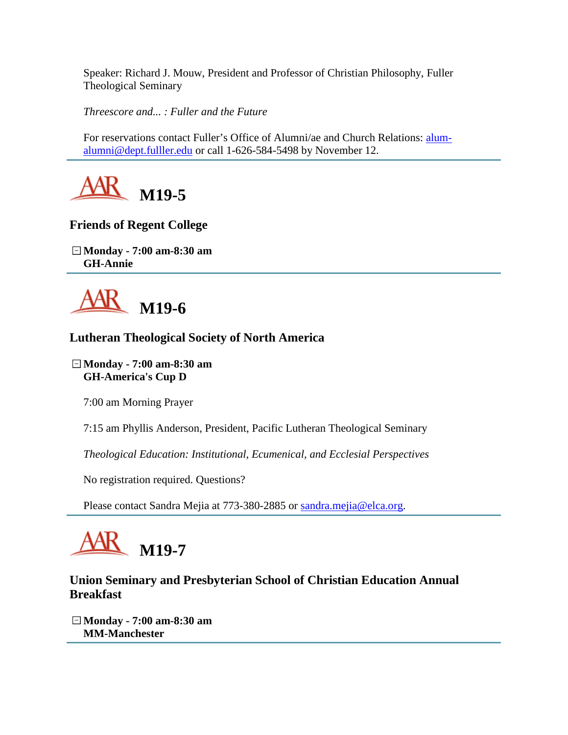Speaker: Richard J. Mouw, President and Professor of Christian Philosophy, Fuller Theological Seminary

*Threescore and... : Fuller and the Future* 

For reservations contact Fuller's Office of Alumni/ae and Church Relations: [alum](mailto:alum-alumni@dept.fulller.edu)[alumni@dept.fulller.edu](mailto:alum-alumni@dept.fulller.edu) or call 1-626-584-5498 by November 12.



# **Friends of Regent College**

**Monday - 7:00 am-8:30 am GH-Annie**



# **Lutheran Theological Society of North America**

**Monday - 7:00 am-8:30 am GH-America's Cup D**

7:00 am Morning Prayer

7:15 am Phyllis Anderson, President, Pacific Lutheran Theological Seminary

*Theological Education: Institutional, Ecumenical, and Ecclesial Perspectives*

No registration required. Questions?

Please contact Sandra Mejia at 773-380-2885 or [sandra.mejia@elca.org.](mailto:sandra.mejia@elca.org)

# **M19-7**

# **Union Seminary and Presbyterian School of Christian Education Annual Breakfast**

**Monday - 7:00 am-8:30 am MM-Manchester**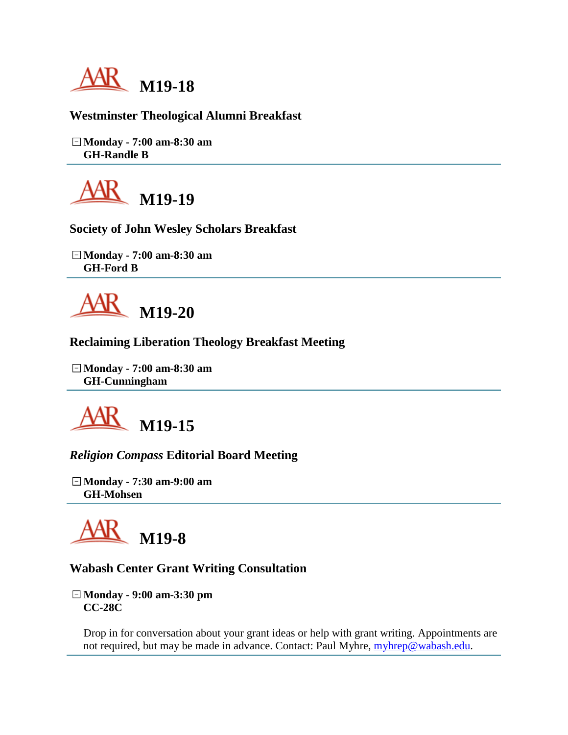

## **Westminster Theological Alumni Breakfast**

**Monday - 7:00 am-8:30 am GH-Randle B**



**Society of John Wesley Scholars Breakfast**

**Monday - 7:00 am-8:30 am GH-Ford B**



#### **Reclaiming Liberation Theology Breakfast Meeting**

**Monday - 7:00 am-8:30 am GH-Cunningham**



## *Religion Compass* **Editorial Board Meeting**

**Monday - 7:30 am-9:00 am GH-Mohsen**



#### **Wabash Center Grant Writing Consultation**

**Monday - 9:00 am-3:30 pm CC-28C**

Drop in for conversation about your grant ideas or help with grant writing. Appointments are not required, but may be made in advance. Contact: Paul Myhre, [myhrep@wabash.edu.](mailto:myhrep@wabash.edu)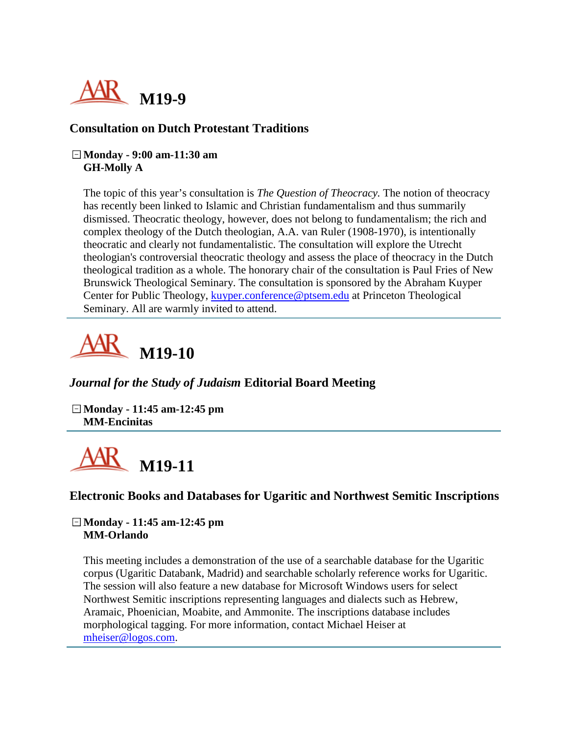

#### **Consultation on Dutch Protestant Traditions**

#### **Monday - 9:00 am-11:30 am GH-Molly A**

The topic of this year's consultation is *The Question of Theocracy.* The notion of theocracy has recently been linked to Islamic and Christian fundamentalism and thus summarily dismissed. Theocratic theology, however, does not belong to fundamentalism; the rich and complex theology of the Dutch theologian, A.A. van Ruler (1908-1970), is intentionally theocratic and clearly not fundamentalistic. The consultation will explore the Utrecht theologian's controversial theocratic theology and assess the place of theocracy in the Dutch theological tradition as a whole. The honorary chair of the consultation is Paul Fries of New Brunswick Theological Seminary. The consultation is sponsored by the Abraham Kuyper Center for Public Theology, [kuyper.conference@ptsem.edu](mailto:kuyper.conference@ptsem.edu) at Princeton Theological Seminary. All are warmly invited to attend.



## *Journal for the Study of Judaism* **Editorial Board Meeting**

**Monday - 11:45 am-12:45 pm MM-Encinitas**



#### **Electronic Books and Databases for Ugaritic and Northwest Semitic Inscriptions**

#### **Monday - 11:45 am-12:45 pm MM-Orlando**

This meeting includes a demonstration of the use of a searchable database for the Ugaritic corpus (Ugaritic Databank, Madrid) and searchable scholarly reference works for Ugaritic. The session will also feature a new database for Microsoft Windows users for select Northwest Semitic inscriptions representing languages and dialects such as Hebrew, Aramaic, Phoenician, Moabite, and Ammonite. The inscriptions database includes morphological tagging. For more information, contact Michael Heiser at [mheiser@logos.com.](mailto:mheiser@logos.com)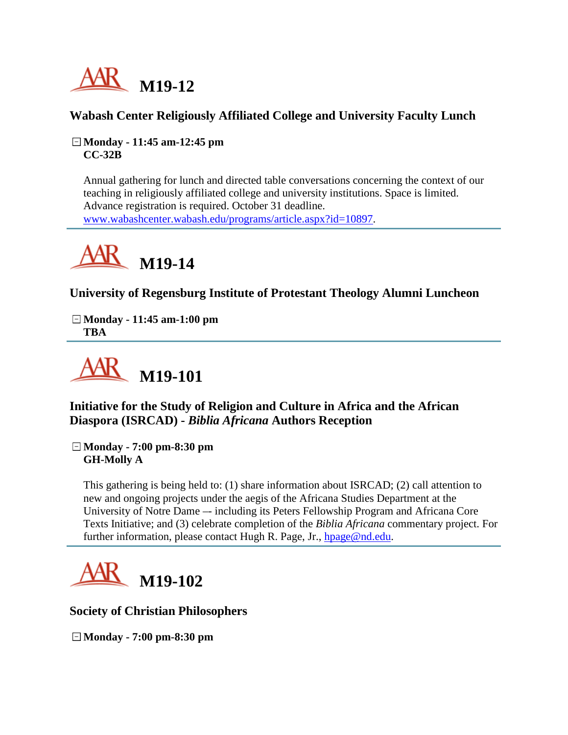

# **Wabash Center Religiously Affiliated College and University Faculty Lunch**

**Monday - 11:45 am-12:45 pm CC-32B**

Annual gathering for lunch and directed table conversations concerning the context of our teaching in religiously affiliated college and university institutions. Space is limited. Advance registration is required. October 31 deadline. [www.wabashcenter.wabash.edu/programs/article.aspx?id=10897.](http://www.wabashcenter.wabash.edu/programs/article.aspx?id=10897)



# **University of Regensburg Institute of Protestant Theology Alumni Luncheon**

**Monday - 11:45 am-1:00 pm TBA**



**Initiative for the Study of Religion and Culture in Africa and the African Diaspora (ISRCAD) -** *Biblia Africana* **Authors Reception**

**Monday - 7:00 pm-8:30 pm GH-Molly A**

This gathering is being held to: (1) share information about ISRCAD; (2) call attention to new and ongoing projects under the aegis of the Africana Studies Department at the University of Notre Dame –- including its Peters Fellowship Program and Africana Core Texts Initiative; and (3) celebrate completion of the *Biblia Africana* commentary project. For further information, please contact Hugh R. Page, Jr., [hpage@nd.edu.](mailto:hpage@nd.edu)



**Society of Christian Philosophers**

**Monday - 7:00 pm-8:30 pm**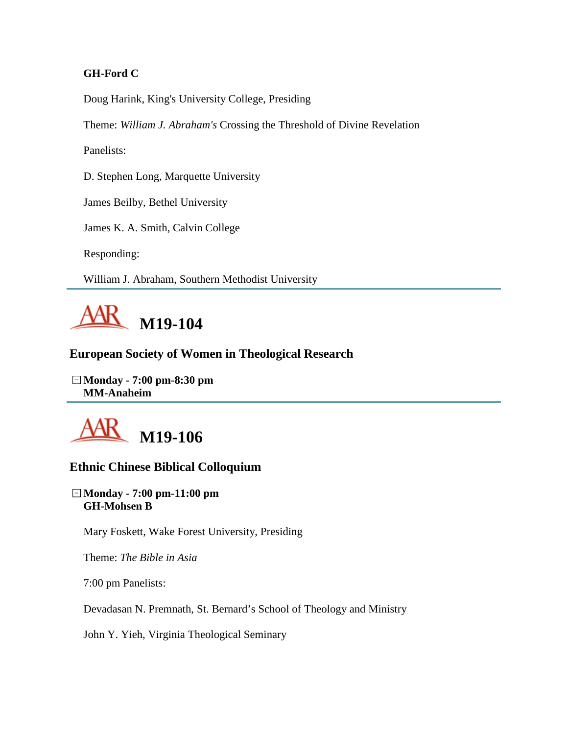#### **GH-Ford C**

Doug Harink, King's University College, Presiding

Theme: *William J. Abraham's* Crossing the Threshold of Divine Revelation

Panelists:

D. Stephen Long, Marquette University

James Beilby, Bethel University

James K. A. Smith, Calvin College

Responding:

William J. Abraham, Southern Methodist University



# **European Society of Women in Theological Research**

**Monday - 7:00 pm-8:30 pm MM-Anaheim**



# **Ethnic Chinese Biblical Colloquium**

#### **Monday - 7:00 pm-11:00 pm GH-Mohsen B**

Mary Foskett, Wake Forest University, Presiding

Theme: *The Bible in Asia* 

7:00 pm Panelists:

Devadasan N. Premnath, St. Bernard's School of Theology and Ministry

John Y. Yieh, Virginia Theological Seminary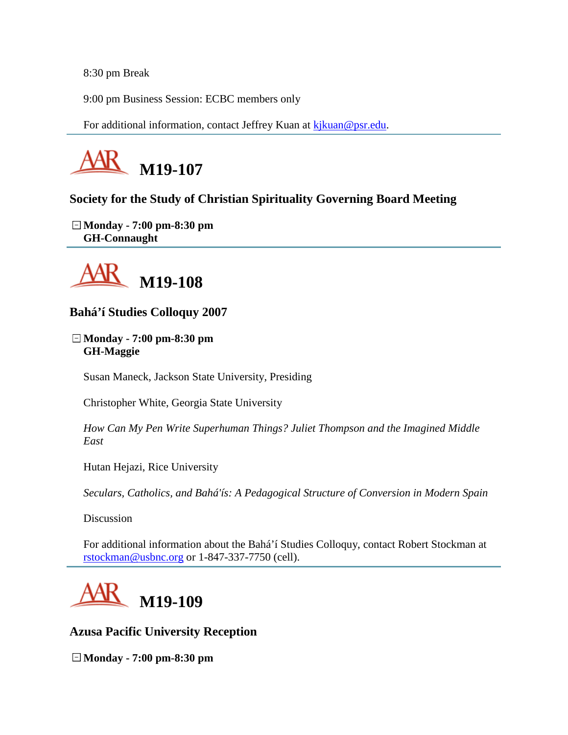8:30 pm Break

9:00 pm Business Session: ECBC members only

For additional information, contact Jeffrey Kuan at [kjkuan@psr.edu.](mailto:kjkuan@psr.edu)



# **Society for the Study of Christian Spirituality Governing Board Meeting**

**Monday - 7:00 pm-8:30 pm GH-Connaught**



**Bahá'í Studies Colloquy 2007**

**Monday - 7:00 pm-8:30 pm GH-Maggie**

Susan Maneck, Jackson State University, Presiding

Christopher White, Georgia State University

*How Can My Pen Write Superhuman Things? Juliet Thompson and the Imagined Middle East*

Hutan Hejazi, Rice University

*Seculars, Catholics, and Bahá'ís: A Pedagogical Structure of Conversion in Modern Spain*

**Discussion** 

For additional information about the Bahá'í Studies Colloquy, contact Robert Stockman at [rstockman@usbnc.org](mailto:rstockman@usbnc.org) or 1-847-337-7750 (cell).



**Azusa Pacific University Reception**

**Monday - 7:00 pm-8:30 pm**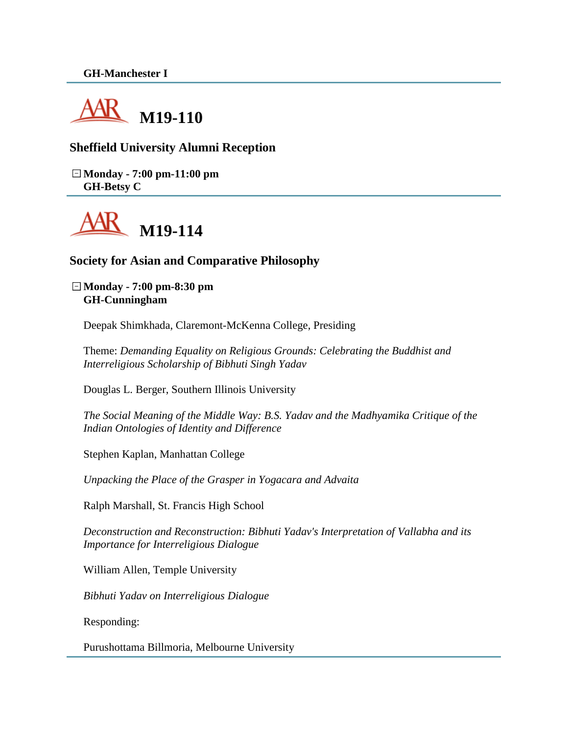

## **Sheffield University Alumni Reception**

**Monday - 7:00 pm-11:00 pm GH-Betsy C**



#### **Society for Asian and Comparative Philosophy**

**Monday - 7:00 pm-8:30 pm GH-Cunningham**

Deepak Shimkhada, Claremont-McKenna College, Presiding

Theme: *Demanding Equality on Religious Grounds: Celebrating the Buddhist and Interreligious Scholarship of Bibhuti Singh Yadav*

Douglas L. Berger, Southern Illinois University

*The Social Meaning of the Middle Way: B.S. Yadav and the Madhyamika Critique of the Indian Ontologies of Identity and Difference*

Stephen Kaplan, Manhattan College

*Unpacking the Place of the Grasper in Yogacara and Advaita*

Ralph Marshall, St. Francis High School

*Deconstruction and Reconstruction: Bibhuti Yadav's Interpretation of Vallabha and its Importance for Interreligious Dialogue*

William Allen, Temple University

*Bibhuti Yadav on Interreligious Dialogue*

Responding:

Purushottama Billmoria, Melbourne University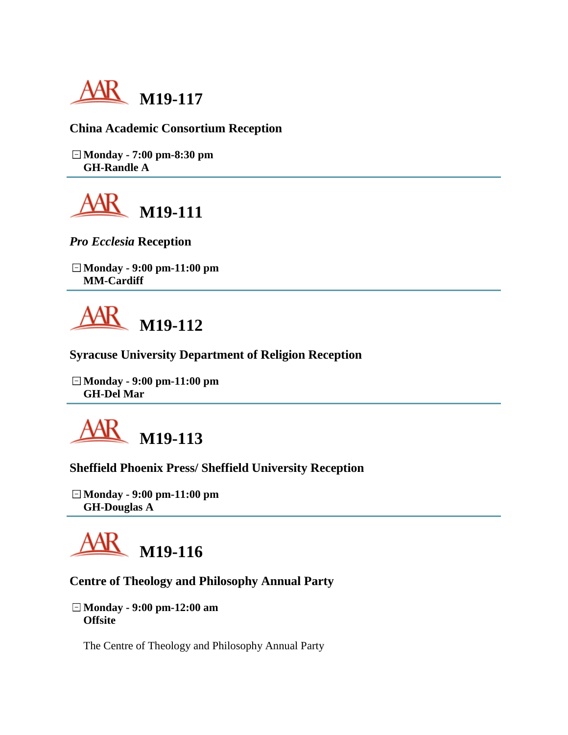

## **China Academic Consortium Reception**

**Monday - 7:00 pm-8:30 pm GH-Randle A**



*Pro Ecclesia* **Reception**

**Monday - 9:00 pm-11:00 pm MM-Cardiff**



**Syracuse University Department of Religion Reception**

**Monday - 9:00 pm-11:00 pm GH-Del Mar**



## **Sheffield Phoenix Press/ Sheffield University Reception**

**Monday - 9:00 pm-11:00 pm GH-Douglas A**



## **Centre of Theology and Philosophy Annual Party**

**Monday - 9:00 pm-12:00 am Offsite**

The Centre of Theology and Philosophy Annual Party